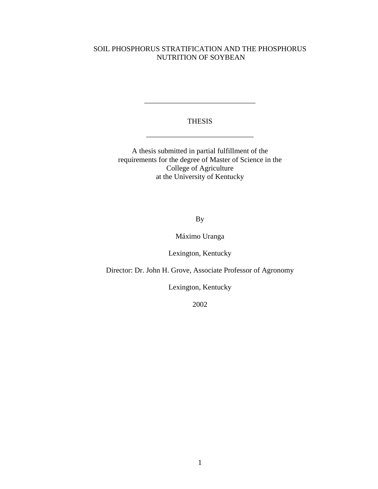## SOIL PHOSPHORUS STRATIFICATION AND THE PHOSPHORUS NUTRITION OF SOYBEAN

## THESIS

\_\_\_\_\_\_\_\_\_\_\_\_\_\_\_\_\_\_\_\_\_\_\_\_\_\_\_\_\_

\_\_\_\_\_\_\_\_\_\_\_\_\_\_\_\_\_\_\_\_\_\_\_\_\_\_\_\_\_\_

A thesis submitted in partial fulfillment of the requirements for the degree of Master of Science in the College of Agriculture at the University of Kentucky

By

Máximo Uranga

Lexington, Kentucky

Director: Dr. John H. Grove, Associate Professor of Agronomy

Lexington, Kentucky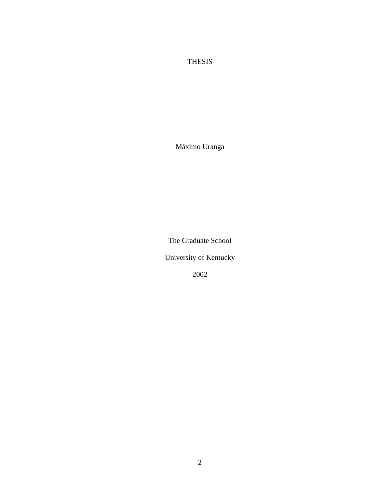# THESIS

Máximo Uranga

The Graduate School

University of Kentucky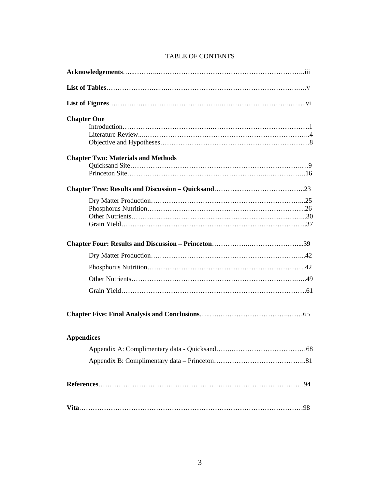| <b>Chapter One</b>                        |
|-------------------------------------------|
|                                           |
| <b>Chapter Two: Materials and Methods</b> |
|                                           |
|                                           |
|                                           |
|                                           |
|                                           |
|                                           |
|                                           |
|                                           |
|                                           |
| <b>Appendices</b>                         |
|                                           |
|                                           |
|                                           |
|                                           |

# TABLE OF CONTENTS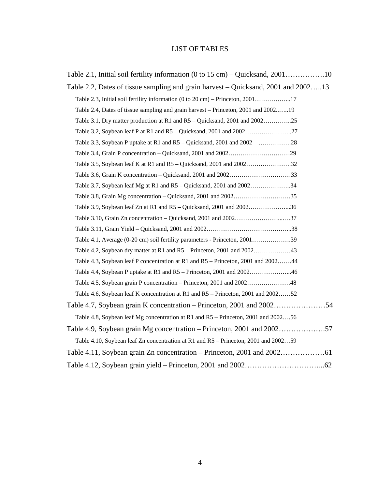# LIST OF TABLES

| Table 2.1, Initial soil fertility information $(0 \text{ to } 15 \text{ cm}) -$ Quicksand, 200110 |
|---------------------------------------------------------------------------------------------------|
| Table 2.2, Dates of tissue sampling and grain harvest – Quicksand, 2001 and 200213                |
|                                                                                                   |
| Table 2.4, Dates of tissue sampling and grain harvest – Princeton, 2001 and 200219                |
| Table 3.1, Dry matter production at R1 and R5 – Quicksand, 2001 and 200225                        |
|                                                                                                   |
|                                                                                                   |
|                                                                                                   |
|                                                                                                   |
|                                                                                                   |
|                                                                                                   |
| Table 3.8, Grain Mg concentration – Quicksand, 2001 and 200235                                    |
| Table 3.9, Soybean leaf Zn at R1 and R5 – Quicksand, 2001 and 200236                              |
|                                                                                                   |
|                                                                                                   |
|                                                                                                   |
|                                                                                                   |
| Table 4.3, Soybean leaf P concentration at R1 and R5 – Princeton, 2001 and 200244                 |
|                                                                                                   |
|                                                                                                   |
| Table 4.6, Soybean leaf K concentration at R1 and R5 – Princeton, 2001 and 200252                 |
|                                                                                                   |
| Table 4.8, Soybean leaf Mg concentration at R1 and R5 – Princeton, 2001 and 200256                |
| Table 4.9, Soybean grain Mg concentration – Princeton, 2001 and 2002                              |
| Table 4.10, Soybean leaf Zn concentration at R1 and R5 – Princeton, 2001 and 200259               |
|                                                                                                   |
|                                                                                                   |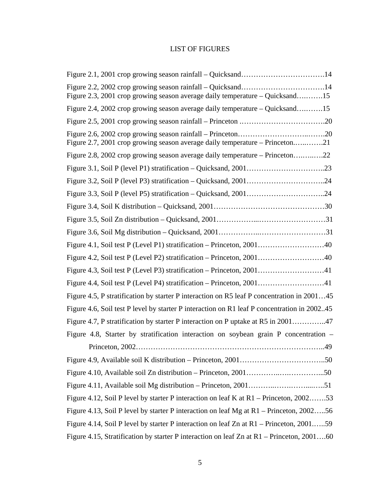# LIST OF FIGURES

| Figure 2.3, 2001 crop growing season average daily temperature – Quicksand15                |
|---------------------------------------------------------------------------------------------|
| Figure 2.4, 2002 crop growing season average daily temperature – Quicksand15                |
|                                                                                             |
| Figure 2.7, 2001 crop growing season average daily temperature – Princeton21                |
| Figure 2.8, 2002 crop growing season average daily temperature – Princeton22                |
|                                                                                             |
|                                                                                             |
|                                                                                             |
|                                                                                             |
|                                                                                             |
|                                                                                             |
|                                                                                             |
|                                                                                             |
|                                                                                             |
|                                                                                             |
| Figure 4.5, P stratification by starter P interaction on R5 leaf P concentration in 200145  |
| Figure 4.6, Soil test P level by starter P interaction on R1 leaf P concentration in 200245 |
| Figure 4.7, P stratification by starter P interaction on P uptake at R5 in 200147           |
| Figure 4.8, Starter by stratification interaction on soybean grain P concentration –        |
| 49                                                                                          |
|                                                                                             |
|                                                                                             |
|                                                                                             |
| Figure 4.12, Soil P level by starter P interaction on leaf K at R1 – Princeton, 200253      |
| Figure 4.13, Soil P level by starter P interaction on leaf Mg at R1 – Princeton, 200256     |
| Figure 4.14, Soil P level by starter P interaction on leaf Zn at R1 – Princeton, 200159     |
| Figure 4.15, Stratification by starter P interaction on leaf Zn at R1 – Princeton, 200160   |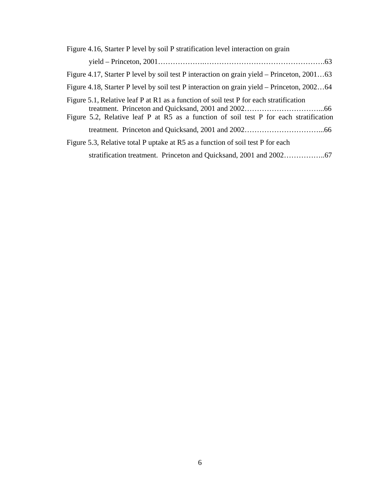| Figure 4.16, Starter P level by soil P stratification level interaction on grain                                                                                                 |
|----------------------------------------------------------------------------------------------------------------------------------------------------------------------------------|
|                                                                                                                                                                                  |
| Figure 4.17, Starter P level by soil test P interaction on grain yield – Princeton, 200163                                                                                       |
| Figure 4.18, Starter P level by soil test P interaction on grain yield – Princeton, 200264                                                                                       |
| Figure 5.1, Relative leaf P at R1 as a function of soil test P for each stratification<br>Figure 5.2, Relative leaf P at R5 as a function of soil test P for each stratification |
|                                                                                                                                                                                  |
| Figure 5.3, Relative total P uptake at R5 as a function of soil test P for each                                                                                                  |
|                                                                                                                                                                                  |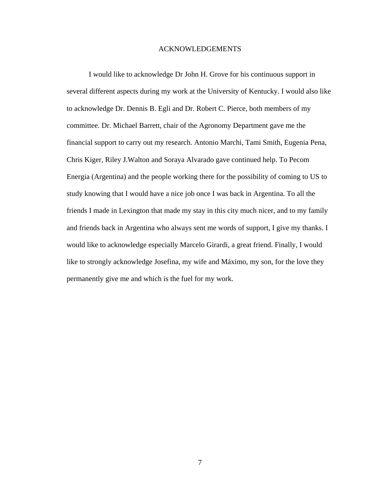#### ACKNOWLEDGEMENTS

I would like to acknowledge Dr John H. Grove for his continuous support in several different aspects during my work at the University of Kentucky. I would also like to acknowledge Dr. Dennis B. Egli and Dr. Robert C. Pierce, both members of my committee. Dr. Michael Barrett, chair of the Agronomy Department gave me the financial support to carry out my research. Antonio Marchi, Tami Smith, Eugenia Pena, Chris Kiger, Riley J.Walton and Soraya Alvarado gave continued help. To Pecom Energia (Argentina) and the people working there for the possibility of coming to US to study knowing that I would have a nice job once I was back in Argentina. To all the friends I made in Lexington that made my stay in this city much nicer, and to my family and friends back in Argentina who always sent me words of support, I give my thanks. I would like to acknowledge especially Marcelo Girardi, a great friend. Finally, I would like to strongly acknowledge Josefina, my wife and Máximo, my son, for the love they permanently give me and which is the fuel for my work.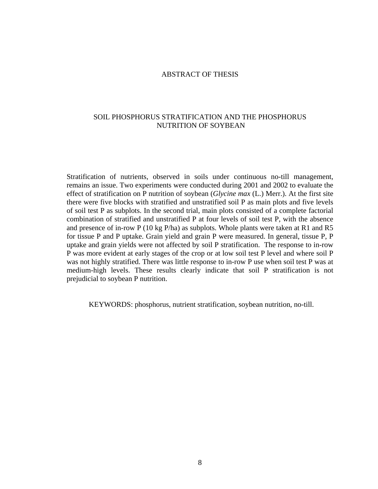## ABSTRACT OF THESIS

## SOIL PHOSPHORUS STRATIFICATION AND THE PHOSPHORUS NUTRITION OF SOYBEAN

Stratification of nutrients, observed in soils under continuous no-till management, remains an issue. Two experiments were conducted during 2001 and 2002 to evaluate the effect of stratification on P nutrition of soybean (*Glycine max* (L.) Merr.). At the first site there were five blocks with stratified and unstratified soil P as main plots and five levels of soil test P as subplots. In the second trial, main plots consisted of a complete factorial combination of stratified and unstratified P at four levels of soil test P, with the absence and presence of in-row P (10 kg P/ha) as subplots. Whole plants were taken at R1 and R5 for tissue P and P uptake. Grain yield and grain P were measured. In general, tissue P, P uptake and grain yields were not affected by soil P stratification. The response to in-row P was more evident at early stages of the crop or at low soil test P level and where soil P was not highly stratified. There was little response to in-row P use when soil test P was at medium-high levels. These results clearly indicate that soil P stratification is not prejudicial to soybean P nutrition.

KEYWORDS: phosphorus, nutrient stratification, soybean nutrition, no-till.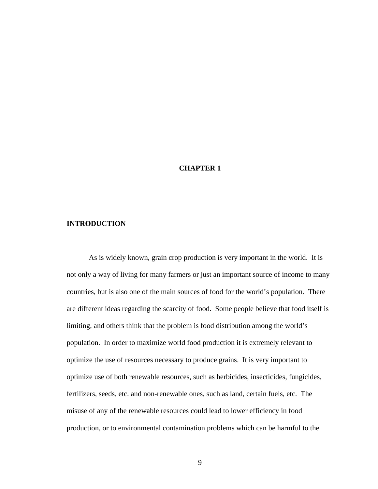## **CHAPTER 1**

#### **INTRODUCTION**

As is widely known, grain crop production is very important in the world. It is not only a way of living for many farmers or just an important source of income to many countries, but is also one of the main sources of food for the world's population. There are different ideas regarding the scarcity of food. Some people believe that food itself is limiting, and others think that the problem is food distribution among the world's population. In order to maximize world food production it is extremely relevant to optimize the use of resources necessary to produce grains. It is very important to optimize use of both renewable resources, such as herbicides, insecticides, fungicides, fertilizers, seeds, etc. and non-renewable ones, such as land, certain fuels, etc. The misuse of any of the renewable resources could lead to lower efficiency in food production, or to environmental contamination problems which can be harmful to the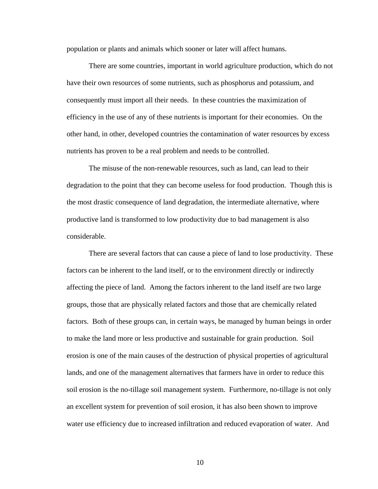population or plants and animals which sooner or later will affect humans.

There are some countries, important in world agriculture production, which do not have their own resources of some nutrients, such as phosphorus and potassium, and consequently must import all their needs. In these countries the maximization of efficiency in the use of any of these nutrients is important for their economies. On the other hand, in other, developed countries the contamination of water resources by excess nutrients has proven to be a real problem and needs to be controlled.

The misuse of the non-renewable resources, such as land, can lead to their degradation to the point that they can become useless for food production. Though this is the most drastic consequence of land degradation, the intermediate alternative, where productive land is transformed to low productivity due to bad management is also considerable.

There are several factors that can cause a piece of land to lose productivity. These factors can be inherent to the land itself, or to the environment directly or indirectly affecting the piece of land. Among the factors inherent to the land itself are two large groups, those that are physically related factors and those that are chemically related factors. Both of these groups can, in certain ways, be managed by human beings in order to make the land more or less productive and sustainable for grain production. Soil erosion is one of the main causes of the destruction of physical properties of agricultural lands, and one of the management alternatives that farmers have in order to reduce this soil erosion is the no-tillage soil management system. Furthermore, no-tillage is not only an excellent system for prevention of soil erosion, it has also been shown to improve water use efficiency due to increased infiltration and reduced evaporation of water. And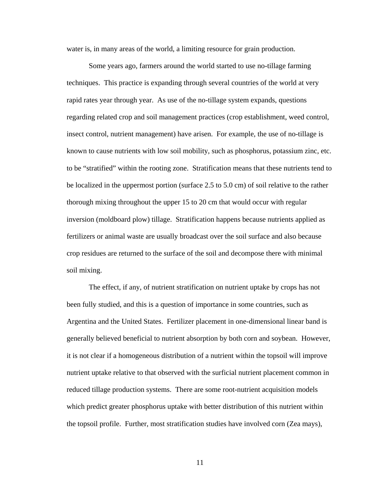water is, in many areas of the world, a limiting resource for grain production.

Some years ago, farmers around the world started to use no-tillage farming techniques. This practice is expanding through several countries of the world at very rapid rates year through year. As use of the no-tillage system expands, questions regarding related crop and soil management practices (crop establishment, weed control, insect control, nutrient management) have arisen. For example, the use of no-tillage is known to cause nutrients with low soil mobility, such as phosphorus, potassium zinc, etc. to be "stratified" within the rooting zone. Stratification means that these nutrients tend to be localized in the uppermost portion (surface 2.5 to 5.0 cm) of soil relative to the rather thorough mixing throughout the upper 15 to 20 cm that would occur with regular inversion (moldboard plow) tillage. Stratification happens because nutrients applied as fertilizers or animal waste are usually broadcast over the soil surface and also because crop residues are returned to the surface of the soil and decompose there with minimal soil mixing.

The effect, if any, of nutrient stratification on nutrient uptake by crops has not been fully studied, and this is a question of importance in some countries, such as Argentina and the United States. Fertilizer placement in one-dimensional linear band is generally believed beneficial to nutrient absorption by both corn and soybean. However, it is not clear if a homogeneous distribution of a nutrient within the topsoil will improve nutrient uptake relative to that observed with the surficial nutrient placement common in reduced tillage production systems. There are some root-nutrient acquisition models which predict greater phosphorus uptake with better distribution of this nutrient within the topsoil profile. Further, most stratification studies have involved corn (Zea mays),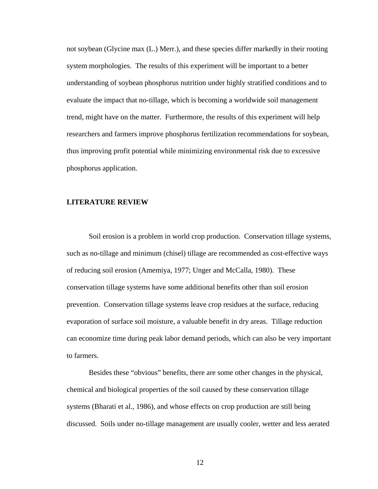not soybean (Glycine max (L.) Merr.), and these species differ markedly in their rooting system morphologies. The results of this experiment will be important to a better understanding of soybean phosphorus nutrition under highly stratified conditions and to evaluate the impact that no-tillage, which is becoming a worldwide soil management trend, might have on the matter. Furthermore, the results of this experiment will help researchers and farmers improve phosphorus fertilization recommendations for soybean, thus improving profit potential while minimizing environmental risk due to excessive phosphorus application.

### **LITERATURE REVIEW**

Soil erosion is a problem in world crop production. Conservation tillage systems, such as no-tillage and minimum (chisel) tillage are recommended as cost-effective ways of reducing soil erosion (Amemiya, 1977; Unger and McCalla, 1980). These conservation tillage systems have some additional benefits other than soil erosion prevention. Conservation tillage systems leave crop residues at the surface, reducing evaporation of surface soil moisture, a valuable benefit in dry areas. Tillage reduction can economize time during peak labor demand periods, which can also be very important to farmers.

Besides these "obvious" benefits, there are some other changes in the physical, chemical and biological properties of the soil caused by these conservation tillage systems (Bharati et al., 1986), and whose effects on crop production are still being discussed. Soils under no-tillage management are usually cooler, wetter and less aerated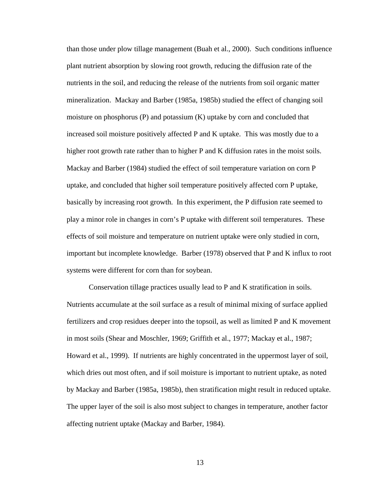than those under plow tillage management (Buah et al., 2000). Such conditions influence plant nutrient absorption by slowing root growth, reducing the diffusion rate of the nutrients in the soil, and reducing the release of the nutrients from soil organic matter mineralization. Mackay and Barber (1985a, 1985b) studied the effect of changing soil moisture on phosphorus (P) and potassium (K) uptake by corn and concluded that increased soil moisture positively affected P and K uptake. This was mostly due to a higher root growth rate rather than to higher P and K diffusion rates in the moist soils. Mackay and Barber (1984) studied the effect of soil temperature variation on corn P uptake, and concluded that higher soil temperature positively affected corn P uptake, basically by increasing root growth. In this experiment, the P diffusion rate seemed to play a minor role in changes in corn's P uptake with different soil temperatures. These effects of soil moisture and temperature on nutrient uptake were only studied in corn, important but incomplete knowledge. Barber (1978) observed that P and K influx to root systems were different for corn than for soybean.

Conservation tillage practices usually lead to P and K stratification in soils. Nutrients accumulate at the soil surface as a result of minimal mixing of surface applied fertilizers and crop residues deeper into the topsoil, as well as limited P and K movement in most soils (Shear and Moschler, 1969; Griffith et al., 1977; Mackay et al., 1987; Howard et al., 1999). If nutrients are highly concentrated in the uppermost layer of soil, which dries out most often, and if soil moisture is important to nutrient uptake, as noted by Mackay and Barber (1985a, 1985b), then stratification might result in reduced uptake. The upper layer of the soil is also most subject to changes in temperature, another factor affecting nutrient uptake (Mackay and Barber, 1984).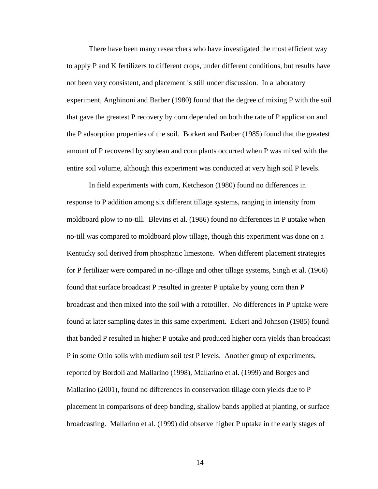There have been many researchers who have investigated the most efficient way to apply P and K fertilizers to different crops, under different conditions, but results have not been very consistent, and placement is still under discussion. In a laboratory experiment, Anghinoni and Barber (1980) found that the degree of mixing P with the soil that gave the greatest P recovery by corn depended on both the rate of P application and the P adsorption properties of the soil. Borkert and Barber (1985) found that the greatest amount of P recovered by soybean and corn plants occurred when P was mixed with the entire soil volume, although this experiment was conducted at very high soil P levels.

In field experiments with corn, Ketcheson (1980) found no differences in response to P addition among six different tillage systems, ranging in intensity from moldboard plow to no-till. Blevins et al. (1986) found no differences in P uptake when no-till was compared to moldboard plow tillage, though this experiment was done on a Kentucky soil derived from phosphatic limestone. When different placement strategies for P fertilizer were compared in no-tillage and other tillage systems, Singh et al. (1966) found that surface broadcast P resulted in greater P uptake by young corn than P broadcast and then mixed into the soil with a rototiller. No differences in P uptake were found at later sampling dates in this same experiment. Eckert and Johnson (1985) found that banded P resulted in higher P uptake and produced higher corn yields than broadcast P in some Ohio soils with medium soil test P levels. Another group of experiments, reported by Bordoli and Mallarino (1998), Mallarino et al. (1999) and Borges and Mallarino (2001), found no differences in conservation tillage corn yields due to P placement in comparisons of deep banding, shallow bands applied at planting, or surface broadcasting. Mallarino et al. (1999) did observe higher P uptake in the early stages of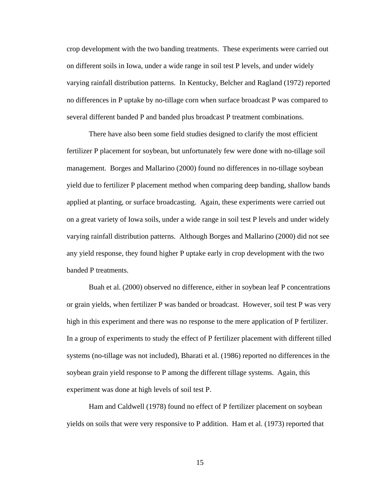crop development with the two banding treatments. These experiments were carried out on different soils in Iowa, under a wide range in soil test P levels, and under widely varying rainfall distribution patterns. In Kentucky, Belcher and Ragland (1972) reported no differences in P uptake by no-tillage corn when surface broadcast P was compared to several different banded P and banded plus broadcast P treatment combinations.

There have also been some field studies designed to clarify the most efficient fertilizer P placement for soybean, but unfortunately few were done with no-tillage soil management. Borges and Mallarino (2000) found no differences in no-tillage soybean yield due to fertilizer P placement method when comparing deep banding, shallow bands applied at planting, or surface broadcasting. Again, these experiments were carried out on a great variety of Iowa soils, under a wide range in soil test P levels and under widely varying rainfall distribution patterns. Although Borges and Mallarino (2000) did not see any yield response, they found higher P uptake early in crop development with the two banded P treatments.

Buah et al. (2000) observed no difference, either in soybean leaf P concentrations or grain yields, when fertilizer P was banded or broadcast. However, soil test P was very high in this experiment and there was no response to the mere application of P fertilizer. In a group of experiments to study the effect of P fertilizer placement with different tilled systems (no-tillage was not included), Bharati et al. (1986) reported no differences in the soybean grain yield response to P among the different tillage systems. Again, this experiment was done at high levels of soil test P.

Ham and Caldwell (1978) found no effect of P fertilizer placement on soybean yields on soils that were very responsive to P addition. Ham et al. (1973) reported that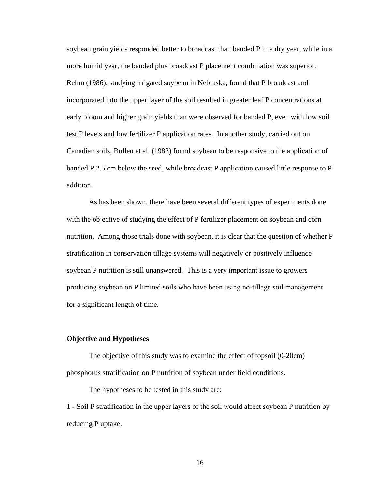soybean grain yields responded better to broadcast than banded P in a dry year, while in a more humid year, the banded plus broadcast P placement combination was superior. Rehm (1986), studying irrigated soybean in Nebraska, found that P broadcast and incorporated into the upper layer of the soil resulted in greater leaf P concentrations at early bloom and higher grain yields than were observed for banded P, even with low soil test P levels and low fertilizer P application rates. In another study, carried out on Canadian soils, Bullen et al. (1983) found soybean to be responsive to the application of banded P 2.5 cm below the seed, while broadcast P application caused little response to P addition.

As has been shown, there have been several different types of experiments done with the objective of studying the effect of P fertilizer placement on soybean and corn nutrition. Among those trials done with soybean, it is clear that the question of whether P stratification in conservation tillage systems will negatively or positively influence soybean P nutrition is still unanswered. This is a very important issue to growers producing soybean on P limited soils who have been using no-tillage soil management for a significant length of time.

### **Objective and Hypotheses**

The objective of this study was to examine the effect of topsoil (0-20cm) phosphorus stratification on P nutrition of soybean under field conditions.

The hypotheses to be tested in this study are:

1 - Soil P stratification in the upper layers of the soil would affect soybean P nutrition by reducing P uptake.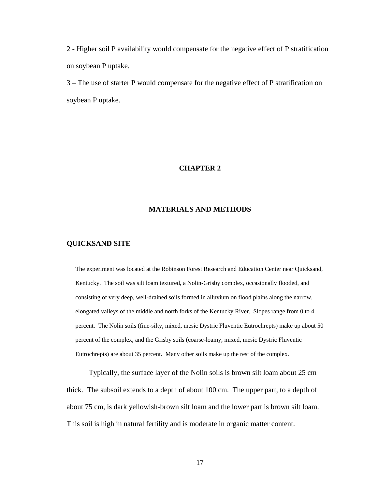2 - Higher soil P availability would compensate for the negative effect of P stratification on soybean P uptake.

3 – The use of starter P would compensate for the negative effect of P stratification on soybean P uptake.

## **CHAPTER 2**

### **MATERIALS AND METHODS**

#### **QUICKSAND SITE**

The experiment was located at the Robinson Forest Research and Education Center near Quicksand, Kentucky. The soil was silt loam textured, a Nolin-Grisby complex, occasionally flooded, and consisting of very deep, well-drained soils formed in alluvium on flood plains along the narrow, elongated valleys of the middle and north forks of the Kentucky River. Slopes range from 0 to 4 percent. The Nolin soils (fine-silty, mixed, mesic Dystric Fluventic Eutrochrepts) make up about 50 percent of the complex, and the Grisby soils (coarse-loamy, mixed, mesic Dystric Fluventic Eutrochrepts) are about 35 percent. Many other soils make up the rest of the complex.

Typically, the surface layer of the Nolin soils is brown silt loam about 25 cm thick. The subsoil extends to a depth of about 100 cm. The upper part, to a depth of about 75 cm, is dark yellowish-brown silt loam and the lower part is brown silt loam. This soil is high in natural fertility and is moderate in organic matter content.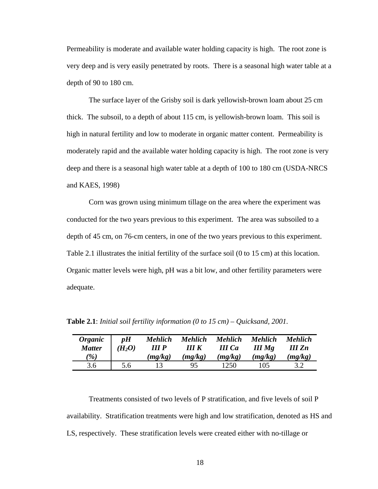Permeability is moderate and available water holding capacity is high. The root zone is very deep and is very easily penetrated by roots. There is a seasonal high water table at a depth of 90 to 180 cm.

The surface layer of the Grisby soil is dark yellowish-brown loam about 25 cm thick. The subsoil, to a depth of about 115 cm, is yellowish-brown loam. This soil is high in natural fertility and low to moderate in organic matter content. Permeability is moderately rapid and the available water holding capacity is high. The root zone is very deep and there is a seasonal high water table at a depth of 100 to 180 cm (USDA-NRCS and KAES, 1998)

Corn was grown using minimum tillage on the area where the experiment was conducted for the two years previous to this experiment. The area was subsoiled to a depth of 45 cm, on 76-cm centers, in one of the two years previous to this experiment. Table 2.1 illustrates the initial fertility of the surface soil (0 to 15 cm) at this location. Organic matter levels were high, pH was a bit low, and other fertility parameters were adequate.

| <b>Organic</b><br><b>Matter</b> | pH<br>$(H_2O)$ | <b>Mehlich</b><br>III <sub>P</sub> | <b>Mehlich</b><br>III K | <b>Mehlich</b><br><b>III</b> Ca | <b>Mehlich</b><br>$III$ Mg | <b>Mehlich</b><br>$III$ $Zn$ |
|---------------------------------|----------------|------------------------------------|-------------------------|---------------------------------|----------------------------|------------------------------|
| $\mathscr{C}_0$                 |                | (mg/kg)                            | (mg/kg)                 | (mg/kg)                         | (mg/kg)                    | (mg/kg)                      |
| 3.6                             | 5.6            |                                    |                         | 1250                            | 105                        |                              |

**Table 2.1**: *Initial soil fertility information (0 to 15 cm) – Quicksand, 2001.* 

Treatments consisted of two levels of P stratification, and five levels of soil P availability. Stratification treatments were high and low stratification, denoted as HS and LS, respectively. These stratification levels were created either with no-tillage or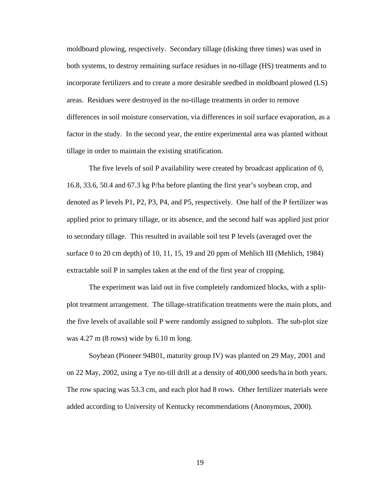moldboard plowing, respectively. Secondary tillage (disking three times) was used in both systems, to destroy remaining surface residues in no-tillage (HS) treatments and to incorporate fertilizers and to create a more desirable seedbed in moldboard plowed (LS) areas. Residues were destroyed in the no-tillage treatments in order to remove differences in soil moisture conservation, via differences in soil surface evaporation, as a factor in the study. In the second year, the entire experimental area was planted without tillage in order to maintain the existing stratification.

The five levels of soil P availability were created by broadcast application of 0, 16.8, 33.6, 50.4 and 67.3 kg P/ha before planting the first year's soybean crop, and denoted as P levels P1, P2, P3, P4, and P5, respectively. One half of the P fertilizer was applied prior to primary tillage, or its absence, and the second half was applied just prior to secondary tillage. This resulted in available soil test P levels (averaged over the surface 0 to 20 cm depth) of 10, 11, 15, 19 and 20 ppm of Mehlich III (Mehlich, 1984) extractable soil P in samples taken at the end of the first year of cropping.

The experiment was laid out in five completely randomized blocks, with a splitplot treatment arrangement. The tillage-stratification treatments were the main plots, and the five levels of available soil P were randomly assigned to subplots. The sub-plot size was 4.27 m (8 rows) wide by 6.10 m long.

Soybean (Pioneer 94B01, maturity group IV) was planted on 29 May, 2001 and on 22 May, 2002, using a Tye no-till drill at a density of 400,000 seeds/ha in both years. The row spacing was 53.3 cm, and each plot had 8 rows. Other fertilizer materials were added according to University of Kentucky recommendations (Anonymous, 2000).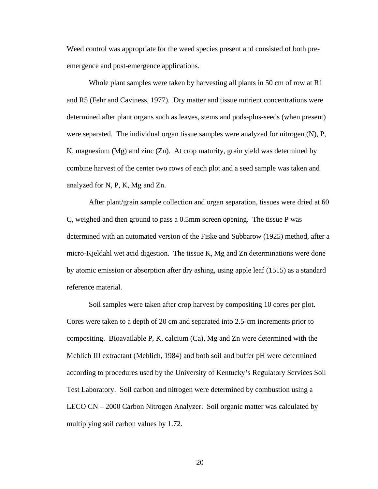Weed control was appropriate for the weed species present and consisted of both preemergence and post-emergence applications.

Whole plant samples were taken by harvesting all plants in 50 cm of row at R1 and R5 (Fehr and Caviness, 1977). Dry matter and tissue nutrient concentrations were determined after plant organs such as leaves, stems and pods-plus-seeds (when present) were separated. The individual organ tissue samples were analyzed for nitrogen (N), P, K, magnesium (Mg) and zinc  $(Zn)$ . At crop maturity, grain yield was determined by combine harvest of the center two rows of each plot and a seed sample was taken and analyzed for N, P, K, Mg and Zn.

After plant/grain sample collection and organ separation, tissues were dried at 60 C, weighed and then ground to pass a 0.5mm screen opening. The tissue P was determined with an automated version of the Fiske and Subbarow (1925) method, after a micro-Kjeldahl wet acid digestion. The tissue K, Mg and Zn determinations were done by atomic emission or absorption after dry ashing, using apple leaf (1515) as a standard reference material.

Soil samples were taken after crop harvest by compositing 10 cores per plot. Cores were taken to a depth of 20 cm and separated into 2.5-cm increments prior to compositing. Bioavailable P, K, calcium (Ca), Mg and Zn were determined with the Mehlich III extractant (Mehlich, 1984) and both soil and buffer pH were determined according to procedures used by the University of Kentucky's Regulatory Services Soil Test Laboratory. Soil carbon and nitrogen were determined by combustion using a LECO CN – 2000 Carbon Nitrogen Analyzer. Soil organic matter was calculated by multiplying soil carbon values by 1.72.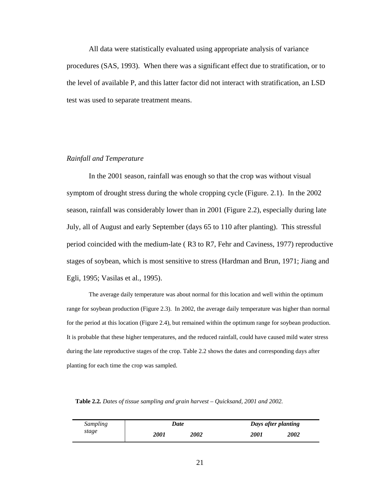All data were statistically evaluated using appropriate analysis of variance procedures (SAS, 1993). When there was a significant effect due to stratification, or to the level of available P, and this latter factor did not interact with stratification, an LSD test was used to separate treatment means.

#### *Rainfall and Temperature*

In the 2001 season, rainfall was enough so that the crop was without visual symptom of drought stress during the whole cropping cycle (Figure. 2.1). In the 2002 season, rainfall was considerably lower than in 2001 (Figure 2.2), especially during late July, all of August and early September (days 65 to 110 after planting). This stressful period coincided with the medium-late ( R3 to R7, Fehr and Caviness, 1977) reproductive stages of soybean, which is most sensitive to stress (Hardman and Brun, 1971; Jiang and Egli, 1995; Vasilas et al., 1995).

The average daily temperature was about normal for this location and well within the optimum range for soybean production (Figure 2.3). In 2002, the average daily temperature was higher than normal for the period at this location (Figure 2.4), but remained within the optimum range for soybean production. It is probable that these higher temperatures, and the reduced rainfall, could have caused mild water stress during the late reproductive stages of the crop. Table 2.2 shows the dates and corresponding days after planting for each time the crop was sampled.

| Sampling | Date        |                    | Days after planting |      |  |
|----------|-------------|--------------------|---------------------|------|--|
| stage    | <i>2001</i> | <i><b>2002</b></i> | <i>2001</i>         | 2002 |  |

**Table 2.2***. Dates of tissue sampling and grain harvest – Quicksand, 2001 and 2002.*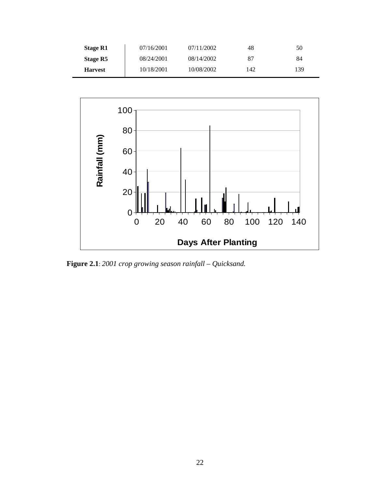| <b>Stage R1</b> | 07/16/2001 | 07/11/2002 | 48  | 50  |
|-----------------|------------|------------|-----|-----|
| Stage R5        | 08/24/2001 | 08/14/2002 | 87  | 84  |
| <b>Harvest</b>  | 10/18/2001 | 10/08/2002 | 142 | 139 |



**Figure 2.1**: *2001 crop growing season rainfall – Quicksand.*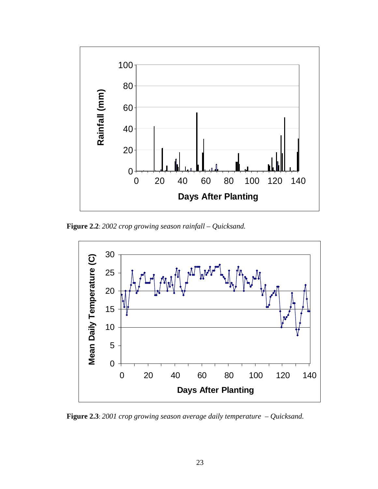

**Figure 2.2**: *2002 crop growing season rainfall – Quicksand.* 



**Figure 2.3**: *2001 crop growing season average daily temperature – Quicksand.*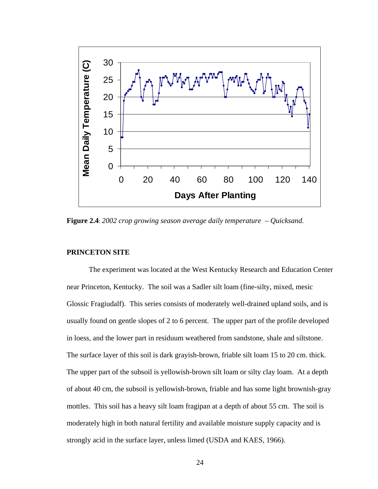

**Figure 2.4**: *2002 crop growing season average daily temperature – Quicksand.* 

## **PRINCETON SITE**

The experiment was located at the West Kentucky Research and Education Center near Princeton, Kentucky. The soil was a Sadler silt loam (fine-silty, mixed, mesic Glossic Fragiudalf). This series consists of moderately well-drained upland soils, and is usually found on gentle slopes of 2 to 6 percent. The upper part of the profile developed in loess, and the lower part in residuum weathered from sandstone, shale and siltstone. The surface layer of this soil is dark grayish-brown, friable silt loam 15 to 20 cm. thick. The upper part of the subsoil is yellowish-brown silt loam or silty clay loam. At a depth of about 40 cm, the subsoil is yellowish-brown, friable and has some light brownish-gray mottles. This soil has a heavy silt loam fragipan at a depth of about 55 cm. The soil is moderately high in both natural fertility and available moisture supply capacity and is strongly acid in the surface layer, unless limed (USDA and KAES, 1966).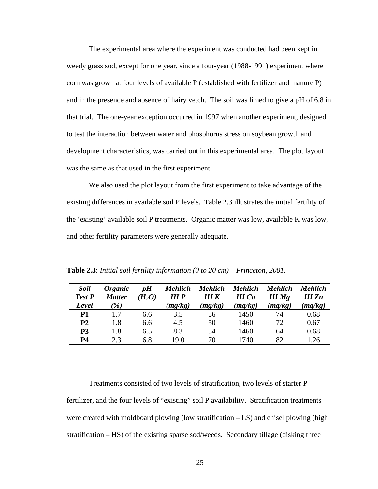The experimental area where the experiment was conducted had been kept in weedy grass sod, except for one year, since a four-year (1988-1991) experiment where corn was grown at four levels of available P (established with fertilizer and manure P) and in the presence and absence of hairy vetch. The soil was limed to give a pH of 6.8 in that trial. The one-year exception occurred in 1997 when another experiment, designed to test the interaction between water and phosphorus stress on soybean growth and development characteristics, was carried out in this experimental area. The plot layout was the same as that used in the first experiment.

We also used the plot layout from the first experiment to take advantage of the existing differences in available soil P levels. Table 2.3 illustrates the initial fertility of the 'existing' available soil P treatments. Organic matter was low, available K was low, and other fertility parameters were generally adequate.

| <b>Soil</b><br>Test P<br>Level | <i><b>Organic</b></i><br><b>Matter</b><br>$\mathscr{C}_0$ | pH<br>$(H_2O)$ | <b>Mehlich</b><br>III <sub>P</sub><br>(mg/kg) | <b>Mehlich</b><br>IIIK<br>(mg/kg) | Mehlich<br><b>III</b> Ca<br>(mg/kg) | <b>Mehlich</b><br>$III$ Mg<br>(mg/kg) | <b>Mehlich</b><br>III Zn<br>(mg/kg) |
|--------------------------------|-----------------------------------------------------------|----------------|-----------------------------------------------|-----------------------------------|-------------------------------------|---------------------------------------|-------------------------------------|
| <b>P1</b>                      | 1.7                                                       | 6.6            | 3.5                                           | 56                                | 1450                                | 74                                    | 0.68                                |
| P <sub>2</sub>                 | 1.8                                                       | 6.6            | 4.5                                           | 50                                | 1460                                | 72                                    | 0.67                                |
| P <sub>3</sub>                 | 1.8                                                       | 6.5            | 8.3                                           | 54                                | 1460                                | 64                                    | 0.68                                |
| <b>P4</b>                      | 2.3                                                       | 6.8            | 19.0                                          | 70                                | 1740                                | 82                                    | 1.26                                |

**Table 2.3**: *Initial soil fertility information (0 to 20 cm) – Princeton, 2001.* 

Treatments consisted of two levels of stratification, two levels of starter P fertilizer, and the four levels of "existing" soil P availability. Stratification treatments were created with moldboard plowing (low stratification – LS) and chisel plowing (high stratification – HS) of the existing sparse sod/weeds. Secondary tillage (disking three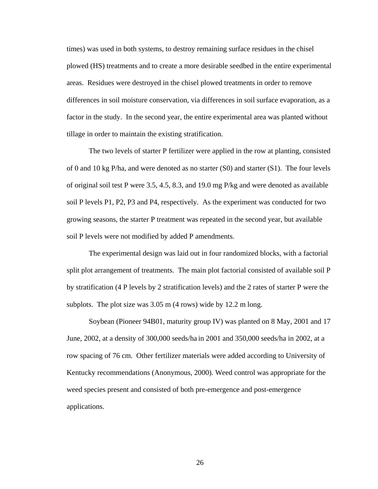times) was used in both systems, to destroy remaining surface residues in the chisel plowed (HS) treatments and to create a more desirable seedbed in the entire experimental areas. Residues were destroyed in the chisel plowed treatments in order to remove differences in soil moisture conservation, via differences in soil surface evaporation, as a factor in the study. In the second year, the entire experimental area was planted without tillage in order to maintain the existing stratification.

The two levels of starter P fertilizer were applied in the row at planting, consisted of 0 and 10 kg P/ha, and were denoted as no starter (S0) and starter (S1). The four levels of original soil test P were 3.5, 4.5, 8.3, and 19.0 mg P/kg and were denoted as available soil P levels P1, P2, P3 and P4, respectively. As the experiment was conducted for two growing seasons, the starter P treatment was repeated in the second year, but available soil P levels were not modified by added P amendments.

The experimental design was laid out in four randomized blocks, with a factorial split plot arrangement of treatments. The main plot factorial consisted of available soil P by stratification (4 P levels by 2 stratification levels) and the 2 rates of starter P were the subplots. The plot size was 3.05 m (4 rows) wide by 12.2 m long.

Soybean (Pioneer 94B01, maturity group IV) was planted on 8 May, 2001 and 17 June, 2002, at a density of 300,000 seeds/ha in 2001 and 350,000 seeds/ha in 2002, at a row spacing of 76 cm. Other fertilizer materials were added according to University of Kentucky recommendations (Anonymous, 2000). Weed control was appropriate for the weed species present and consisted of both pre-emergence and post-emergence applications.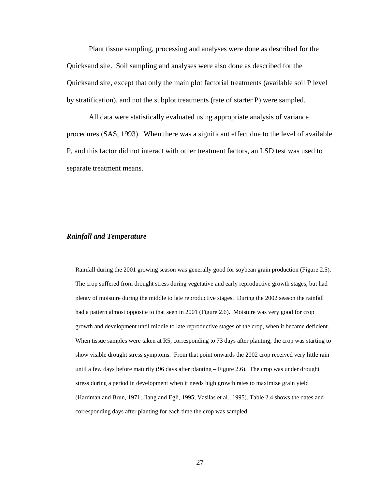Plant tissue sampling, processing and analyses were done as described for the Quicksand site. Soil sampling and analyses were also done as described for the Quicksand site, except that only the main plot factorial treatments (available soil P level by stratification), and not the subplot treatments (rate of starter P) were sampled.

All data were statistically evaluated using appropriate analysis of variance procedures (SAS, 1993). When there was a significant effect due to the level of available P, and this factor did not interact with other treatment factors, an LSD test was used to separate treatment means.

#### *Rainfall and Temperature*

Rainfall during the 2001 growing season was generally good for soybean grain production (Figure 2.5). The crop suffered from drought stress during vegetative and early reproductive growth stages, but had plenty of moisture during the middle to late reproductive stages. During the 2002 season the rainfall had a pattern almost opposite to that seen in 2001 (Figure 2.6). Moisture was very good for crop growth and development until middle to late reproductive stages of the crop, when it became deficient. When tissue samples were taken at R5, corresponding to 73 days after planting, the crop was starting to show visible drought stress symptoms. From that point onwards the 2002 crop received very little rain until a few days before maturity (96 days after planting – Figure 2.6). The crop was under drought stress during a period in development when it needs high growth rates to maximize grain yield (Hardman and Brun, 1971; Jiang and Egli, 1995; Vasilas et al., 1995). Table 2.4 shows the dates and corresponding days after planting for each time the crop was sampled.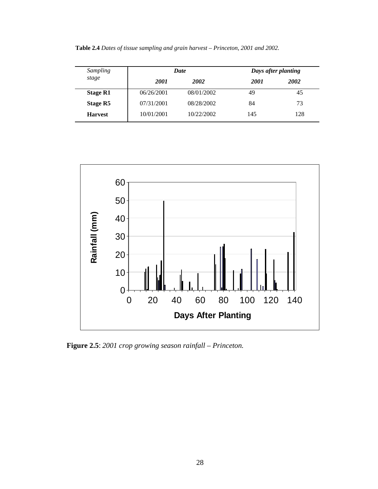**Table 2.4** *Dates of tissue sampling and grain harvest – Princeton, 2001 and 2002.* 

| <b>Sampling</b> |             | <b>Date</b> |             | Days after planting |
|-----------------|-------------|-------------|-------------|---------------------|
| stage           | <b>2001</b> | <b>2002</b> | <b>2001</b> | <b>2002</b>         |
| <b>Stage R1</b> | 06/26/2001  | 08/01/2002  | 49          | 45                  |
| Stage R5        | 07/31/2001  | 08/28/2002  | 84          | 73                  |
| <b>Harvest</b>  | 10/01/2001  | 10/22/2002  | 145         | 128                 |



**Figure 2.5**: *2001 crop growing season rainfall – Princeton.*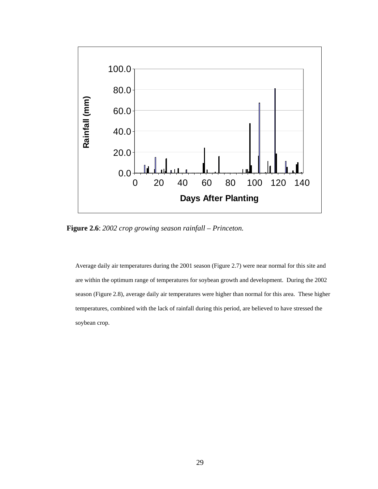

**Figure 2.6**: *2002 crop growing season rainfall – Princeton.*

Average daily air temperatures during the 2001 season (Figure 2.7) were near normal for this site and are within the optimum range of temperatures for soybean growth and development. During the 2002 season (Figure 2.8), average daily air temperatures were higher than normal for this area. These higher temperatures, combined with the lack of rainfall during this period, are believed to have stressed the soybean crop.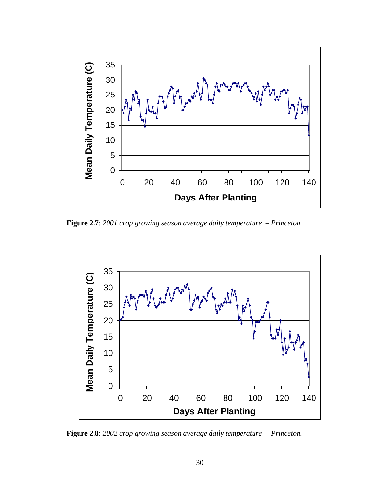

**Figure 2.7**: *2001 crop growing season average daily temperature – Princeton.* 



**Figure 2.8**: *2002 crop growing season average daily temperature – Princeton.*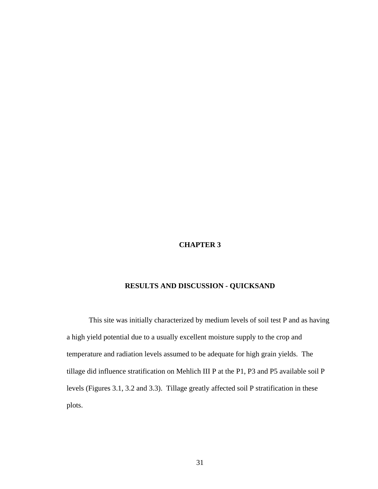## **CHAPTER 3**

# **RESULTS AND DISCUSSION - QUICKSAND**

This site was initially characterized by medium levels of soil test P and as having a high yield potential due to a usually excellent moisture supply to the crop and temperature and radiation levels assumed to be adequate for high grain yields. The tillage did influence stratification on Mehlich III P at the P1, P3 and P5 available soil P levels (Figures 3.1, 3.2 and 3.3). Tillage greatly affected soil P stratification in these plots.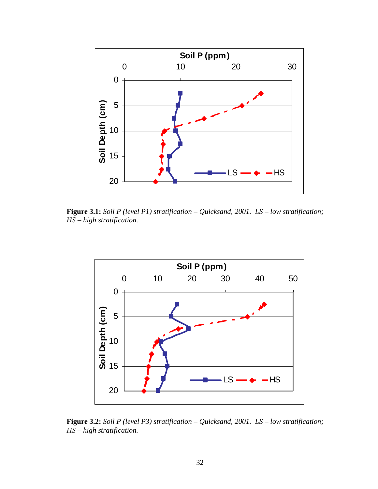

**Figure 3.1:** *Soil P (level P1) stratification – Quicksand, 2001. LS – low stratification; HS – high stratification.*



**Figure 3.2:** *Soil P (level P3) stratification – Quicksand, 2001. LS – low stratification; HS – high stratification.*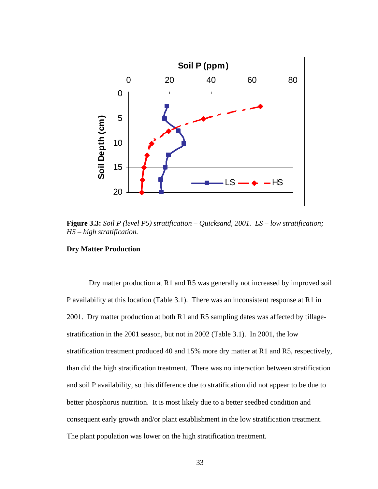

**Figure 3.3:** *Soil P (level P5) stratification – Quicksand, 2001. LS – low stratification; HS – high stratification.*

### **Dry Matter Production**

Dry matter production at R1 and R5 was generally not increased by improved soil P availability at this location (Table 3.1). There was an inconsistent response at R1 in 2001. Dry matter production at both R1 and R5 sampling dates was affected by tillagestratification in the 2001 season, but not in 2002 (Table 3.1). In 2001, the low stratification treatment produced 40 and 15% more dry matter at R1 and R5, respectively, than did the high stratification treatment. There was no interaction between stratification and soil P availability, so this difference due to stratification did not appear to be due to better phosphorus nutrition. It is most likely due to a better seedbed condition and consequent early growth and/or plant establishment in the low stratification treatment. The plant population was lower on the high stratification treatment.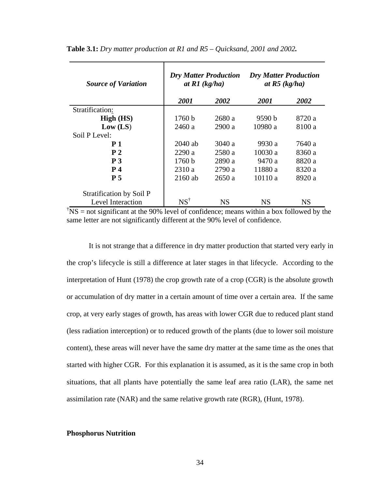| <b>Source of Variation</b> | <b>Dry Matter Production</b><br>at $R1$ (kg/ha) |           | <b>Dry Matter Production</b><br>at $R5$ (kg/ha) |           |  |
|----------------------------|-------------------------------------------------|-----------|-------------------------------------------------|-----------|--|
|                            | 2001                                            | 2002      | 2001                                            | 2002      |  |
| Stratification:            |                                                 |           |                                                 |           |  |
| High (HS)                  | 1760 b                                          | 2680 a    | 9590 b                                          | 8720 a    |  |
| Low (LS)                   | 2460 a                                          | 2900a     | 10980 a                                         | 8100 a    |  |
| Soil P Level:              |                                                 |           |                                                 |           |  |
| <b>P</b> 1                 | $2040$ ab                                       | 3040 a    | 9930 a                                          | 7640 a    |  |
| P <sub>2</sub>             | 2290a                                           | 2580 a    | 10030 a                                         | 8360 a    |  |
| P <sub>3</sub>             | 1760 b                                          | 2890 a    | 9470 a                                          | 8820 a    |  |
| $P_4$                      | 2310a                                           | 2790 a    | 11880 a                                         | 8320 a    |  |
| P <sub>5</sub>             | 2160 ab                                         | 2650a     | 10110 a                                         | 8920 a    |  |
| Stratification by Soil P   |                                                 |           |                                                 |           |  |
| Level Interaction          | $NS^{\dagger}$                                  | <b>NS</b> | <b>NS</b>                                       | <b>NS</b> |  |

**Table 3.1:** *Dry matter production at R1 and R5 – Quicksand, 2001 and 2002.* 

 $\sqrt{T}$ NS = not significant at the 90% level of confidence; means within a box followed by the same letter are not significantly different at the 90% level of confidence.

It is not strange that a difference in dry matter production that started very early in the crop's lifecycle is still a difference at later stages in that lifecycle. According to the interpretation of Hunt (1978) the crop growth rate of a crop (CGR) is the absolute growth or accumulation of dry matter in a certain amount of time over a certain area. If the same crop, at very early stages of growth, has areas with lower CGR due to reduced plant stand (less radiation interception) or to reduced growth of the plants (due to lower soil moisture content), these areas will never have the same dry matter at the same time as the ones that started with higher CGR. For this explanation it is assumed, as it is the same crop in both situations, that all plants have potentially the same leaf area ratio (LAR), the same net assimilation rate (NAR) and the same relative growth rate (RGR), (Hunt, 1978).

#### **Phosphorus Nutrition**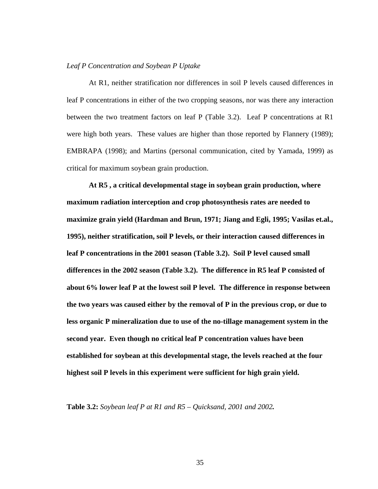#### *Leaf P Concentration and Soybean P Uptake*

At R1, neither stratification nor differences in soil P levels caused differences in leaf P concentrations in either of the two cropping seasons, nor was there any interaction between the two treatment factors on leaf P (Table 3.2). Leaf P concentrations at R1 were high both years. These values are higher than those reported by Flannery (1989); EMBRAPA (1998); and Martins (personal communication, cited by Yamada, 1999) as critical for maximum soybean grain production.

**At R5 , a critical developmental stage in soybean grain production, where maximum radiation interception and crop photosynthesis rates are needed to maximize grain yield (Hardman and Brun, 1971; Jiang and Egli, 1995; Vasilas et.al., 1995), neither stratification, soil P levels, or their interaction caused differences in leaf P concentrations in the 2001 season (Table 3.2). Soil P level caused small differences in the 2002 season (Table 3.2). The difference in R5 leaf P consisted of about 6% lower leaf P at the lowest soil P level. The difference in response between the two years was caused either by the removal of P in the previous crop, or due to less organic P mineralization due to use of the no-tillage management system in the second year. Even though no critical leaf P concentration values have been established for soybean at this developmental stage, the levels reached at the four highest soil P levels in this experiment were sufficient for high grain yield.** 

**Table 3.2:** *Soybean leaf P at R1 and R5 – Quicksand, 2001 and 2002.*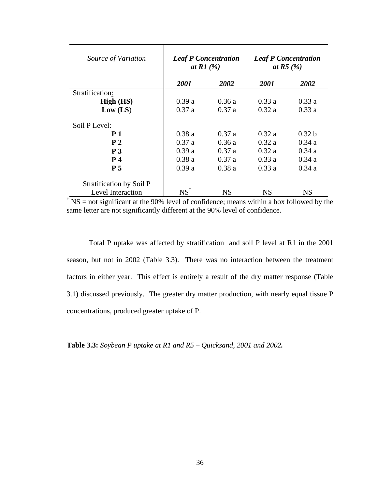| Source of Variation      | <b>Leaf P Concentration</b><br>at R1 $(%)$ |             | <b>Leaf P Concentration</b><br>at R5 $(%)$ |                   |  |
|--------------------------|--------------------------------------------|-------------|--------------------------------------------|-------------------|--|
|                          | 2001                                       | <i>2002</i> | 2001                                       | 2002              |  |
| Stratification:          |                                            |             |                                            |                   |  |
| High (HS)                | 0.39a                                      | 0.36a       | 0.33a                                      | 0.33a             |  |
| Low (LS)                 | 0.37a                                      | 0.37a       | 0.32a                                      | 0.33a             |  |
| Soil P Level:            |                                            |             |                                            |                   |  |
| P <sub>1</sub>           | 0.38a                                      | 0.37a       | 0.32a                                      | 0.32 <sub>b</sub> |  |
| P <sub>2</sub>           | 0.37a                                      | 0.36a       | 0.32a                                      | 0.34a             |  |
| P <sub>3</sub>           | 0.39a                                      | 0.37a       | 0.32a                                      | 0.34a             |  |
| $P_4$                    | 0.38a                                      | 0.37a       | 0.33a                                      | 0.34a             |  |
| <b>P</b> 5               | 0.39a                                      | 0.38a       | 0.33a                                      | 0.34a             |  |
| Stratification by Soil P |                                            |             |                                            |                   |  |
| Level Interaction        | $NS^{\dagger}$                             | NS          | <b>NS</b>                                  | <b>NS</b>         |  |

 $\overline{MS}$  = not significant at the 90% level of confidence; means within a box followed by the same letter are not significantly different at the 90% level of confidence.

Total P uptake was affected by stratification and soil P level at R1 in the 2001 season, but not in 2002 (Table 3.3). There was no interaction between the treatment factors in either year. This effect is entirely a result of the dry matter response (Table 3.1) discussed previously. The greater dry matter production, with nearly equal tissue P concentrations, produced greater uptake of P.

**Table 3.3:** *Soybean P uptake at R1 and R5 – Quicksand, 2001 and 2002.*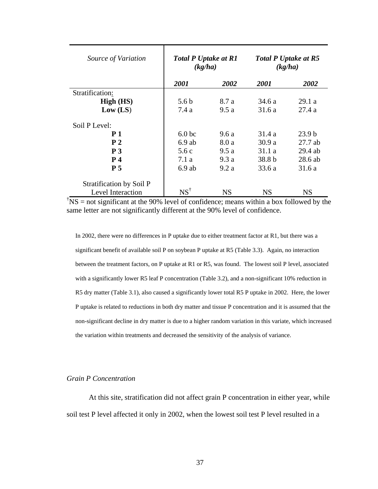| Source of Variation      | <b>Total P Uptake at R1</b><br>(kg/ha) |           |        | <b>Total P Uptake at R5</b><br>(kg/ha) |
|--------------------------|----------------------------------------|-----------|--------|----------------------------------------|
|                          | 2001                                   | 2002      | 2001   | 2002                                   |
| Stratification:          |                                        |           |        |                                        |
| High (HS)                | 5.6 <sub>b</sub>                       | 8.7 a     | 34.6 a | 29.1a                                  |
| Low (LS)                 | 7.4a                                   | 9.5a      | 31.6a  | 27.4a                                  |
| Soil P Level:            |                                        |           |        |                                        |
| P <sub>1</sub>           | 6.0 <sub>bc</sub>                      | 9.6a      | 31.4 a | 23.9 <sub>b</sub>                      |
| P <sub>2</sub>           | $6.9$ ab                               | 8.0 a     | 30.9 a | $27.7$ ab                              |
| P <sub>3</sub>           | 5.6c                                   | 9.5a      | 31.1a  | $29.4$ ab                              |
| P <sub>4</sub>           | 7.1 a                                  | 9.3a      | 38.8 b | 28.6 ab                                |
| P <sub>5</sub>           | $6.9$ ab                               | 9.2a      | 33.6a  | 31.6a                                  |
| Stratification by Soil P |                                        |           |        |                                        |
| Level Interaction        | $NS^{\dagger}$                         | <b>NS</b> | NS     | NS                                     |

 $\sqrt{T}$ NS = not significant at the 90% level of confidence; means within a box followed by the same letter are not significantly different at the 90% level of confidence.

In 2002, there were no differences in P uptake due to either treatment factor at R1, but there was a significant benefit of available soil P on soybean P uptake at R5 (Table 3.3). Again, no interaction between the treatment factors, on P uptake at R1 or R5, was found. The lowest soil P level, associated with a significantly lower R5 leaf P concentration (Table 3.2), and a non-significant 10% reduction in R5 dry matter (Table 3.1), also caused a significantly lower total R5 P uptake in 2002. Here, the lower P uptake is related to reductions in both dry matter and tissue P concentration and it is assumed that the non-significant decline in dry matter is due to a higher random variation in this variate, which increased the variation within treatments and decreased the sensitivity of the analysis of variance.

# *Grain P Concentration*

At this site, stratification did not affect grain P concentration in either year, while soil test P level affected it only in 2002, when the lowest soil test P level resulted in a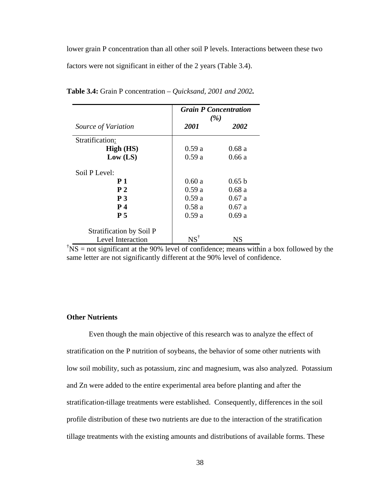lower grain P concentration than all other soil P levels. Interactions between these two factors were not significant in either of the 2 years (Table 3.4).

|                          | <b>Grain P Concentration</b><br>(%) |        |  |
|--------------------------|-------------------------------------|--------|--|
| Source of Variation      | 2001                                | 2002   |  |
| Stratification:          |                                     |        |  |
| High (HS)                | 0.59a                               | 0.68a  |  |
| Low (LS)                 | 0.59a                               | 0.66a  |  |
| Soil P Level:            |                                     |        |  |
| <b>P</b> 1               | 0.60a                               | 0.65 b |  |
| P <sub>2</sub>           | 0.59a                               | 0.68a  |  |
| P <sub>3</sub>           | 0.59a                               | 0.67a  |  |
| <b>P</b> 4               | 0.58a                               | 0.67a  |  |
| P <sub>5</sub>           | 0.59a                               | 0.69a  |  |
| Stratification by Soil P |                                     |        |  |
| Level Interaction        | $NS^{\dagger}$                      | NS     |  |

**Table 3.4:** Grain P concentration *– Quicksand, 2001 and 2002.* 

 $\sqrt{\text{NS}}$  = not significant at the 90% level of confidence; means within a box followed by the same letter are not significantly different at the 90% level of confidence.

# **Other Nutrients**

Even though the main objective of this research was to analyze the effect of stratification on the P nutrition of soybeans, the behavior of some other nutrients with low soil mobility, such as potassium, zinc and magnesium, was also analyzed. Potassium and Zn were added to the entire experimental area before planting and after the stratification-tillage treatments were established. Consequently, differences in the soil profile distribution of these two nutrients are due to the interaction of the stratification tillage treatments with the existing amounts and distributions of available forms. These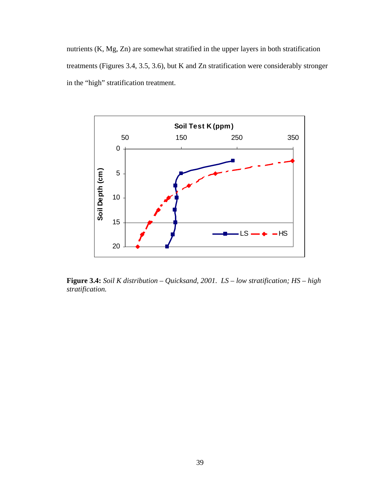nutrients (K, Mg, Zn) are somewhat stratified in the upper layers in both stratification treatments (Figures 3.4, 3.5, 3.6), but K and Zn stratification were considerably stronger in the "high" stratification treatment.



**Figure 3.4:** *Soil K distribution – Quicksand, 2001. LS – low stratification; HS – high stratification.*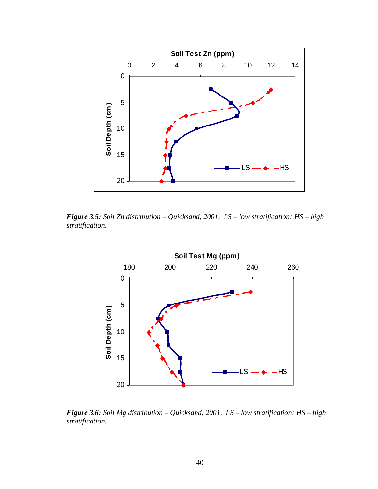

*Figure 3.5: Soil Zn distribution – Quicksand, 2001. LS – low stratification; HS – high stratification.*



*Figure 3.6: Soil Mg distribution – Quicksand, 2001. LS – low stratification; HS – high stratification.*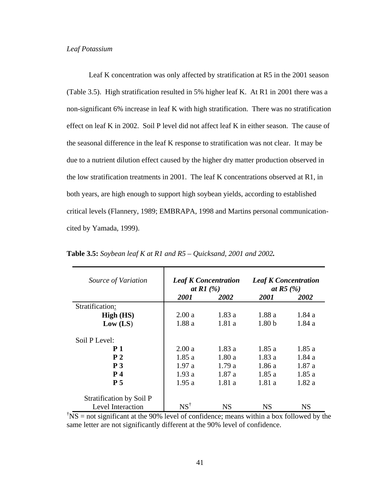## *Leaf Potassium*

Leaf K concentration was only affected by stratification at R5 in the 2001 season (Table 3.5). High stratification resulted in 5% higher leaf K. At R1 in 2001 there was a non-significant 6% increase in leaf K with high stratification. There was no stratification effect on leaf K in 2002. Soil P level did not affect leaf K in either season. The cause of the seasonal difference in the leaf K response to stratification was not clear. It may be due to a nutrient dilution effect caused by the higher dry matter production observed in the low stratification treatments in 2001. The leaf K concentrations observed at R1, in both years, are high enough to support high soybean yields, according to established critical levels (Flannery, 1989; EMBRAPA, 1998 and Martins personal communicationcited by Yamada, 1999).

| Source of Variation                                  | <b>Leaf K Concentration</b><br>at R1 $(%)$ |        | <b>Leaf K Concentration</b><br>at R5 $(%)$ |        |
|------------------------------------------------------|--------------------------------------------|--------|--------------------------------------------|--------|
|                                                      | <i>2001</i>                                | 2002   | <i>2001</i>                                | 2002   |
| Stratification:                                      |                                            |        |                                            |        |
| High (HS)                                            | 2.00a                                      | 1.83 a | 1.88 a                                     | 1.84 a |
| Low (LS)                                             | 1.88a                                      | 1.81a  | 1.80 <sub>b</sub>                          | 1.84 a |
| Soil P Level:                                        |                                            |        |                                            |        |
| <b>P</b> 1                                           | 2.00a                                      | 1.83 a | 1.85a                                      | 1.85a  |
| P <sub>2</sub>                                       | 1.85a                                      | 1.80a  | 1.83 a                                     | 1.84 a |
| P <sub>3</sub>                                       | 1.97a                                      | 1.79a  | 1.86a                                      | 1.87a  |
| <b>P</b> 4                                           | 1.93a                                      | 1.87a  | 1.85a                                      | 1.85a  |
| P <sub>5</sub>                                       | 1.95a                                      | 1.81a  | 1.81a                                      | 1.82a  |
| Stratification by Soil P<br><b>Level Interaction</b> | $NS^{\dagger}$                             | NS     | <b>NS</b>                                  | NS     |

**Table 3.5:** *Soybean leaf K at R1 and R5 – Quicksand, 2001 and 2002.* 

 $\sqrt{T}$ NS = not significant at the 90% level of confidence; means within a box followed by the same letter are not significantly different at the 90% level of confidence.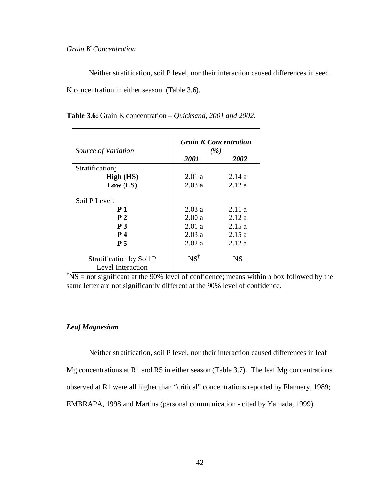## *Grain K Concentration*

Neither stratification, soil P level, nor their interaction caused differences in seed K concentration in either season. (Table 3.6).

| Source of Variation                                                                             | <b>Grain K Concentration</b><br>(%)       |                                           |  |  |
|-------------------------------------------------------------------------------------------------|-------------------------------------------|-------------------------------------------|--|--|
|                                                                                                 | 2001                                      | <i>2002</i>                               |  |  |
| Stratification:                                                                                 |                                           |                                           |  |  |
| High (HS)                                                                                       | 2.01a                                     | 2.14a                                     |  |  |
| Low (LS)                                                                                        | 2.03a                                     | 2.12a                                     |  |  |
| Soil P Level:<br><b>P</b> 1<br>P <sub>2</sub><br>P <sub>3</sub><br><b>P</b> 4<br>P <sub>5</sub> | 2.03a<br>2.00a<br>2.01a<br>2.03a<br>2.02a | 2.11a<br>2.12a<br>2.15a<br>2.15a<br>2.12a |  |  |
| Stratification by Soil P<br>Level Interaction                                                   | $NS^{\dagger}$                            | NS                                        |  |  |

**Table 3.6:** Grain K concentration *– Quicksand, 2001 and 2002.* 

 $\sqrt{\text{NS}}$  = not significant at the 90% level of confidence; means within a box followed by the same letter are not significantly different at the 90% level of confidence.

## *Leaf Magnesium*

Neither stratification, soil P level, nor their interaction caused differences in leaf Mg concentrations at R1 and R5 in either season (Table 3.7). The leaf Mg concentrations observed at R1 were all higher than "critical" concentrations reported by Flannery, 1989; EMBRAPA, 1998 and Martins (personal communication - cited by Yamada, 1999).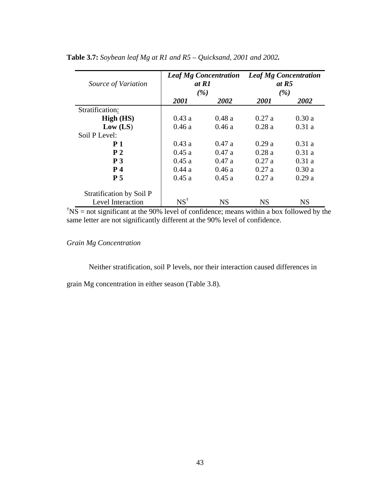| Source of Variation      | <b>Leaf Mg Concentration</b><br>at R1<br>(%) |           | <b>Leaf Mg Concentration</b><br>at $R5$<br>(%) |           |  |
|--------------------------|----------------------------------------------|-----------|------------------------------------------------|-----------|--|
|                          | 2001                                         | 2002      | 2001                                           | 2002      |  |
| Stratification:          |                                              |           |                                                |           |  |
| High (HS)                | 0.43a                                        | 0.48a     | 0.27a                                          | 0.30a     |  |
| Low (LS)                 | 0.46a                                        | 0.46a     | 0.28a                                          | 0.31a     |  |
| Soil P Level:            |                                              |           |                                                |           |  |
| <b>P</b> 1               | 0.43a                                        | 0.47a     | 0.29a                                          | 0.31a     |  |
| P <sub>2</sub>           | 0.45a                                        | 0.47a     | 0.28a                                          | 0.31a     |  |
| P <sub>3</sub>           | 0.45a                                        | 0.47a     | 0.27a                                          | 0.31a     |  |
| P <sub>4</sub>           | 0.44a                                        | 0.46a     | 0.27a                                          | 0.30a     |  |
| P <sub>5</sub>           | 0.45a                                        | 0.45a     | 0.27a                                          | 0.29a     |  |
| Stratification by Soil P |                                              |           |                                                |           |  |
| Level Interaction        | $NS^{\dagger}$                               | <b>NS</b> | <b>NS</b>                                      | <b>NS</b> |  |

# **Table 3.7:** *Soybean leaf Mg at R1 and R5 – Quicksand, 2001 and 2002.*

 $\sqrt{\text{NS}}$  = not significant at the 90% level of confidence; means within a box followed by the same letter are not significantly different at the 90% level of confidence.

*Grain Mg Concentration* 

Neither stratification, soil P levels, nor their interaction caused differences in

grain Mg concentration in either season (Table 3.8).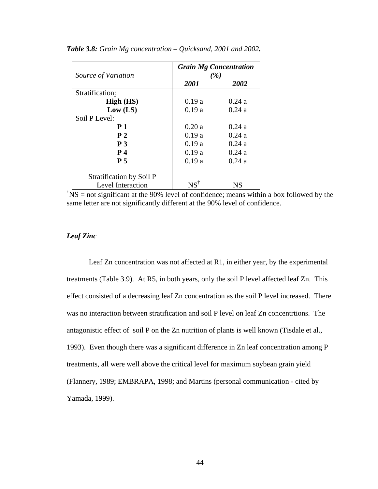|                          | <b>Grain Mg Concentration</b> |       |  |
|--------------------------|-------------------------------|-------|--|
| Source of Variation      |                               | (%)   |  |
|                          | 2001                          | 2002  |  |
| Stratification:          |                               |       |  |
| High (HS)                | 0.19a                         | 0.24a |  |
| Low (LS)                 | 0.19a                         | 0.24a |  |
| Soil P Level:            |                               |       |  |
| <b>P</b> 1               | 0.20a                         | 0.24a |  |
| P <sub>2</sub>           | 0.19a                         | 0.24a |  |
| P <sub>3</sub>           | 0.19a                         | 0.24a |  |
| P <sub>4</sub>           | 0.19a                         | 0.24a |  |
| <b>P</b> 5               | 0.19a                         | 0.24a |  |
| Stratification by Soil P |                               |       |  |
| Level Interaction        | $\mathrm{NS}^\dagger$         | NS    |  |

*Table 3.8: Grain Mg concentration – Quicksand, 2001 and 2002.* 

 $\sqrt{T}$ NS = not significant at the 90% level of confidence; means within a box followed by the same letter are not significantly different at the 90% level of confidence.

# *Leaf Zinc*

Leaf Zn concentration was not affected at R1, in either year, by the experimental treatments (Table 3.9). At R5, in both years, only the soil P level affected leaf Zn. This effect consisted of a decreasing leaf Zn concentration as the soil P level increased. There was no interaction between stratification and soil P level on leaf Zn concentrtions. The antagonistic effect of soil P on the Zn nutrition of plants is well known (Tisdale et al., 1993). Even though there was a significant difference in Zn leaf concentration among P treatments, all were well above the critical level for maximum soybean grain yield (Flannery, 1989; EMBRAPA, 1998; and Martins (personal communication - cited by Yamada, 1999).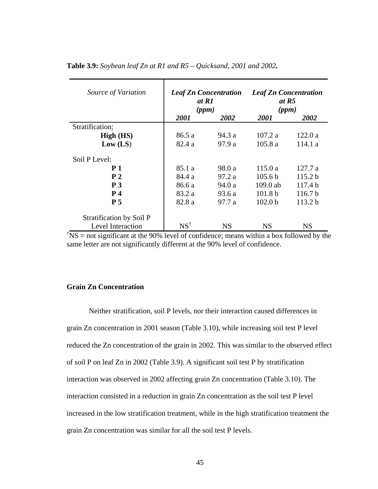| Source of Variation      | <b>Leaf Zn Concentration</b><br>at R1<br>(ppm) |             | <b>Leaf Zn Concentration</b><br>at R5<br>(ppm) |                    |  |
|--------------------------|------------------------------------------------|-------------|------------------------------------------------|--------------------|--|
|                          | <i>2001</i>                                    | <b>2002</b> | <i>2001</i>                                    | <b>2002</b>        |  |
| Stratification:          |                                                |             |                                                |                    |  |
| High (HS)                | 86.5 a                                         | 94.3 a      | 107.2 a                                        | 122.0a             |  |
| Low (LS)                 | 82.4 a                                         | 97.9 a      | 105.8a                                         | 114.1 a            |  |
| Soil P Level:            |                                                |             |                                                |                    |  |
| <b>P</b> 1               | 85.1 a                                         | 98.0 a      | 115.0a                                         | 127.7 a            |  |
| P <sub>2</sub>           | 84.4 a                                         | 97.2 a      | 105.6 <sub>b</sub>                             | 115.2 b            |  |
| P <sub>3</sub>           | 86.6 a                                         | 94.0 a      | $109.0$ ab                                     | 117.4 <sub>b</sub> |  |
| <b>P</b> 4               | 83.2 a                                         | 93.6 a      | 101.8 <sub>b</sub>                             | 116.7 <sub>b</sub> |  |
| <b>P</b> 5               | 82.8 a                                         | 97.7a       | 102.0 <sub>b</sub>                             | 113.2 <sub>b</sub> |  |
| Stratification by Soil P |                                                |             |                                                |                    |  |
| Level Interaction        | $NS^{\dagger}$                                 | NS          | NS                                             | <b>NS</b>          |  |

#### **Table 3.9:** *Soybean leaf Zn at R1 and R5 – Quicksand, 2001 and 2002.*

 $\overline{f}$ NS = not significant at the 90% level of confidence; means within a box followed by the same letter are not significantly different at the 90% level of confidence.

## **Grain Zn Concentration**

Neither stratification, soil P levels, nor their interaction caused differences in grain Zn concentration in 2001 season (Table 3.10), while increasing soil test P level reduced the Zn concentration of the grain in 2002. This was similar to the observed effect of soil P on leaf Zn in 2002 (Table 3.9). A significant soil test P by stratification interaction was observed in 2002 affecting grain Zn concentration (Table 3.10). The interaction consisted in a reduction in grain Zn concentration as the soil test P level increased in the low stratification treatment, while in the high stratification treatment the grain Zn concentration was similar for all the soil test P levels.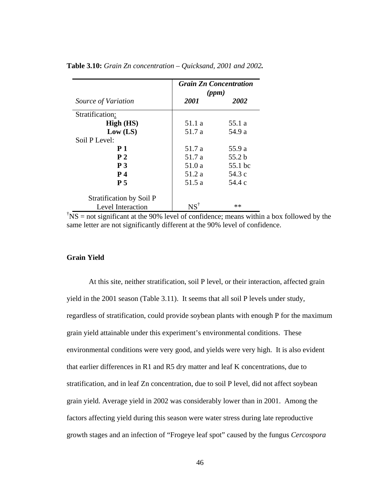|                          | <b>Grain Zn Concentration</b><br>(ppm) |         |  |
|--------------------------|----------------------------------------|---------|--|
| Source of Variation      | 2001                                   | 2002    |  |
| Stratification:          |                                        |         |  |
| High (HS)                | 51.1 a                                 | 55.1 a  |  |
| Low (LS)                 | 51.7 a                                 | 54.9 a  |  |
| Soil P Level:            |                                        |         |  |
| <b>P</b> 1               | 51.7 a                                 | 55.9 a  |  |
| P <sub>2</sub>           | 51.7 a                                 | 55.2 b  |  |
| P <sub>3</sub>           | 51.0 a                                 | 55.1 bc |  |
| <b>P</b> 4               | 51.2 a                                 | 54.3 c  |  |
| P <sub>5</sub>           | 51.5 a                                 | 54.4 c  |  |
| Stratification by Soil P |                                        |         |  |
| Level Interaction        | $NS^{\dagger}$                         | $**$    |  |

**Table 3.10:** *Grain Zn concentration – Quicksand, 2001 and 2002.*

 $\sqrt{\text{NS}}$  = not significant at the 90% level of confidence; means within a box followed by the same letter are not significantly different at the 90% level of confidence.

# **Grain Yield**

At this site, neither stratification, soil P level, or their interaction, affected grain yield in the 2001 season (Table 3.11). It seems that all soil P levels under study, regardless of stratification, could provide soybean plants with enough P for the maximum grain yield attainable under this experiment's environmental conditions. These environmental conditions were very good, and yields were very high. It is also evident that earlier differences in R1 and R5 dry matter and leaf K concentrations, due to stratification, and in leaf Zn concentration, due to soil P level, did not affect soybean grain yield. Average yield in 2002 was considerably lower than in 2001. Among the factors affecting yield during this season were water stress during late reproductive growth stages and an infection of "Frogeye leaf spot" caused by the fungus *Cercospora*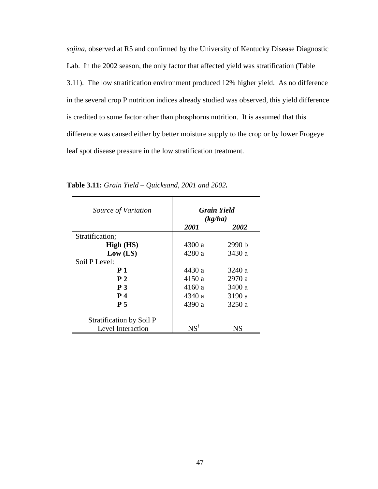*sojina*, observed at R5 and confirmed by the University of Kentucky Disease Diagnostic Lab. In the 2002 season, the only factor that affected yield was stratification (Table 3.11). The low stratification environment produced 12% higher yield. As no difference in the several crop P nutrition indices already studied was observed, this yield difference is credited to some factor other than phosphorus nutrition. It is assumed that this difference was caused either by better moisture supply to the crop or by lower Frogeye leaf spot disease pressure in the low stratification treatment.

| Source of Variation      | <b>Grain Yield</b><br>(kg/ha) |        |  |
|--------------------------|-------------------------------|--------|--|
|                          | 2001                          | 2002   |  |
| Stratification:          |                               |        |  |
| High (HS)                | 4300a                         | 2990 b |  |
| Low (LS)                 | 4280 a                        | 3430 a |  |
| Soil P Level:            |                               |        |  |
| <b>P</b> 1               | 4430 a                        | 3240 a |  |
| P <sub>2</sub>           | 4150a                         | 2970 a |  |
| P <sub>3</sub>           | 4160a                         | 3400 a |  |
| <b>P</b> 4               | 4340 a                        | 3190 a |  |
| P <sub>5</sub>           | 4390 a                        | 3250 a |  |
| Stratification by Soil P |                               |        |  |
| Level Interaction        | $NS^{\dagger}$                | NS     |  |

**Table 3.11:** *Grain Yield – Quicksand, 2001 and 2002.*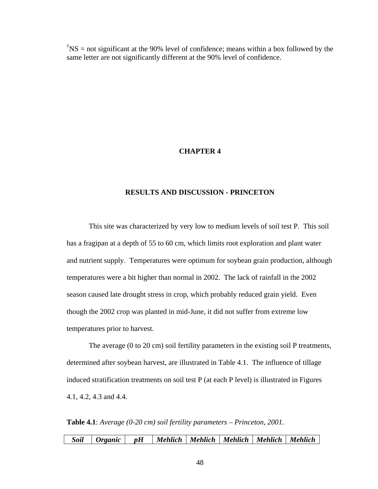$\text{NSS}$  = not significant at the 90% level of confidence; means within a box followed by the same letter are not significantly different at the 90% level of confidence.

### **CHAPTER 4**

#### **RESULTS AND DISCUSSION - PRINCETON**

This site was characterized by very low to medium levels of soil test P. This soil has a fragipan at a depth of 55 to 60 cm, which limits root exploration and plant water and nutrient supply. Temperatures were optimum for soybean grain production, although temperatures were a bit higher than normal in 2002. The lack of rainfall in the 2002 season caused late drought stress in crop, which probably reduced grain yield. Even though the 2002 crop was planted in mid-June, it did not suffer from extreme low temperatures prior to harvest.

The average (0 to 20 cm) soil fertility parameters in the existing soil P treatments, determined after soybean harvest, are illustrated in Table 4.1. The influence of tillage induced stratification treatments on soil test P (at each P level) is illustrated in Figures 4.1, 4.2, 4.3 and 4.4.

**Table 4.1**: *Average (0-20 cm) soil fertility parameters – Princeton, 2001.* 

| Mehlich   Mehlich   Mehlich   Mehlich   Mehlich |  | Soil   Organic   pH |  |  |  |  |  |  |
|-------------------------------------------------|--|---------------------|--|--|--|--|--|--|
|-------------------------------------------------|--|---------------------|--|--|--|--|--|--|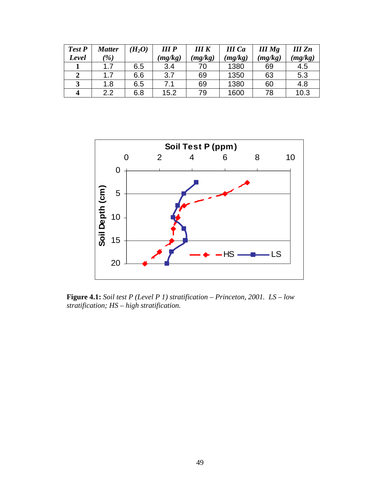| Test P | Matter        | $H_2O$ | III <sub>P</sub> | IIIK    | <b>III</b> Ca | <b>III</b> Mg | <b>III</b> Zn |
|--------|---------------|--------|------------------|---------|---------------|---------------|---------------|
| Level  | $\frac{9}{6}$ |        | (mg/kg)          | (mg/kg) | (mg/kg)       | (mg/kg)       | (mg/kg)       |
|        | 17            | 6.5    | 3.4              | 70      | 1380          | 69            | 4.5           |
|        |               | 6.6    | 3.7              | 69      | 1350          | 63            | 5.3           |
| 3      | 1.8           | 6.5    | 7.1              | 69      | 1380          | 60            | 4.8           |
|        | 2.2           | 6.8    | 15.2             | 79      | 1600          | 78            | 10.3          |



**Figure 4.1:** *Soil test P (Level P 1) stratification – Princeton, 2001. LS – low stratification; HS – high stratification.*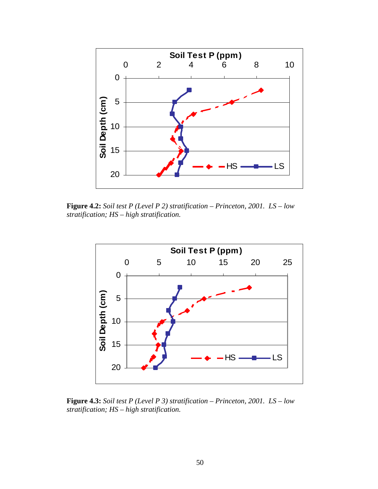

**Figure 4.2:** *Soil test P (Level P 2) stratification – Princeton, 2001. LS – low stratification; HS – high stratification.*



**Figure 4.3:** *Soil test P (Level P 3) stratification – Princeton, 2001. LS – low stratification; HS – high stratification.*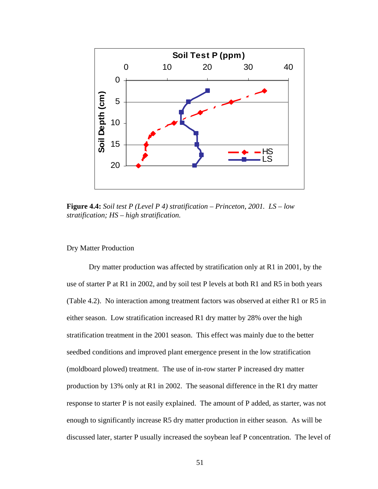

**Figure 4.4:** *Soil test P (Level P 4) stratification – Princeton, 2001. LS – low stratification; HS – high stratification.*

Dry Matter Production

Dry matter production was affected by stratification only at R1 in 2001, by the use of starter P at R1 in 2002, and by soil test P levels at both R1 and R5 in both years (Table 4.2). No interaction among treatment factors was observed at either R1 or R5 in either season. Low stratification increased R1 dry matter by 28% over the high stratification treatment in the 2001 season. This effect was mainly due to the better seedbed conditions and improved plant emergence present in the low stratification (moldboard plowed) treatment. The use of in-row starter P increased dry matter production by 13% only at R1 in 2002. The seasonal difference in the R1 dry matter response to starter P is not easily explained. The amount of P added, as starter, was not enough to significantly increase R5 dry matter production in either season. As will be discussed later, starter P usually increased the soybean leaf P concentration. The level of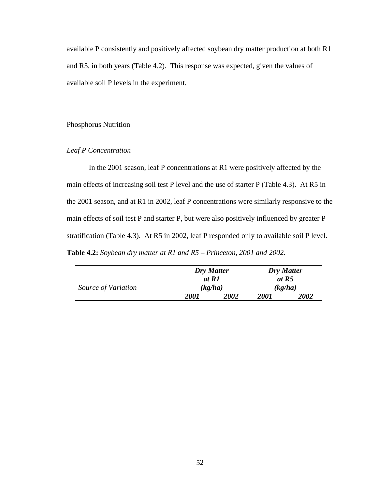available P consistently and positively affected soybean dry matter production at both R1 and R5, in both years (Table 4.2). This response was expected, given the values of available soil P levels in the experiment.

#### Phosphorus Nutrition

# *Leaf P Concentration*

In the 2001 season, leaf P concentrations at R1 were positively affected by the main effects of increasing soil test P level and the use of starter P (Table 4.3). At R5 in the 2001 season, and at R1 in 2002, leaf P concentrations were similarly responsive to the main effects of soil test P and starter P, but were also positively influenced by greater P stratification (Table 4.3). At R5 in 2002, leaf P responded only to available soil P level. **Table 4.2:** *Soybean dry matter at R1 and R5 – Princeton, 2001 and 2002.* 

|                     | at R1 | <b>Dry Matter</b> | Dry Matter<br>at R5 |         |
|---------------------|-------|-------------------|---------------------|---------|
| Source of Variation |       | (kg/ha)           |                     | (kg/ha) |
|                     | 2001  | 2002              | 2001                | 2002    |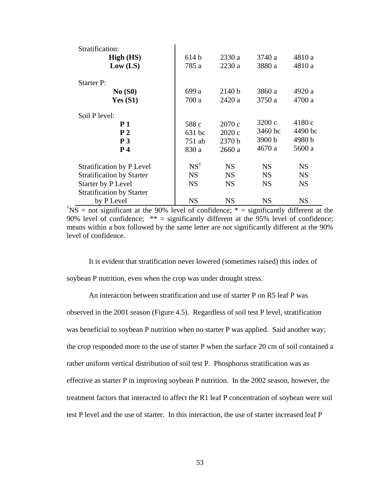| Stratification:                  |                |           |           |           |
|----------------------------------|----------------|-----------|-----------|-----------|
| High (HS)                        | 614 b          | 2330a     | 3740 a    | 4810 a    |
| Low (LS)                         | 785 a          | 2230 a    | 3880 a    | 4810 a    |
| <b>Starter P:</b>                |                |           |           |           |
| No(S0)                           | 699 a          | 2140 b    | 3860 a    | 4920 a    |
| Yes $(S1)$                       | 700 a          | 2420 a    | 3750 a    | 4700 a    |
| Soil P level:                    |                |           |           |           |
| <b>P</b> 1                       | 588 c          | 2070 c    | 3200 c    | 4180 c    |
| P <sub>2</sub>                   | 631 bc         | 2020 c    | 3460 bc   | 4490 bc   |
| P <sub>3</sub>                   | 751 ab         | 2370 b    | 3900 b    | 4980 b    |
| P <sub>4</sub>                   | 830 a          | 2660 a    | 4670 a    | 5600 a    |
| <b>Stratification by P Level</b> | $NS^{\dagger}$ | <b>NS</b> | <b>NS</b> | <b>NS</b> |
| <b>Stratification by Starter</b> | <b>NS</b>      | <b>NS</b> | <b>NS</b> | <b>NS</b> |
| Starter by P Level               | <b>NS</b>      | <b>NS</b> | <b>NS</b> | <b>NS</b> |
| <b>Stratification by Starter</b> |                |           |           |           |
| by P Level                       | <b>NS</b>      | <b>NS</b> | <b>NS</b> | <b>NS</b> |

<sup>†</sup>NS = not significant at the 90% level of confidence;  $*$  = significantly different at the 90% level of confidence; \*\* = significantly different at the 95% level of confidence; means within a box followed by the same letter are not significantly different at the 90% level of confidence.

It is evident that stratification never lowered (sometimes raised) this index of soybean P nutrition, even when the crop was under drought stress.

An interaction between stratification and use of starter P on R5 leaf P was observed in the 2001 season (Figure 4.5). Regardless of soil test P level, stratification was beneficial to soybean P nutrition when no starter P was applied. Said another way; the crop responded more to the use of starter P when the surface 20 cm of soil contained a rather uniform vertical distribution of soil test P. Phosphorus stratification was as effective as starter P in improving soybean P nutrition. In the 2002 season, however, the treatment factors that interacted to affect the R1 leaf P concentration of soybean were soil test P level and the use of starter. In this interaction, the use of starter increased leaf P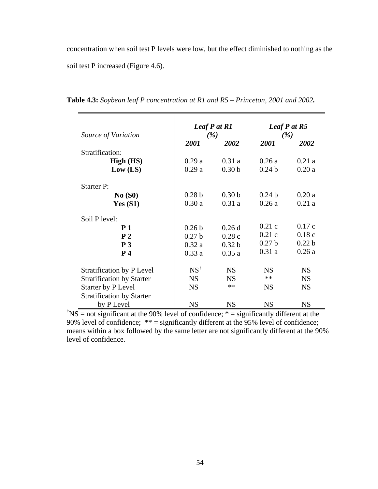concentration when soil test P levels were low, but the effect diminished to nothing as the soil test P increased (Figure 4.6).

| Source of Variation              | Leaf P at R1<br>(%) |                   | Leaf $P$ at $R5$<br>(%) |                   |
|----------------------------------|---------------------|-------------------|-------------------------|-------------------|
|                                  | 2001                | 2002              | <i>2001</i>             | 2002              |
| Stratification:                  |                     |                   |                         |                   |
| High (HS)                        | 0.29a               | 0.31a             | 0.26a                   | 0.21a             |
| Low (LS)                         | 0.29a               | 0.30 <sub>b</sub> | 0.24 <sub>b</sub>       | 0.20a             |
| <b>Starter P:</b>                |                     |                   |                         |                   |
| No(S0)                           | 0.28 <sub>b</sub>   | 0.30 <sub>b</sub> | 0.24 <sub>b</sub>       | 0.20a             |
| Yes $(S1)$                       | 0.30a               | 0.31a             | 0.26a                   | 0.21a             |
| Soil P level:                    |                     |                   |                         |                   |
| P <sub>1</sub>                   | 0.26 <sub>b</sub>   | 0.26d             | 0.21c                   | 0.17c             |
| P <sub>2</sub>                   | 0.27 <sub>b</sub>   | 0.28c             | 0.21c                   | 0.18c             |
| P <sub>3</sub>                   | 0.32a               | 0.32 <sub>b</sub> | 0.27 <sub>b</sub>       | 0.22 <sub>b</sub> |
| P <sub>4</sub>                   | 0.33a               | 0.35a             | 0.31a                   | 0.26a             |
| <b>Stratification by P Level</b> | $NS^{\dagger}$      | <b>NS</b>         | <b>NS</b>               | <b>NS</b>         |
| <b>Stratification by Starter</b> | <b>NS</b>           | <b>NS</b>         | $**$                    | <b>NS</b>         |
| Starter by P Level               | <b>NS</b>           | $**$              | <b>NS</b>               | <b>NS</b>         |
| <b>Stratification by Starter</b> |                     |                   |                         |                   |
| by P Level                       | <b>NS</b>           | <b>NS</b>         | <b>NS</b>               | <b>NS</b>         |

**Table 4.3:** *Soybean leaf P concentration at R1 and R5 – Princeton, 2001 and 2002.* 

<sup>†</sup>NS = not significant at the 90% level of confidence;  $*$  = significantly different at the 90% level of confidence; \*\* = significantly different at the 95% level of confidence; means within a box followed by the same letter are not significantly different at the 90% level of confidence.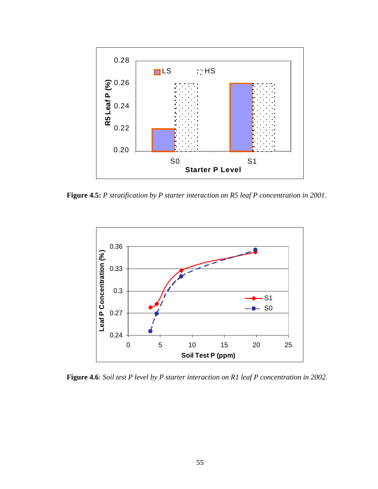

**Figure 4.5:** *P stratification by P starter interaction on R5 leaf P concentration in 2001.*



**Figure 4.6**: *Soil test P level by P starter interaction on R1 leaf P concentration in 2002.*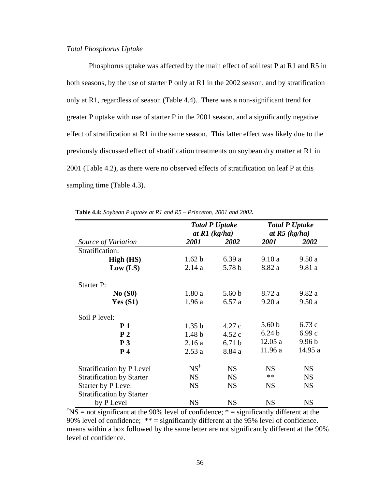## *Total Phosphorus Uptake*

Phosphorus uptake was affected by the main effect of soil test P at R1 and R5 in both seasons, by the use of starter P only at R1 in the 2002 season, and by stratification only at R1, regardless of season (Table 4.4). There was a non-significant trend for greater P uptake with use of starter P in the 2001 season, and a significantly negative effect of stratification at R1 in the same season. This latter effect was likely due to the previously discussed effect of stratification treatments on soybean dry matter at R1 in 2001 (Table 4.2), as there were no observed effects of stratification on leaf P at this sampling time (Table 4.3).

|                                  |                   | <b>Total P Uptake</b><br>at $R1$ (kg/ha) |                   | <b>Total P Uptake</b><br>at $R5$ (kg/ha) |
|----------------------------------|-------------------|------------------------------------------|-------------------|------------------------------------------|
| Source of Variation              | 2001              | 2002                                     | 2001              | 2002                                     |
| Stratification:                  |                   |                                          |                   |                                          |
| High (HS)                        | 1.62 b            | 6.39a                                    | 9.10a             | 9.50a                                    |
| Low (LS)                         | 2.14a             | 5.78 b                                   | 8.82 a            | 9.81a                                    |
| <b>Starter P:</b>                |                   |                                          |                   |                                          |
| No(S0)                           | 1.80a             | 5.60 <sub>b</sub>                        | 8.72 a            | 9.82a                                    |
| Yes $(S1)$                       | 1.96a             | 6.57a                                    | 9.20a             | 9.50a                                    |
| Soil P level:                    |                   |                                          |                   |                                          |
| P <sub>1</sub>                   | 1.35 <sub>b</sub> | 4.27c                                    | 5.60 <sub>b</sub> | 6.73c                                    |
| P <sub>2</sub>                   | 1.48 <sub>b</sub> | 4.52c                                    | 6.24 <sub>b</sub> | 6.99c                                    |
| P <sub>3</sub>                   | 2.16a             | 6.71 <sub>b</sub>                        | 12.05a            | 9.96 <sub>b</sub>                        |
| P <sub>4</sub>                   | 2.53a             | 8.84 a                                   | 11.96a            | 14.95 a                                  |
| <b>Stratification by P Level</b> | $NS^{\dagger}$    | <b>NS</b>                                | <b>NS</b>         | <b>NS</b>                                |
| <b>Stratification by Starter</b> | <b>NS</b>         | <b>NS</b>                                | $**$              | <b>NS</b>                                |
| Starter by P Level               | <b>NS</b>         | <b>NS</b>                                | <b>NS</b>         | <b>NS</b>                                |
| <b>Stratification by Starter</b> |                   |                                          |                   |                                          |
| by P Level                       | <b>NS</b>         | <b>NS</b>                                | <b>NS</b>         | <b>NS</b>                                |

**Table 4.4:** *Soybean P uptake at R1 and R5 – Princeton, 2001 and 2002.*

<sup>†</sup>NS = not significant at the 90% level of confidence;  $*$  = significantly different at the 90% level of confidence; \*\* = significantly different at the 95% level of confidence. means within a box followed by the same letter are not significantly different at the 90% level of confidence.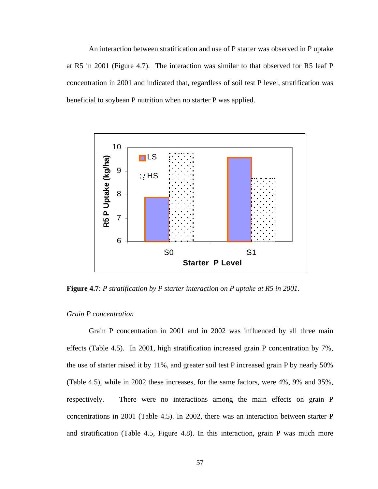An interaction between stratification and use of P starter was observed in P uptake at R5 in 2001 (Figure 4.7). The interaction was similar to that observed for R5 leaf P concentration in 2001 and indicated that, regardless of soil test P level, stratification was beneficial to soybean P nutrition when no starter P was applied.



**Figure 4.7**: *P stratification by P starter interaction on P uptake at R5 in 2001.*

## *Grain P concentration*

Grain P concentration in 2001 and in 2002 was influenced by all three main effects (Table 4.5). In 2001, high stratification increased grain P concentration by 7%, the use of starter raised it by 11%, and greater soil test P increased grain P by nearly 50% (Table 4.5), while in 2002 these increases, for the same factors, were 4%, 9% and 35%, respectively. There were no interactions among the main effects on grain P concentrations in 2001 (Table 4.5). In 2002, there was an interaction between starter P and stratification (Table 4.5, Figure 4.8). In this interaction, grain P was much more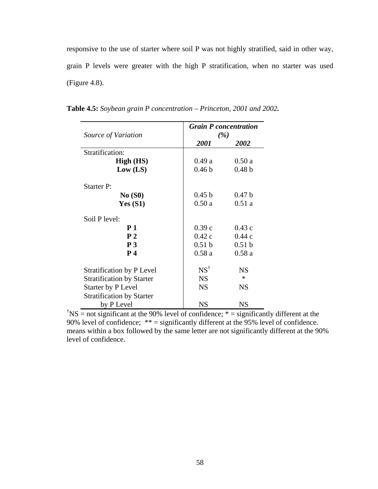responsive to the use of starter where soil P was not highly stratified, said in other way, grain P levels were greater with the high P stratification, when no starter was used (Figure 4.8).

|                                  | <b>Grain P</b> concentration |                   |
|----------------------------------|------------------------------|-------------------|
| Source of Variation              | (%)                          |                   |
|                                  | 2001                         | 2002              |
| Stratification:                  |                              |                   |
| High (HS)                        | 0.49a                        | 0.50a             |
| Low (LS)                         | 0.46 <sub>b</sub>            | 0.48 <sub>b</sub> |
| Starter P:                       |                              |                   |
| No(S0)                           | 0.45 <sub>b</sub>            | 0.47 <sub>b</sub> |
| Yes $(S1)$                       | 0.50a                        | 0.51a             |
| Soil P level:                    |                              |                   |
| P <sub>1</sub>                   | 0.39c                        | 0.43c             |
| P <sub>2</sub>                   | 0.42c                        | 0.44c             |
| P <sub>3</sub>                   | 0.51 <sub>b</sub>            | 0.51 b            |
| P <sub>4</sub>                   | 0.58a                        | 0.58a             |
| <b>Stratification by P Level</b> | $NS^{\dagger}$               | <b>NS</b>         |
| <b>Stratification by Starter</b> | <b>NS</b>                    | $\ast$            |
| Starter by P Level               | <b>NS</b>                    | <b>NS</b>         |
| <b>Stratification by Starter</b> |                              |                   |
| by P Level                       | <b>NS</b>                    | <b>NS</b>         |

**Table 4.5:** *Soybean grain P concentration – Princeton, 2001 and 2002.* 

<sup>†</sup>NS = not significant at the 90% level of confidence;  $* =$  significantly different at the 90% level of confidence; \*\* = significantly different at the 95% level of confidence. means within a box followed by the same letter are not significantly different at the 90% level of confidence.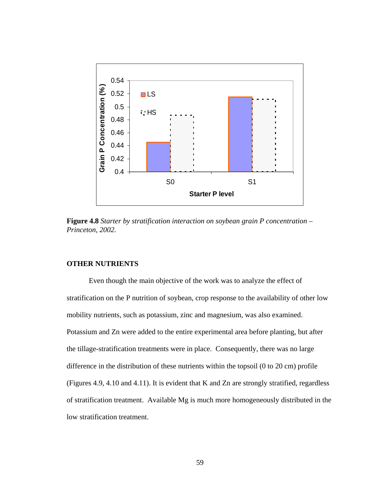

**Figure 4.8** *Starter by stratification interaction on soybean grain P concentration – Princeton, 2002.* 

### **OTHER NUTRIENTS**

Even though the main objective of the work was to analyze the effect of stratification on the P nutrition of soybean, crop response to the availability of other low mobility nutrients, such as potassium, zinc and magnesium, was also examined. Potassium and Zn were added to the entire experimental area before planting, but after the tillage-stratification treatments were in place. Consequently, there was no large difference in the distribution of these nutrients within the topsoil (0 to 20 cm) profile (Figures 4.9, 4.10 and 4.11). It is evident that K and Zn are strongly stratified, regardless of stratification treatment. Available Mg is much more homogeneously distributed in the low stratification treatment.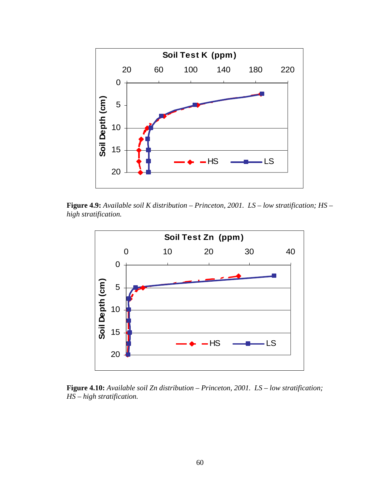

**Figure 4.9:** *Available soil K distribution – Princeton, 2001. LS – low stratification; HS – high stratification.* 



**Figure 4.10:** *Available soil Zn distribution – Princeton, 2001. LS – low stratification; HS – high stratification.*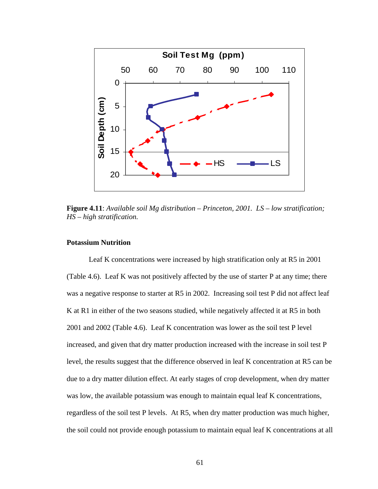

**Figure 4.11**: *Available soil Mg distribution – Princeton, 2001. LS – low stratification; HS – high stratification.* 

### **Potassium Nutrition**

Leaf K concentrations were increased by high stratification only at R5 in 2001 (Table 4.6). Leaf K was not positively affected by the use of starter P at any time; there was a negative response to starter at R5 in 2002. Increasing soil test P did not affect leaf K at R1 in either of the two seasons studied, while negatively affected it at R5 in both 2001 and 2002 (Table 4.6). Leaf K concentration was lower as the soil test P level increased, and given that dry matter production increased with the increase in soil test P level, the results suggest that the difference observed in leaf K concentration at R5 can be due to a dry matter dilution effect. At early stages of crop development, when dry matter was low, the available potassium was enough to maintain equal leaf K concentrations, regardless of the soil test P levels. At R5, when dry matter production was much higher, the soil could not provide enough potassium to maintain equal leaf K concentrations at all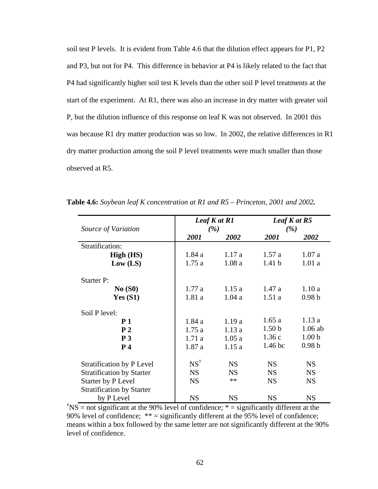soil test P levels. It is evident from Table 4.6 that the dilution effect appears for P1, P2 and P3, but not for P4. This difference in behavior at P4 is likely related to the fact that P4 had significantly higher soil test K levels than the other soil P level treatments at the start of the experiment. At R1, there was also an increase in dry matter with greater soil P, but the dilution influence of this response on leaf K was not observed. In 2001 this was because R1 dry matter production was so low. In 2002, the relative differences in R1 dry matter production among the soil P level treatments were much smaller than those observed at R5.

|                                  |                | Leaf K at R1 |                    | Leaf K at R5      |
|----------------------------------|----------------|--------------|--------------------|-------------------|
| Source of Variation              |                | (%)          |                    | (%)               |
|                                  | 2001           | 2002         | 2001               | 2002              |
| Stratification:                  |                |              |                    |                   |
| High (HS)                        | 1.84a          | 1.17a        | 1.57a              | 1.07a             |
| Low (LS)                         | 1.75a          | 1.08a        | 1.41 <sub>b</sub>  | 1.01a             |
| <b>Starter P:</b>                |                |              |                    |                   |
| No(S0)                           | 1.77a          | 1.15a        | 1.47a              | 1.10a             |
| Yes(S1)                          | 1.81a          | 1.04a        | 1.51a              | 0.98 <sub>b</sub> |
| Soil P level:                    |                |              |                    |                   |
| P <sub>1</sub>                   | 1.84a          | 1.19a        | 1.65a              | 1.13a             |
| P <sub>2</sub>                   | 1.75a          | 1.13a        | 1.50 <sub>b</sub>  | $1.06$ ab         |
| P <sub>3</sub>                   | 1.71a          | 1.05a        | 1.36c              | 1.00 <sub>b</sub> |
| P <sub>4</sub>                   | 1.87a          | 1.15a        | 1.46 <sub>bc</sub> | 0.98 <sub>b</sub> |
| <b>Stratification by P Level</b> | $NS^{\dagger}$ | <b>NS</b>    | <b>NS</b>          | <b>NS</b>         |
| <b>Stratification by Starter</b> | <b>NS</b>      | <b>NS</b>    | <b>NS</b>          | <b>NS</b>         |
| <b>Starter by P Level</b>        | <b>NS</b>      | $**$         | <b>NS</b>          | <b>NS</b>         |
| <b>Stratification by Starter</b> |                |              |                    |                   |
| by P Level                       | <b>NS</b>      | <b>NS</b>    | <b>NS</b>          | <b>NS</b>         |

**Table 4.6:** *Soybean leaf K concentration at R1 and R5 – Princeton, 2001 and 2002.* 

<sup>†</sup>NS = not significant at the 90% level of confidence;  $*$  = significantly different at the 90% level of confidence; \*\* = significantly different at the 95% level of confidence; means within a box followed by the same letter are not significantly different at the 90% level of confidence.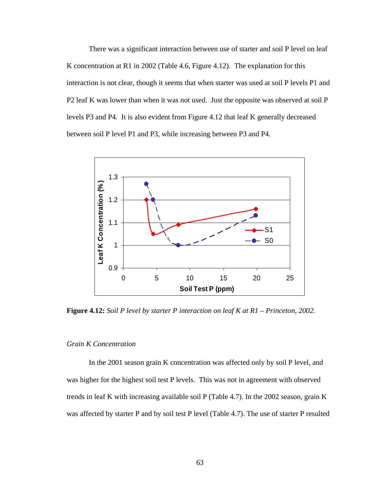There was a significant interaction between use of starter and soil P level on leaf K concentration at R1 in 2002 (Table 4.6, Figure 4.12). The explanation for this interaction is not clear, though it seems that when starter was used at soil P levels P1 and P2 leaf K was lower than when it was not used. Just the opposite was observed at soil P levels P3 and P4. It is also evident from Figure 4.12 that leaf K generally decreased between soil P level P1 and P3, while increasing between P3 and P4.



**Figure 4.12:** *Soil P level by starter P interaction on leaf K at R1 – Princeton, 2002.* 

#### *Grain K Concentration*

In the 2001 season grain K concentration was affected only by soil P level, and was higher for the highest soil test P levels. This was not in agreement with observed trends in leaf K with increasing available soil P (Table 4.7). In the 2002 season, grain K was affected by starter P and by soil test P level (Table 4.7). The use of starter P resulted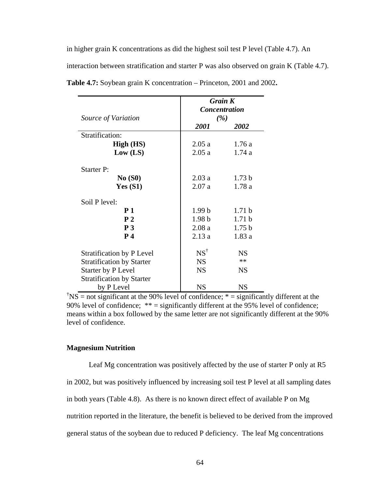in higher grain K concentrations as did the highest soil test P level (Table 4.7). An

interaction between stratification and starter P was also observed on grain K (Table 4.7).

|                                  | <b>Grain K</b>              |                   |  |  |
|----------------------------------|-----------------------------|-------------------|--|--|
|                                  | <i><b>Concentration</b></i> |                   |  |  |
| Source of Variation              |                             | (%)               |  |  |
|                                  | 2001                        | 2002              |  |  |
| Stratification:                  |                             |                   |  |  |
| High (HS)                        | 2.05a                       | 1.76a             |  |  |
| Low (LS)                         | 2.05a                       | 1.74a             |  |  |
| <b>Starter P:</b>                |                             |                   |  |  |
| No(S0)                           | 2.03a                       | 1.73 <sub>b</sub> |  |  |
| <b>Yes (S1)</b>                  | 2.07a                       | 1.78 a            |  |  |
| Soil P level:                    |                             |                   |  |  |
| P <sub>1</sub>                   | 1.99 <sub>b</sub>           | 1.71 <sub>b</sub> |  |  |
| P <sub>2</sub>                   | 1.98 <sub>b</sub>           | 1.71 <sub>b</sub> |  |  |
| P <sub>3</sub>                   | 2.08a                       | 1.75 <sub>b</sub> |  |  |
| P <sub>4</sub>                   | 2.13a                       | 1.83a             |  |  |
| <b>Stratification by P Level</b> | $NS^{\dagger}$              | <b>NS</b>         |  |  |
| <b>Stratification by Starter</b> | <b>NS</b>                   | $**$              |  |  |
| Starter by P Level               | <b>NS</b>                   | <b>NS</b>         |  |  |
| <b>Stratification by Starter</b> |                             |                   |  |  |
| by P Level                       | NS                          | <b>NS</b>         |  |  |

**Table 4.7:** Soybean grain K concentration – Princeton, 2001 and 2002**.** 

<sup>†</sup>NS = not significant at the 90% level of confidence;  $* =$  significantly different at the 90% level of confidence; \*\* = significantly different at the 95% level of confidence; means within a box followed by the same letter are not significantly different at the 90% level of confidence.

### **Magnesium Nutrition**

Leaf Mg concentration was positively affected by the use of starter P only at R5 in 2002, but was positively influenced by increasing soil test P level at all sampling dates in both years (Table 4.8). As there is no known direct effect of available P on Mg nutrition reported in the literature, the benefit is believed to be derived from the improved general status of the soybean due to reduced P deficiency. The leaf Mg concentrations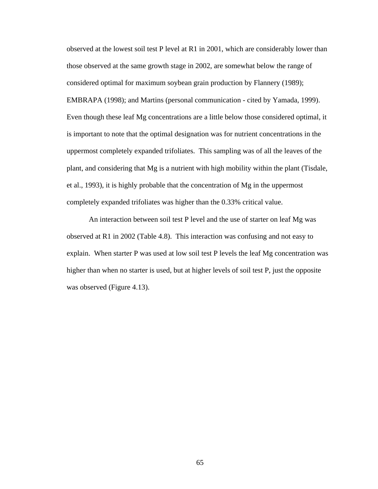observed at the lowest soil test P level at R1 in 2001, which are considerably lower than those observed at the same growth stage in 2002, are somewhat below the range of considered optimal for maximum soybean grain production by Flannery (1989); EMBRAPA (1998); and Martins (personal communication - cited by Yamada, 1999). Even though these leaf Mg concentrations are a little below those considered optimal, it is important to note that the optimal designation was for nutrient concentrations in the uppermost completely expanded trifoliates. This sampling was of all the leaves of the plant, and considering that Mg is a nutrient with high mobility within the plant (Tisdale, et al., 1993), it is highly probable that the concentration of Mg in the uppermost completely expanded trifoliates was higher than the 0.33% critical value.

An interaction between soil test P level and the use of starter on leaf Mg was observed at R1 in 2002 (Table 4.8). This interaction was confusing and not easy to explain. When starter P was used at low soil test P levels the leaf Mg concentration was higher than when no starter is used, but at higher levels of soil test P, just the opposite was observed (Figure 4.13).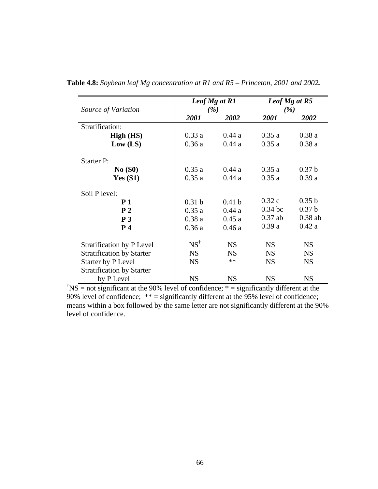| Source of Variation              |                   | Leaf Mg at R1<br>(%) |           | Leaf Mg at R5<br>(%) |
|----------------------------------|-------------------|----------------------|-----------|----------------------|
|                                  | 2001              | 2002                 | 2001      | 2002                 |
| Stratification:                  |                   |                      |           |                      |
| High (HS)                        | 0.33a             | 0.44a                | 0.35a     | 0.38a                |
| Low (LS)                         | 0.36a             | 0.44a                | 0.35a     | 0.38a                |
| <b>Starter P:</b>                |                   |                      |           |                      |
| No(S0)                           | 0.35a             | 0.44a                | 0.35a     | 0.37 <sub>b</sub>    |
| Yes $(S1)$                       | 0.35a             | 0.44a                | 0.35a     | 0.39a                |
| Soil P level:                    |                   |                      |           |                      |
| P <sub>1</sub>                   | 0.31 <sub>b</sub> | 0.41 <sub>b</sub>    | 0.32c     | 0.35 <sub>b</sub>    |
| P <sub>2</sub>                   | 0.35a             | 0.44a                | $0.34$ bc | 0.37 <sub>b</sub>    |
| P <sub>3</sub>                   | 0.38a             | 0.45a                | $0.37$ ab | $0.38$ ab            |
| P <sub>4</sub>                   | 0.36a             | 0.46a                | 0.39a     | 0.42a                |
| <b>Stratification by P Level</b> | $NS^{\dagger}$    | <b>NS</b>            | <b>NS</b> | <b>NS</b>            |
| <b>Stratification by Starter</b> | <b>NS</b>         | <b>NS</b>            | <b>NS</b> | <b>NS</b>            |
| Starter by P Level               | <b>NS</b>         | **                   | <b>NS</b> | <b>NS</b>            |
| <b>Stratification by Starter</b> |                   |                      |           |                      |
| by P Level                       | <b>NS</b>         | <b>NS</b>            | <b>NS</b> | <b>NS</b>            |

**Table 4.8:** *Soybean leaf Mg concentration at R1 and R5 – Princeton, 2001 and 2002.* 

<sup>†</sup>NS = not significant at the 90% level of confidence;  $*$  = significantly different at the 90% level of confidence; \*\* = significantly different at the 95% level of confidence; means within a box followed by the same letter are not significantly different at the 90% level of confidence.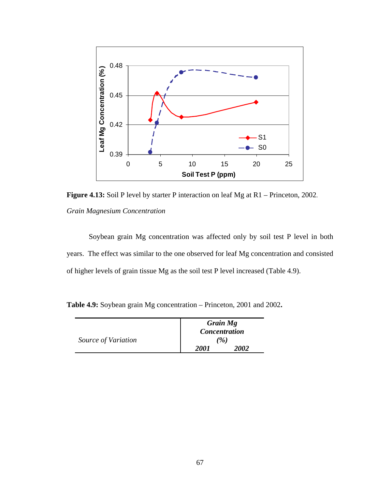

**Figure 4.13:** Soil P level by starter P interaction on leaf Mg at R1 – Princeton, 2002. *Grain Magnesium Concentration* 

Soybean grain Mg concentration was affected only by soil test P level in both years. The effect was similar to the one observed for leaf Mg concentration and consisted of higher levels of grain tissue Mg as the soil test P level increased (Table 4.9).

**Table 4.9:** Soybean grain Mg concentration – Princeton, 2001 and 2002**.** 

|                     |      | Grain Mg<br><b>Concentration</b> |  |
|---------------------|------|----------------------------------|--|
| Source of Variation | (%)  |                                  |  |
|                     | 2001 | 2002                             |  |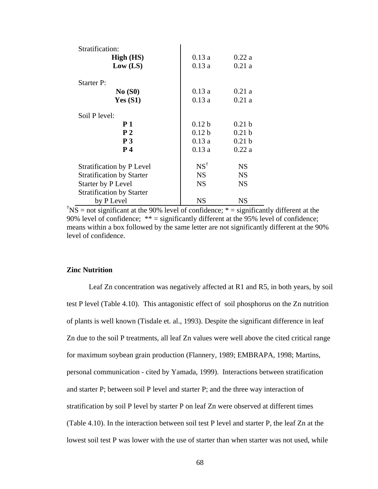| Stratification:                  |                   |                   |
|----------------------------------|-------------------|-------------------|
| High (HS)                        | 0.13a             | 0.22a             |
| Low (LS)                         | 0.13a             | 0.21a             |
| <b>Starter P:</b>                |                   |                   |
| No(S0)                           | 0.13a             | 0.21a             |
| Yes $(S1)$                       | 0.13a             | 0.21a             |
| Soil P level:                    |                   |                   |
| <b>P</b> 1                       | 0.12 <sub>b</sub> | 0.21 <sub>b</sub> |
| P <sub>2</sub>                   | 0.12 <sub>b</sub> | 0.21 <sub>b</sub> |
| $\bf{P}$ 3                       | 0.13a             | 0.21 <sub>b</sub> |
| P <sub>4</sub>                   | 0.13a             | 0.22a             |
| <b>Stratification by P Level</b> | $NS^{\dagger}$    | <b>NS</b>         |
| <b>Stratification by Starter</b> | <b>NS</b>         | <b>NS</b>         |
| Starter by P Level               | <b>NS</b>         | <b>NS</b>         |
| <b>Stratification by Starter</b> |                   |                   |
| by P Level                       | <b>NS</b>         | <b>NS</b>         |

<sup>†</sup>NS = not significant at the 90% level of confidence;  $*$  = significantly different at the 90% level of confidence; \*\* = significantly different at the 95% level of confidence; means within a box followed by the same letter are not significantly different at the 90% level of confidence.

# **Zinc Nutrition**

Leaf Zn concentration was negatively affected at R1 and R5, in both years, by soil test P level (Table 4.10). This antagonistic effect of soil phosphorus on the Zn nutrition of plants is well known (Tisdale et. al., 1993). Despite the significant difference in leaf Zn due to the soil P treatments, all leaf Zn values were well above the cited critical range for maximum soybean grain production (Flannery, 1989; EMBRAPA, 1998; Martins, personal communication - cited by Yamada, 1999). Interactions between stratification and starter P; between soil P level and starter P; and the three way interaction of stratification by soil P level by starter P on leaf Zn were observed at different times (Table 4.10). In the interaction between soil test P level and starter P, the leaf Zn at the lowest soil test P was lower with the use of starter than when starter was not used, while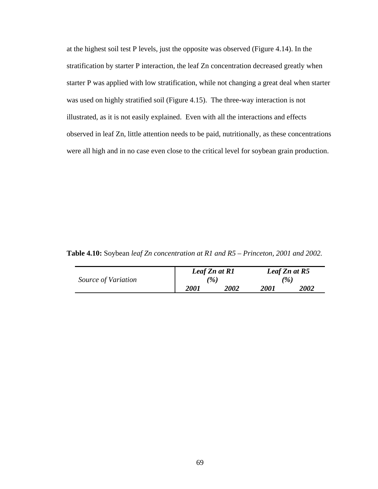at the highest soil test P levels, just the opposite was observed (Figure 4.14). In the stratification by starter P interaction, the leaf Zn concentration decreased greatly when starter P was applied with low stratification, while not changing a great deal when starter was used on highly stratified soil (Figure 4.15). The three-way interaction is not illustrated, as it is not easily explained. Even with all the interactions and effects observed in leaf Zn, little attention needs to be paid, nutritionally, as these concentrations were all high and in no case even close to the critical level for soybean grain production.

**Table 4.10:** Soybean *leaf Zn concentration at R1 and R5 – Princeton, 2001 and 2002.* 

|                     | Leaf Zn at R1   |                    | Leaf Zn at R5 |                    |
|---------------------|-----------------|--------------------|---------------|--------------------|
| Source of Variation | $\mathscr{C}_0$ |                    |               | ( %)               |
|                     | <i>2001</i>     | <i><b>2002</b></i> | <i>2001</i>   | <i><b>2002</b></i> |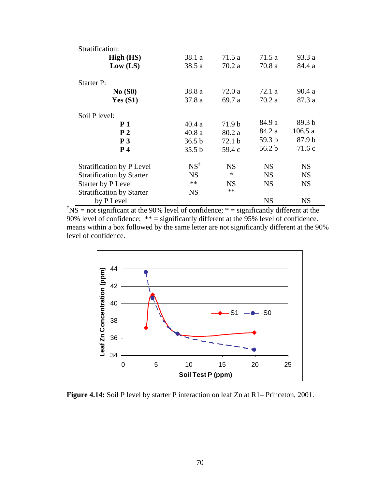| Stratification:                  |                   |                   |                   |                   |
|----------------------------------|-------------------|-------------------|-------------------|-------------------|
| High (HS)                        | 38.1 a            | 71.5 a            | 71.5a             | 93.3 a            |
| Low (LS)                         | 38.5 a            | 70.2a             | 70.8a             | 84.4 a            |
| <b>Starter P:</b>                |                   |                   |                   |                   |
| No(S0)                           | 38.8 a            | 72.0 a            | 72.1 a            | 90.4a             |
| Yes $(S1)$                       | 37.8a             | 69.7 a            | 70.2a             | 87.3 a            |
| Soil P level:                    |                   |                   |                   |                   |
| <b>P</b> 1                       | 40.4 a            | 71.9 <sub>b</sub> | 84.9 a            | 89.3 <sub>b</sub> |
| P <sub>2</sub>                   | 40.8a             | 80.2 a            | 84.2 a            | 106.5a            |
| P <sub>3</sub>                   | 36.5 <sub>b</sub> | 72.1 <sub>b</sub> | 59.3 <sub>b</sub> | 87.9 b            |
| P <sub>4</sub>                   | 35.5 b            | 59.4 c            | 56.2 b            | 71.6 c            |
| <b>Stratification by P Level</b> | $NS^{\dagger}$    | <b>NS</b>         | <b>NS</b>         | <b>NS</b>         |
| <b>Stratification by Starter</b> | <b>NS</b>         | $\ast$            | <b>NS</b>         | <b>NS</b>         |
| Starter by P Level               | $**$              | <b>NS</b>         | <b>NS</b>         | <b>NS</b>         |
| <b>Stratification by Starter</b> | <b>NS</b>         | $***$             |                   |                   |
| by P Level                       |                   |                   | <b>NS</b>         | <b>NS</b>         |

<sup>†</sup>NS = not significant at the 90% level of confidence;  $*$  = significantly different at the 90% level of confidence; \*\* = significantly different at the 95% level of confidence. means within a box followed by the same letter are not significantly different at the 90% level of confidence.



**Figure 4.14:** Soil P level by starter P interaction on leaf Zn at R1– Princeton, 2001.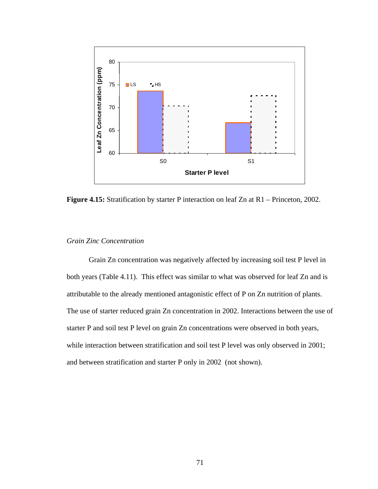

**Figure 4.15:** Stratification by starter P interaction on leaf Zn at R1 – Princeton, 2002.

### *Grain Zinc Concentration*

Grain Zn concentration was negatively affected by increasing soil test P level in both years (Table 4.11). This effect was similar to what was observed for leaf Zn and is attributable to the already mentioned antagonistic effect of P on Zn nutrition of plants. The use of starter reduced grain Zn concentration in 2002. Interactions between the use of starter P and soil test P level on grain Zn concentrations were observed in both years, while interaction between stratification and soil test P level was only observed in 2001; and between stratification and starter P only in 2002 (not shown).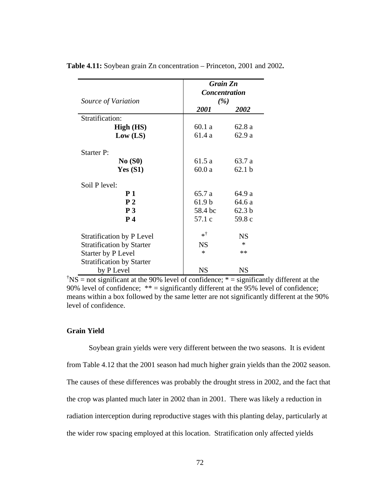|                                  | <b>Grain Zn</b>      |                   |  |
|----------------------------------|----------------------|-------------------|--|
|                                  | <b>Concentration</b> |                   |  |
| Source of Variation              | (%)                  |                   |  |
|                                  | 2001                 | 2002              |  |
| Stratification:                  |                      |                   |  |
| High (HS)                        | 60.1a                | 62.8 a            |  |
| Low (LS)                         | 61.4 a               | 62.9 a            |  |
| <b>Starter P:</b>                |                      |                   |  |
| No(S0)                           | 61.5 a               | 63.7 a            |  |
| Yes(S1)                          | 60.0a                | 62.1 <sub>b</sub> |  |
| Soil P level:                    |                      |                   |  |
| <b>P</b> 1                       | 65.7 a               | 64.9 a            |  |
| P <sub>2</sub>                   | 61.9 <sub>b</sub>    | 64.6 a            |  |
| P <sub>3</sub>                   | 58.4 bc              | 62.3 <sub>b</sub> |  |
| P <sub>4</sub>                   | 57.1 c               | 59.8 c            |  |
| <b>Stratification by P Level</b> | *†                   | <b>NS</b>         |  |
| <b>Stratification by Starter</b> | <b>NS</b>            | $\ast$            |  |
| Starter by P Level               | $\ast$               | $**$              |  |
| <b>Stratification by Starter</b> |                      |                   |  |
| by P Level                       | <b>NS</b>            | <b>NS</b>         |  |

**Table 4.11:** Soybean grain Zn concentration – Princeton, 2001 and 2002**.** 

<sup>†</sup>NS = not significant at the 90% level of confidence;  $* =$  significantly different at the 90% level of confidence; \*\* = significantly different at the 95% level of confidence; means within a box followed by the same letter are not significantly different at the 90% level of confidence.

### **Grain Yield**

Soybean grain yields were very different between the two seasons. It is evident from Table 4.12 that the 2001 season had much higher grain yields than the 2002 season. The causes of these differences was probably the drought stress in 2002, and the fact that the crop was planted much later in 2002 than in 2001. There was likely a reduction in radiation interception during reproductive stages with this planting delay, particularly at the wider row spacing employed at this location. Stratification only affected yields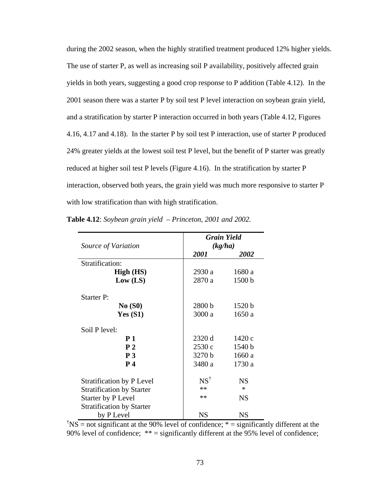during the 2002 season, when the highly stratified treatment produced 12% higher yields. The use of starter P, as well as increasing soil P availability, positively affected grain yields in both years, suggesting a good crop response to P addition (Table 4.12). In the 2001 season there was a starter P by soil test P level interaction on soybean grain yield, and a stratification by starter P interaction occurred in both years (Table 4.12, Figures 4.16, 4.17 and 4.18). In the starter P by soil test P interaction, use of starter P produced 24% greater yields at the lowest soil test P level, but the benefit of P starter was greatly reduced at higher soil test P levels (Figure 4.16). In the stratification by starter P interaction, observed both years, the grain yield was much more responsive to starter P with low stratification than with high stratification.

|                                  | <b>Grain Yield</b> |           |  |  |
|----------------------------------|--------------------|-----------|--|--|
| Source of Variation              | (kg/ha)            |           |  |  |
|                                  | <i>2001</i>        | 2002      |  |  |
| Stratification:                  |                    |           |  |  |
| High (HS)                        | 2930 a             | 1680 a    |  |  |
| Low (LS)                         | 2870 a             | 1500 b    |  |  |
| Starter P:                       |                    |           |  |  |
| No(S0)                           | 2800 b             | 1520 b    |  |  |
| Yes $(S1)$                       | 3000 a             | 1650 a    |  |  |
| Soil P level:                    |                    |           |  |  |
| P <sub>1</sub>                   | 2320 d             | 1420c     |  |  |
| P <sub>2</sub>                   | 2530c              | 1540 b    |  |  |
| P <sub>3</sub>                   | 3270 b             | 1660 a    |  |  |
| P <sub>4</sub>                   | 3480 a             | 1730 a    |  |  |
| <b>Stratification by P Level</b> | $NS^{\dagger}$     | <b>NS</b> |  |  |
| <b>Stratification by Starter</b> | **                 | $\ast$    |  |  |
| Starter by P Level               | **                 | <b>NS</b> |  |  |
| <b>Stratification by Starter</b> |                    |           |  |  |
| by P Level                       | NS                 | NS        |  |  |

**Table 4.12**: *Soybean grain yield – Princeton, 2001 and 2002.*

<sup>†</sup>NS = not significant at the 90% level of confidence;  $* =$  significantly different at the 90% level of confidence; \*\* = significantly different at the 95% level of confidence;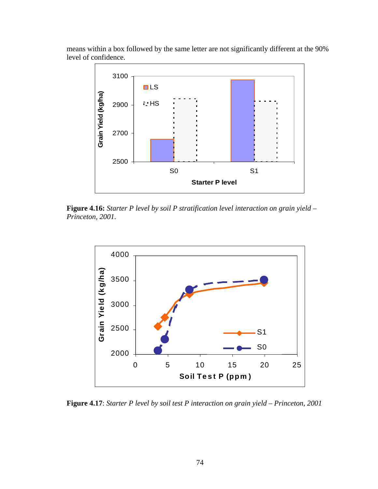means within a box followed by the same letter are not significantly different at the 90% level of confidence.



**Figure 4.16:** *Starter P level by soil P stratification level interaction on grain yield – Princeton, 2001.* 



**Figure 4.17**: *Starter P level by soil test P interaction on grain yield – Princeton, 2001*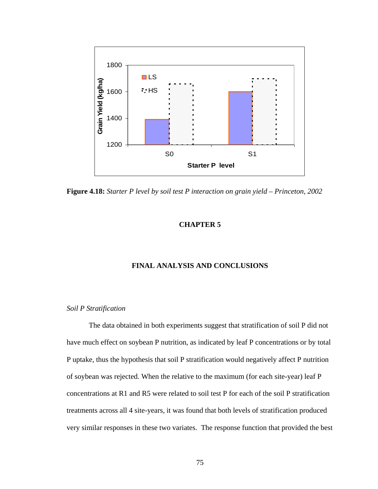

**Figure 4.18:** *Starter P level by soil test P interaction on grain yield – Princeton, 2002*

### **CHAPTER 5**

### **FINAL ANALYSIS AND CONCLUSIONS**

#### *Soil P Stratification*

The data obtained in both experiments suggest that stratification of soil P did not have much effect on soybean P nutrition, as indicated by leaf P concentrations or by total P uptake, thus the hypothesis that soil P stratification would negatively affect P nutrition of soybean was rejected. When the relative to the maximum (for each site-year) leaf P concentrations at R1 and R5 were related to soil test P for each of the soil P stratification treatments across all 4 site-years, it was found that both levels of stratification produced very similar responses in these two variates. The response function that provided the best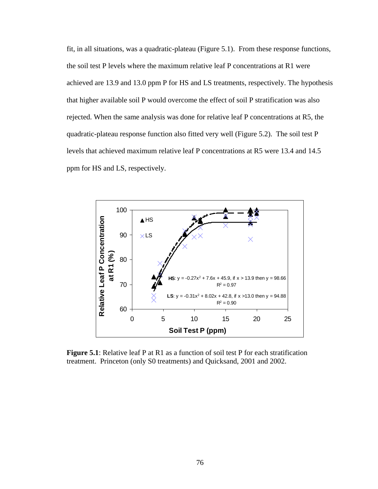fit, in all situations, was a quadratic-plateau (Figure 5.1). From these response functions, the soil test P levels where the maximum relative leaf P concentrations at R1 were achieved are 13.9 and 13.0 ppm P for HS and LS treatments, respectively. The hypothesis that higher available soil P would overcome the effect of soil P stratification was also rejected. When the same analysis was done for relative leaf P concentrations at R5, the quadratic-plateau response function also fitted very well (Figure 5.2). The soil test P levels that achieved maximum relative leaf P concentrations at R5 were 13.4 and 14.5 ppm for HS and LS, respectively.



**Figure 5.1**: Relative leaf P at R1 as a function of soil test P for each stratification treatment. Princeton (only S0 treatments) and Quicksand, 2001 and 2002.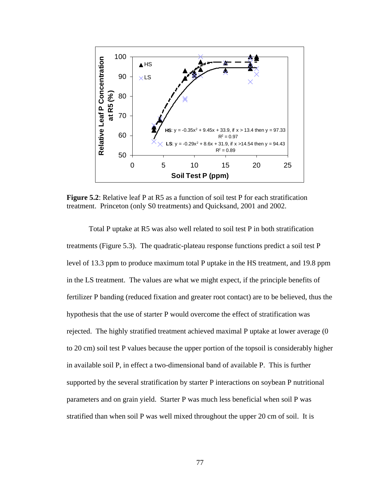

**Figure 5.2**: Relative leaf P at R5 as a function of soil test P for each stratification treatment. Princeton (only S0 treatments) and Quicksand, 2001 and 2002.

Total P uptake at R5 was also well related to soil test P in both stratification treatments (Figure 5.3). The quadratic-plateau response functions predict a soil test P level of 13.3 ppm to produce maximum total P uptake in the HS treatment, and 19.8 ppm in the LS treatment. The values are what we might expect, if the principle benefits of fertilizer P banding (reduced fixation and greater root contact) are to be believed, thus the hypothesis that the use of starter P would overcome the effect of stratification was rejected. The highly stratified treatment achieved maximal P uptake at lower average (0 to 20 cm) soil test P values because the upper portion of the topsoil is considerably higher in available soil P, in effect a two-dimensional band of available P. This is further supported by the several stratification by starter P interactions on soybean P nutritional parameters and on grain yield. Starter P was much less beneficial when soil P was stratified than when soil P was well mixed throughout the upper 20 cm of soil. It is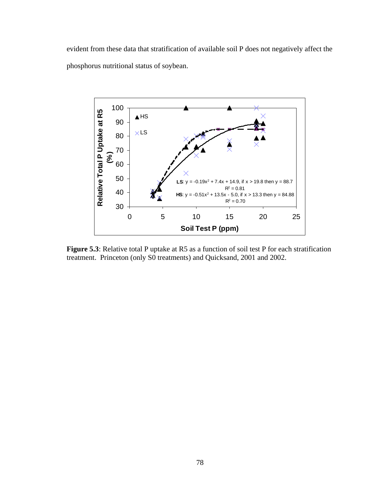evident from these data that stratification of available soil P does not negatively affect the phosphorus nutritional status of soybean.



**Figure 5.3**: Relative total P uptake at R5 as a function of soil test P for each stratification treatment. Princeton (only S0 treatments) and Quicksand, 2001 and 2002.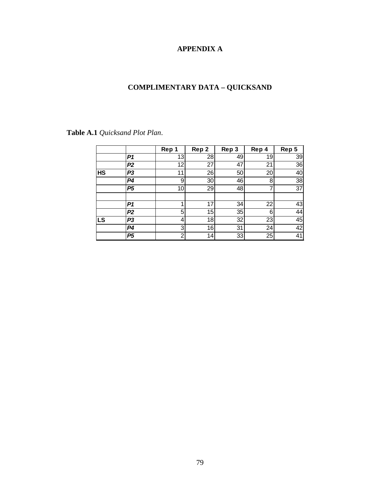## **APPENDIX A**

# **COMPLIMENTARY DATA – QUICKSAND**

|           |                | Rep<br>1 | Rep 2 | Rep 3 | Rep 4 | Rep 5 |
|-----------|----------------|----------|-------|-------|-------|-------|
|           | P1             | 13       | 28    | 49    | 19    | 39    |
|           | P <sub>2</sub> | 12       | 27    | 47    | 21    | 36    |
| <b>HS</b> | P <sub>3</sub> | 11       | 26    | 50    | 20    | 40    |
|           | P <sub>4</sub> | 9        | 30    | 46    | 8     | 38    |
|           | P <sub>5</sub> | 10       | 29    | 48    |       | 37    |
|           | P1             |          | 17    | 34    | 22    | 43    |
|           | P2             | 5        | 15    | 35    | 6     | 44    |
| LS        | P <sub>3</sub> | 4        | 18    | 32    | 23    | 45    |
|           | P4             | 3        | 16    | 31    | 24    | 42    |
|           | P <sub>5</sub> | າ        | 14    | 33    | 25    | 41    |

**Table A.1** *Quicksand Plot Plan*.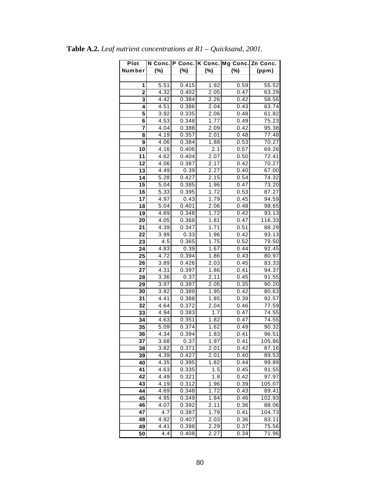| Plot                    |      |       |                   | N Conc. P Conc. K Conc. Mg Conc. Zn Conc. |        |
|-------------------------|------|-------|-------------------|-------------------------------------------|--------|
| Number                  | (%)  | (%)   | $(\%)$            | (%)                                       | (ppm)  |
|                         |      |       |                   |                                           |        |
| 1                       | 5.51 | 0.415 | 1.92              | 0.59                                      | 55.52  |
| 2                       | 4.32 | 0.402 | 2.05              | 0.47                                      | 63.29  |
| 3                       | 4.42 | 0.384 | 2.26              | 0.42                                      | 58.56  |
| 4                       | 4.51 | 0.386 | 2.04              | 0.43                                      | 63.74  |
| 5                       | 3.92 | 0.335 | 2.06              | 0.48                                      | 61.82  |
| $\overline{\mathbf{6}}$ | 4.53 | 0.348 | 1.77              | 0.49                                      | 75.23  |
| 7                       | 4.04 | 0.388 | 2.09              | 0.42                                      | 95.38  |
| 8                       | 4.19 | 0.357 | 2.01              | 0.48                                      | 77.48  |
| 9                       | 4.06 | 0.384 | 1.88              | 0.53                                      | 70.27  |
| 10                      | 4.16 | 0.406 | 2.1               | 0.57                                      | 69.26  |
| 11                      | 4.62 | 0.404 | 2.07              | 0.50                                      | 72.41  |
| 12                      | 4.06 | 0.387 | 2.17              | 0.42                                      | 70.27  |
| 13                      | 4.49 | 0.39  | 2.27              | 0.40                                      | 67.00  |
| 14                      | 5.28 | 0.427 | 2.15              | 0.54                                      | 74.32  |
| 15                      | 5.04 | 0.385 | 1.96              | 0.47                                      | 73.20  |
| $\overline{16}$         | 5.33 | 0.395 | 1.72              | 0.53                                      | 87.27  |
| 17                      | 4.97 | 0.43  | 1.79              | 0.45                                      | 94.59  |
| 18                      | 5.04 | 0.401 | $\overline{2.06}$ | 0.48                                      | 98.65  |
| 19                      | 4.69 | 0.348 | 1.72              | 0.42                                      | 93.13  |
| 20                      | 4.05 | 0.368 | 1.81              | 0.47                                      | 116.33 |
| 21                      | 4.39 | 0.347 | 1.71              | 0.51                                      | 88.29  |
| 22                      | 3.99 | 0.33  | 1.96              | 0.42                                      | 93.13  |
| 23                      | 4.5  | 0.365 | 1.75              | 0.52                                      | 79.50  |
| 24                      | 4.83 | 0.39  | 1.67              | 0.44                                      | 92.45  |
| 25                      | 4.72 | 0.394 | 1.86              | 0.43                                      | 80.97  |
| 26                      | 3.89 | 0.426 | 2.03              | 0.45                                      | 83.33  |
| 27                      | 4.31 | 0.397 | 1.86              | 0.41                                      | 94.37  |
| 28                      | 3.36 | 0.37  | 2.11              | 0.45                                      | 91.55  |
| $\overline{29}$         | 3.97 | 0.397 | 2.05              | 0.35                                      | 90.20  |
| 30                      | 3.82 | 0.389 | 1.95              | 0.42                                      | 80.63  |
| 31                      | 4.41 | 0.388 | 1.85              | 0.39                                      | 92.57  |
| 32                      | 4.64 | 0.372 | 2.04              | 0.46                                      | 77.59  |
| 33                      | 4.94 | 0.383 | 1.7               | 0.47                                      | 74.55  |
| 34                      | 4.63 | 0.351 | 1.82              | 0.47                                      | 74.55  |
| 35                      | 5.09 | 0.374 | 1.62              | 0.49                                      | 90.32  |
| 36                      | 4.34 | 0.394 | 1.83              | 0.41                                      | 96.51  |
| 37                      | 3.68 | 0.37  | 1.97              | 0.41                                      | 105.86 |
| 38                      | 3.82 | 0.371 | 2.01              | 0.42                                      | 87.16  |
| 39                      | 4.39 | 0.427 | 2.01              | 0.40                                      | 89.53  |
| 40                      | 4.35 | 0.395 | 1.82              | 0.44                                      | 99.89  |
| 41                      | 4.63 | 0.335 | 1.5               | 0.45                                      | 91.55  |
| 42                      | 4.49 | 0.321 | 1.8               | 0.42                                      | 97.97  |
| 43                      | 4.19 | 0.312 | 1.96              | 0.39                                      | 105.07 |
| 44                      | 4.69 | 0.348 | 1.72              | 0.43                                      | 89.41  |
| 45                      | 4.95 | 0.349 | 1.84              | 0.46                                      | 102.93 |
| 46                      | 4.07 | 0.392 | 2.11              | 0.36                                      | 88.06  |
| 47                      | 4.7  | 0.387 | 1.79              | 0.41                                      | 104.73 |
| 48                      | 4.92 | 0.407 | 2.03              | 0.36                                      | 83.11  |
| 49                      | 4.41 | 0.398 | 2.29              | 0.37                                      | 75.56  |
| 50                      | 4.4  | 0.408 | 2.27              | 0.34                                      | 71.96  |

**Table A.2.** *Leaf nutrient concentrations at R1 – Quicksand, 2001.*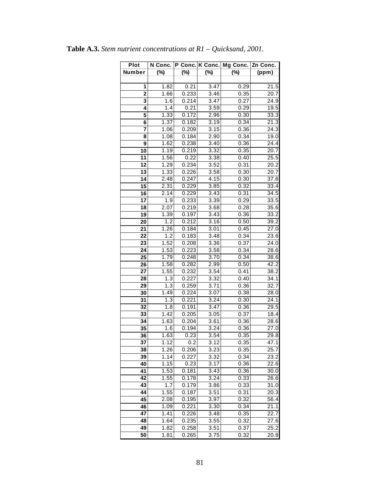| <b>Plot</b>     | N Conc.           |        | P Conc. K Conc. Mg Conc. |        | Zn Conc.           |
|-----------------|-------------------|--------|--------------------------|--------|--------------------|
| Number          | $(\%)$            | $(\%)$ | $(\%)$                   | $(\%)$ | (ppm)              |
|                 |                   |        |                          |        |                    |
| 1               | 1.82              | 0.21   | 3.47                     | 0.29   | 21.5               |
| $\overline{2}$  | $\overline{1.66}$ | 0.233  | 3.46                     | 0.35   | 20.7               |
| 3               | 1.6               | 0.214  | 3.47                     | 0.27   | 24.9               |
| 4               | 1.4               | 0.21   | 3.59                     | 0.29   | 19.5               |
| 5               | 1.33              | 0.172  | 2.96                     | 0.30   | 33.3               |
| 6               | 1.37              | 0.182  | 3.19                     | 0.34   | 21.3               |
| 7               | 1.06              | 0.209  | 3.15                     | 0.36   | $\overline{2}$ 4.3 |
| 8               | 1.08              | 0.184  | 2.90                     | 0.34   | 19.0               |
| 9               | 1.62              | 0.238  | 3.40                     | 0.36   | 24.4               |
| 10              | 1.19              | 0.219  | 3.32                     | 0.35   | 20.7               |
| 11              | 1.56              | 0.22   | 3.38                     | 0.40   | 25.5               |
| 12              | 1.29              | 0.234  | 3.52                     | 0.31   | 20.2               |
| $\overline{13}$ | 1.33              | 0.226  | 3.58                     | 0.30   | $\overline{20}.7$  |
| 14              | 2.48              | 0.247  | 4.15                     | 0.30   | 37.6               |
| 15              | 2.31              | 0.229  | 3.85                     | 0.32   | 33.4               |
| 16              | 2.14              | 0.229  | 3.43                     | 0.31   | 34.5               |
| 17              | 1.9               | 0.233  | 3.39                     | 0.29   | 33.5               |
| 18              | 2.07              | 0.219  | 3.68                     | 0.28   | 35.6               |
| 19              | 1.39              | 0.197  | 3.43                     | 0.36   | 33.2               |
| 20              | 1.2               | 0.212  | 3.16                     | 0.50   | 39.2               |
| 21              | 1.26              | 0.184  | 3.01                     | 0.45   | 27.0               |
| 22              | 1.2               | 0.183  | 3.48                     | 0.34   | 23.6               |
| 23              | 1.52              | 0.208  | 3.36                     | 0.37   | 24.0               |
| 24              | 1.53              | 0.223  | 3.58                     | 0.34   | 28.6               |
| 25              | 1.79              | 0.248  | 3.70                     | 0.34   | 38.6               |
| 26              | 1.58              | 0.282  | 2.99                     | 0.50   | 42.2               |
| 27              | 1.55              | 0.232  | 3.54                     | 0.41   | 38.2               |
| 28              | 1.3               | 0.227  | 3.32                     | 0.40   | 34.1               |
| 29              | 1.3               | 0.259  | 3.71                     | 0.36   | 32.7               |
| 30              | 1.49              | 0.224  | 3.07                     | 0.38   | 28.0               |
| 31              | 1.3               | 0.221  | 3.24                     | 0.30   | 24.1               |
| $\overline{32}$ | 1.8               | 0.191  | 3.47                     | 0.36   | 29.5               |
| 33              | 1.42              | 0.205  | 3.05                     | 0.37   | 18.4               |
| 34              | 1.63              | 0.204  | 3.61                     | 0.36   | 28.6               |
| 35              | 1.6               | 0.194  | 3.24                     | 0.36   | 27.0               |
| 36              | 1.63              | 0.23   | 3.54                     | 0.35   | 29.8               |
| 37              | 1.12              | 0.2    | 3.12                     | 0.35   | 47.1               |
| 38              | 1.26              | 0.206  | 3.23                     | 0.35   | 25.7               |
| 39              | 1.14              | 0.227  | 3.32                     | 0.34   | 23.2               |
| 40              | 1.15              | 0.23   | 3.17                     | 0.36   | 22.6               |
| 41              | 1.53              | 0.181  | 3.43                     | 0.36   | 30.0               |
| 42              | 1.55              | 0.178  | 3.24                     | 0.33   | 26.6               |
| 43              | 1.7               | 0.179  | 3.86                     | 0.33   | 31.0               |
| 44              | 1.55              | 0.187  | 3.51                     | 0.31   | 20.3               |
| 45              | 2.08              | 0.195  | 3.97                     | 0.32   | 56.4               |
| 46              | 1.09              | 0.221  | 3.30                     | 0.34   | 21.1               |
| 47              | 1.41              | 0.226  | 3.48                     | 0.35   | 22.7               |
| 48              | 1.64              | 0.235  | 3.55                     | 0.32   | 27.6               |
| 49              | 1.82              | 0.258  | 3.51                     | 0.37   | 25.2               |
| $\overline{50}$ | 1.81              | 0.265  | 3.75                     | 0.32   | 20.8               |

**Table A.3.** *Stem nutrient concentrations at R1 – Quicksand, 2001.*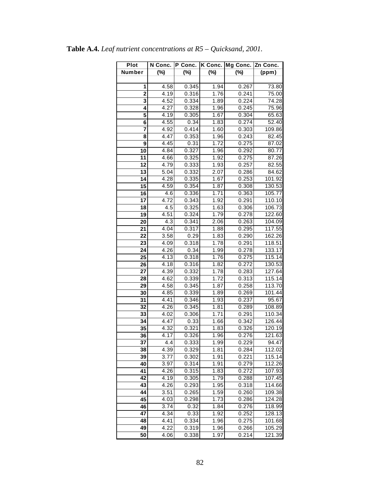| Plot                    | N Conc. | P Conc. | K Conc. | Mg Conc. | Zn Conc.           |
|-------------------------|---------|---------|---------|----------|--------------------|
| Number                  | $(\%)$  | $(\%)$  | (%)     | $(\%)$   | (ppm)              |
|                         |         |         |         |          |                    |
| 1                       | 4.58    | 0.345   | 1.94    | 0.267    | 73.80              |
| $\overline{\mathbf{2}}$ | 4.19    | 0.316   | 1.76    | 0.241    | 75.00              |
| 3                       | 4.52    | 0.334   | 1.89    | 0.224    | 74.28              |
| 4                       | 4.27    | 0.328   | 1.96    | 0.245    | 75.96              |
| 5                       | 4.19    | 0.305   | 1.67    | 0.304    | 65.63              |
| $\overline{\mathbf{6}}$ | 4.55    | 0.34    | 1.83    | 0.274    | $\overline{52.40}$ |
| 7                       | 4.92    | 0.414   | 1.60    | 0.303    | 109.86             |
| 8                       | 4.47    | 0.353   | 1.96    | 0.243    | 82.45              |
| 9                       | 4.45    | 0.31    | 1.72    | 0.275    | 87.02              |
| 10                      | 4.84    | 0.327   | 1.96    | 0.292    | 80.77              |
| 11                      | 4.66    | 0.325   | 1.92    | 0.275    | 87.26              |
| 12                      | 4.79    | 0.333   | 1.93    | 0.257    | 82.55              |
| $\overline{13}$         | 5.04    | 0.332   | 2.07    | 0.286    | 84.62              |
| 14                      | 4.28    | 0.335   | 1.67    | 0.253    | 101.92             |
| $\overline{15}$         | 4.59    | 0.354   | 1.87    | 0.308    | 130.53             |
| 16                      | 4.6     | 0.336   | 1.71    | 0.363    | 105.77             |
| 17                      | 4.72    | 0.343   | 1.92    | 0.291    | 110.10             |
| 18                      | 4.5     | 0.325   | 1.63    | 0.306    | 106.73             |
| 19                      | 4.51    | 0.324   | 1.79    | 0.278    | 122.60             |
| 20                      | 4.3     | 0.341   | 2.06    | 0.263    | 104.09             |
| 21                      | 4.04    | 0.317   | 1.88    | 0.295    | 117.55             |
| 22                      | 3.58    | 0.29    | 1.83    | 0.290    | 162.26             |
| 23                      | 4.09    | 0.318   | 1.78    | 0.291    | 118.51             |
| 24                      | 4.26    | 0.34    | 1.99    | 0.278    | 133.17             |
| 25                      | 4.13    | 0.318   | 1.76    | 0.275    | 115.14             |
| 26                      | 4.18    | 0.316   | 1.82    | 0.272    | 130.53             |
| 27                      | 4.39    | 0.332   | 1.78    | 0.283    | 127.64             |
| 28                      | 4.62    | 0.339   | 1.72    | 0.313    | 115.14             |
| 29                      | 4.58    | 0.345   | 1.87    | 0.258    | 113.70             |
| 30                      | 4.85    | 0.339   | 1.89    | 0.269    | 101.44             |
| 31                      | 4.41    | 0.346   | 1.93    | 0.237    | 95.67              |
| 32                      | 4.26    | 0.345   | 1.81    | 0.289    | 108.89             |
| 33                      | 4.02    | 0.306   | 1.71    | 0.291    | 110.34             |
| 34                      | 4.47    | 0.33    | 1.66    | 0.342    | 126.44             |
| 35                      | 4.32    | 0.321   | 1.83    | 0.326    | 120.19             |
| $\overline{36}$         | 4.17    | 0.326   | 1.96    | 0.276    | 121.63             |
| 37                      | 4.4     | 0.333   | 1.99    | 0.229    | 94.47              |
| 38                      | 4.39    | 0.329   | 1.81    | 0.284    | 112.02             |
| 39                      | 3.77    | 0.302   | 1.91    | 0.221    | 115.14             |
| 40                      | 3.97    | 0.314   | 1.91    | 0.279    | 112.26             |
| 41                      | 4.26    | 0.315   | 1.83    | 0.272    | 107.93             |
| 42                      | 4.19    | 0.305   | 1.79    | 0.288    | 107.45             |
| 43                      | 4.26    | 0.293   | 1.95    | 0.318    | 114.66             |
| 44                      | 3.51    | 0.265   | 1.59    | 0.260    | 109.38             |
| 45                      | 4.03    | 0.298   | 1.73    | 0.286    | 124.28             |
| 46                      | 3.74    | 0.32    | 1.84    | 0.276    | 118.99             |
| 47                      | 4.34    | 0.33    | 1.92    | 0.252    | 128.13             |
| 48                      | 4.41    | 0.334   | 1.96    | 0.275    | 101.68             |
| 49                      | 4.22    | 0.319   | 1.96    | 0.266    | 105.29             |
| 50                      | 4.06    | 0.338   | 1.97    | 0.214    | 121.39             |

**Table A.4.** *Leaf nutrient concentrations at R5 – Quicksand, 2001.*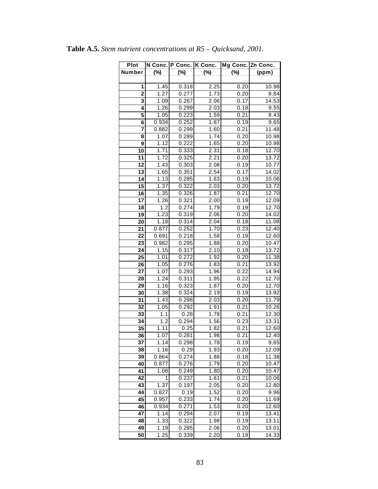| <b>Plot</b>     | N Conc. P Conc.   |        | K Conc. | Mg Conc. Zn Conc. |                    |
|-----------------|-------------------|--------|---------|-------------------|--------------------|
| Number          | $(\%)$            | $(\%)$ | $(\%)$  | $(\%)$            | (ppm)              |
|                 |                   |        |         |                   |                    |
| 1               | 1.45              | 0.318  | 2.25    | 0.20              | 10.98              |
| $\overline{2}$  | 1.27              | 0.277  | 1.73    | 0.20              | 8.84               |
| 3               | 1.09              | 0.267  | 2.06    | 0.17              | 14.53              |
| 4               | 1.26              | 0.299  | 2.03    | 0.18              | 9.55               |
| 5               | 1.05              | 0.223  | 1.59    | 0.21              | 8.43               |
| 6               | 0.934             | 0.252  | 1.87    | 0.19              | 9.65               |
| 7               | 0.882             | 0.299  | 1.60    | 0.21              | 11.48              |
| 8               | 1.07              | 0.289  | 1.74    | 0.20              | 10.98              |
| 9               | 1.12              | 0.222  | 1.65    | 0.20              | 10.98              |
| 10              | 1.71              | 0.333  | 2.31    | 0.18              | 12.70              |
| 11              | 1.72              | 0.325  | 2.21    | 0.20              | 13.72              |
| 12              | 1.43              | 0.303  | 2.08    | 0.19              | 10.77              |
| 13              | 1.65              | 0.351  | 2.54    | 0.17              | 14.02              |
| 14              | 1.13              | 0.285  | 1.63    | 0.19              | 10.06              |
| 15              | 1.37              | 0.322  | 2.03    | 0.20              | 13.72              |
| 16              | 1.35              | 0.326  | 1.87    | 0.21              | 12.70              |
| 17              | 1.26              | 0.321  | 2.00    | 0.19              | 12.09              |
| 18              | 1.2               | 0.274  | 1.79    | 0.19              | 12.70              |
| $\overline{19}$ | 1.23              | 0.319  | 2.06    | 0.20              | 14.02              |
| 20              | 1.18              | 0.314  | 2.04    | 0.18              | 11.08              |
| 21              | 0.877             | 0.252  | 1.70    | 0.23              | 12.40              |
| 22              | 0.691             | 0.218  | 1.58    | 0.19              | $12.\overline{60}$ |
| 23              | 0.982             | 0.295  | 1.88    | 0.20              | 10.47              |
| 24              | 1.15              | 0.317  | 2.10    | 0.19              | 13.72              |
| 25              | 1.01              | 0.272  | 1.92    | 0.20              | 11.38              |
| 26              | 1.05              | 0.276  | 1.83    | 0.21              | 13.92              |
| 27              | 1.07              | 0.293  | 1.96    | 0.22              | 14.94              |
| 28              | $\overline{1.24}$ | 0.311  | 1.95    | 0.22              | 12.70              |
| 29              | 1.16              | 0.323  | 1.87    | 0.20              | 12.70              |
| 30              | 1.38              | 0.324  | 2.19    | 0.19              | 13.92              |
| 31              | 1.43              | 0.298  | 2.03    | 0.20              | 11.79              |
| 32              | 1.05              | 0.292  | 1.91    | 0.21              | 10.26              |
| 33              | 1.1               | 0.28   | 1.78    | 0.21              | 12.30              |
| 34              | 1.2               | 0.294  | 1.56    | 0.23              | 13.31              |
| 35              | 1.11              | 0.25   | 1.82    | 0.21              | 12.60              |
| 36              | 1.07              | 0.281  | 1.98    | 0.21              | 12.40              |
| 37              | 1.14              | 0.298  | 1.78    | 0.19              | 9.65               |
| 38              | 1.16              | 0.29   | 1.93    | 0.20              | 12.09              |
| 39              | 0.864             | 0.274  | 1.88    | 0.18              | 11.38              |
| 40              | 0.877             | 0.276  | 1.79    | 0.20              | 10.47              |
| 41              | 1.08              | 0.249  | 1.80    | 0.20              | 10.47              |
| 42              | 1                 | 0.237  | 1.61    | 0.21              | 10.06              |
| 43              | 1.37              | 0.197  | 2.05    | 0.20              | 12.80              |
| 44              | 0.827             | 0.19   | 1.52    | 0.20              | 9.96               |
| 45              | 0.957             | 0.233  | 1.74    | 0.20              | 11.69              |
| 46              | 0.934             | 0.271  | 1.53    | 0.20              | 12.60              |
| 47              | 1.14              | 0.294  | 2.07    | 0.19              | 13.41              |
| 48              | 1.33              | 0.322  | 1.98    | 0.19              | 13.11              |
| 49              | 1.19              | 0.295  | 2.06    | 0.20              | 13.01              |
| $\overline{50}$ | 1.25              | 0.339  | 2.20    | 0.19              | 14.33              |

|  |  | <b>Table A.5.</b> Stem nutrient concentrations at $R5 - Quicksand$ , 2001. |  |  |  |
|--|--|----------------------------------------------------------------------------|--|--|--|
|--|--|----------------------------------------------------------------------------|--|--|--|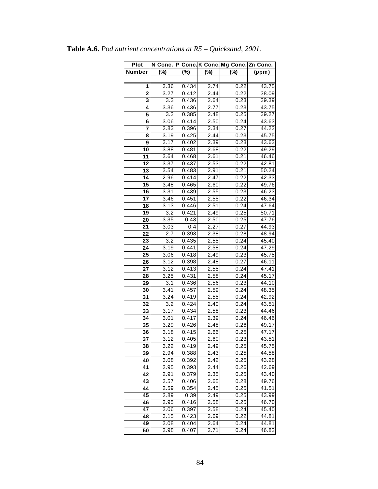| Plot            |                  |        |                   | N Conc.   P Conc. K Conc. Mg Conc.   Zn Conc. |       |
|-----------------|------------------|--------|-------------------|-----------------------------------------------|-------|
| Number          | $(\%)$           | $(\%)$ | $(\%)$            | $(\%)$                                        | (ppm) |
|                 |                  |        |                   |                                               |       |
| 1               | 3.36             | 0.434  | 2.74              | 0.22                                          | 43.75 |
| $\overline{2}$  | 3.27             | 0.412  | 2.44              | 0.22                                          | 38.09 |
| 3               | $\overline{3.3}$ | 0.436  | 2.64              | 0.23                                          | 39.39 |
| 4               | 3.36             | 0.436  | 2.77              | 0.23                                          | 43.75 |
| 5               | 3.2              | 0.385  | 2.48              | 0.25                                          | 39.27 |
| 6               | 3.06             | 0.414  | 2.50              | 0.24                                          | 43.63 |
| 7               | 2.83             | 0.396  | $2.\overline{34}$ | 0.27                                          | 44.22 |
| 8               | 3.19             | 0.425  | 2.44              | 0.23                                          | 45.75 |
| 9               | 3.17             | 0.402  | 2.39              | 0.23                                          | 43.63 |
| 10              | 3.88             | 0.481  | 2.68              | 0.22                                          | 49.29 |
| 11              | 3.64             | 0.468  | 2.61              | 0.21                                          | 46.46 |
| 12              | 3.37             | 0.437  | 2.53              | 0.22                                          | 42.81 |
| 13              | 3.54             | 0.483  | 2.91              | 0.21                                          | 50.24 |
| 14              | 2.96             | 0.414  | 2.47              | 0.22                                          | 42.33 |
| 15              | 3.48             | 0.465  | 2.60              | 0.22                                          | 49.76 |
| 16              | 3.31             | 0.439  | 2.55              | 0.23                                          | 46.23 |
| 17              | 3.46             | 0.451  | 2.55              | 0.22                                          | 46.34 |
| 18              | 3.13             | 0.446  | 2.51              | 0.24                                          | 47.64 |
| 19              | 3.2              | 0.421  | 2.49              | 0.25                                          | 50.71 |
| 20              | 3.35             | 0.43   | 2.50              | 0.25                                          | 47.76 |
| 21              | 3.03             | 0.4    | 2.27              | 0.27                                          | 44.93 |
| 22              | 2.7              | 0.393  | 2.38              | 0.28                                          | 48.94 |
| 23              | 3.2              | 0.435  | 2.55              | 0.24                                          | 45.40 |
| 24              | 3.19             | 0.441  | 2.58              | 0.24                                          | 47.29 |
| 25              | 3.06             | 0.418  | 2.49              | 0.23                                          | 45.75 |
| 26              | 3.12             | 0.398  | 2.48              | 0.27                                          | 46.11 |
| 27              | 3.12             | 0.413  | 2.55              | 0.24                                          | 47.41 |
| 28              | 3.25             | 0.431  | 2.58              | 0.24                                          | 45.17 |
| 29              | 3.1              | 0.436  | 2.56              | 0.23                                          | 44.10 |
| 30              | 3.41             | 0.457  | 2.59              | 0.24                                          | 48.35 |
| 31              | 3.24             | 0.419  | 2.55              | 0.24                                          | 42.92 |
| 32              | 3.2              | 0.424  | 2.40              | 0.24                                          | 43.51 |
| 33              | 3.17             | 0.434  | 2.58              | 0.23                                          | 44.46 |
| 34              | 3.01             | 0.417  | 2.39              | 0.24                                          | 46.46 |
| 35              | 3.29             | 0.426  | 2.48              | 0.26                                          | 49.17 |
| $\overline{36}$ | 3.18             | 0.415  | 2.66              | 0.25                                          | 47.17 |
| $\overline{37}$ | 3.12             | 0.405  | 2.60              | 0.23                                          | 43.51 |
| 38              | 3.22             | 0.419  | 2.49              | 0.25                                          | 45.75 |
| 39              | 2.94             | 0.388  | 2.43              | 0.25                                          | 44.58 |
| 40              | 3.08             | 0.392  | 2.42              | 0.25                                          | 43.28 |
| 41              | 2.95             | 0.393  | 2.44              | 0.26                                          | 42.69 |
| 42              | 2.91             | 0.379  | 2.35              | 0.25                                          | 43.40 |
| 43              | 3.57             | 0.406  | 2.65              | 0.28                                          | 49.76 |
| 44              | 2.59             | 0.354  | 2.45              | 0.25                                          | 41.51 |
| 45              | 2.89             | 0.39   | 2.49              | 0.25                                          | 43.99 |
| 46              | 2.95             | 0.416  | 2.58              | 0.25                                          | 46.70 |
| 47              | 3.06             | 0.397  | 2.58              | 0.24                                          | 45.40 |
| 48              | 3.15             | 0.423  | 2.69              | 0.22                                          | 44.81 |
| 49              | 3.08             | 0.404  | 2.64              | 0.24                                          | 44.81 |
| 50              | 2.98             | 0.407  | 2.71              | 0.24                                          | 46.82 |
|                 |                  |        |                   |                                               |       |

**Table A.6.** *Pod nutrient concentrations at R5 – Quicksand, 2001.*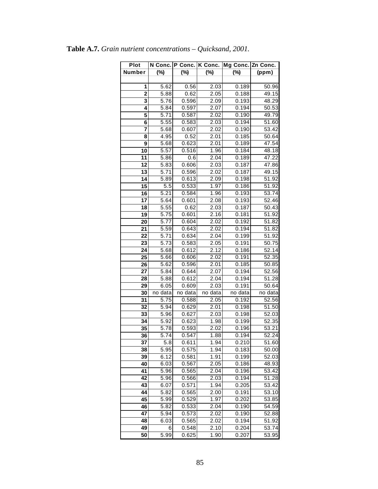| Plot            |                   | N Conc. P Conc. K Conc. |                   | Mg Conc. Zn Conc. |         |
|-----------------|-------------------|-------------------------|-------------------|-------------------|---------|
| Number          | $(\%)$            | $(\%)$                  | $(\%)$            | (%)               | (ppm)   |
|                 |                   |                         |                   |                   |         |
| 1               | 5.62              | 0.56                    | 2.03              | 0.189             | 50.96   |
| $\overline{2}$  | 5.88              | 0.62                    | 2.05              | 0.188             | 49.15   |
| 3               | 5.76              | 0.596                   | 2.09              | 0.193             | 48.29   |
| 4               | 5.84              | 0.597                   | 2.07              | 0.194             | 50.53   |
| 5               | 5.71              | 0.587                   | 2.02              | 0.190             | 49.79   |
| 6               | 5.55              | 0.583                   | 2.03              | 0.194             | 51.60   |
| 7               | 5.68              | 0.607                   | 2.02              | 0.190             | 53.42   |
| 8               | 4.95              | 0.52                    | 2.01              | 0.185             | 50.64   |
| 9               | 5.68              | 0.623                   | 2.01              | 0.189             | 47.54   |
| 10              | 5.57              | 0.516                   | 1.96              | 0.184             | 48.18   |
| 11              | 5.86              | 0.6                     | $\overline{2}.04$ | 0.189             | 47.22   |
| 12              | 5.83              | 0.606                   | 2.03              | 0.187             | 47.86   |
| $\overline{13}$ | 5.71              | 0.596                   | 2.02              | 0.187             | 49.15   |
| 14              | 5.89              | 0.613                   | 2.09              | 0.198             | 51.92   |
| 15              | 5.5               | 0.533                   | 1.97              | 0.186             | 51.92   |
| 16              | 5.21              | 0.584                   | 1.96              | 0.193             | 53.74   |
| 17              | 5.64              | 0.601                   | 2.08              | 0.193             | 52.46   |
| 18              | 5.55              | 0.62                    | 2.03              | 0.187             | 50.43   |
| 19              | 5.75              | 0.601                   | 2.16              | 0.181             | 51.92   |
| 20              | 5.77              | 0.604                   | 2.02              | 0.192             | 51.82   |
| 21              | 5.59              | 0.643                   | 2.02              | 0.194             | 51.82   |
| 22              | 5.71              | 0.634                   | 2.04              | 0.199             | 51.92   |
| 23              | 5.73              | 0.583                   | 2.05              | 0.191             | 50.75   |
| 24              | 5.68              | 0.612                   | 2.12              | 0.186             | 52.14   |
| 25              | 5.66              | 0.606                   | 2.02              | 0.191             | 52.35   |
| 26              | 5.62              | 0.596                   | 2.01              | 0.185             | 50.85   |
| 27              | 5.84              | 0.644                   | 2.07              | 0.194             | 52.56   |
| 28              | 5.88              | 0.612                   | 2.04              | 0.194             | 51.28   |
| 29              | 6.05              | 0.609                   | 2.03              | 0.191             | 50.64   |
| 30              | no data           | $\overline{no}$ data    | no data           | no data           | no data |
| 31              | 5.75              | 0.588                   | 2.05              | 0.192             | 52.56   |
| 32              | 5.94              | 0.629                   | 2.01              | 0.198             | 51.50   |
| 33              | 5.96              | 0.627                   | 2.03              | 0.198             | 52.03   |
| 34              | 5.92              | 0.623                   | 1.98              | 0.199             | 52.35   |
| 35              | 5.78              | 0.593                   | 2.02              | 0.196             | 53.21   |
| 36              | $5.\overline{74}$ | 0.547                   | 1.88              | 0.194             | 52.24   |
| 37              | 5.8               | 0.611                   | 1.94              | 0.210             | 51.60   |
| 38              | 5.95              | 0.575                   | 1.94              | 0.183             | 50.00   |
| 39              | 6.12              | 0.581                   | 1.91              | 0.199             | 52.03   |
| 40              | 6.03              | 0.567                   | 2.05              | 0.186             | 48.93   |
| 41              | 5.96              | 0.565                   | 2.04              | 0.196             | 53.42   |
| 42              | 5.96              | 0.566                   | 2.03              | 0.194             | 51.28   |
| 43              | 6.07              | 0.571                   | 1.94              | 0.205             | 53.42   |
| 44              | 5.82              | 0.565                   | 2.00              | 0.191             | 53.10   |
| 45              | 5.99              | 0.529                   | 1.97              | 0.202             | 53.85   |
| 46              | 5.82              | 0.533                   | 2.04              | 0.190             | 54.59   |
| 47              | 5.94              | 0.573                   | 2.02              | 0.190             | 52.88   |
| 48              | 6.03              | 0.565                   | 2.02              | 0.194             | 51.92   |
| 49              | 6                 | 0.548                   | 2.10              | 0.204             | 53.74   |
| 50              | 5.99              | 0.625                   | 1.90              | 0.207             | 53.95   |

**Table A.7.** *Grain nutrient concentrations – Quicksand, 2001.*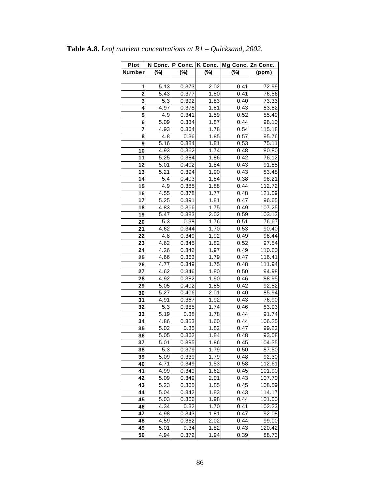| Plot            | N Conc. | P Conc. | K Conc.           | Mg Conc. Zn Conc. |        |
|-----------------|---------|---------|-------------------|-------------------|--------|
| Number          | (%)     | (%)     | $(\%)$            | $(\%)$            | (ppm)  |
|                 |         |         |                   |                   |        |
| 1               | 5.13    | 0.373   | 2.02              | 0.41              | 72.99  |
| $\overline{2}$  | 5.43    | 0.377   | 1.80              | 0.41              | 76.56  |
| 3               | 5.3     | 0.392   | 1.83              | 0.40              | 73.33  |
| 4               | 4.97    | 0.378   | 1.81              | 0.43              | 83.82  |
| 5               | 4.9     | 0.341   | 1.59              | 0.52              | 85.49  |
| 6               | 5.09    | 0.334   | 1.87              | 0.44              | 98.10  |
| 7               | 4.93    | 0.364   | 1.78              | 0.54              | 115.18 |
| 8               | 4.8     | 0.36    | 1.85              | 0.57              | 95.76  |
| 9               | 5.16    | 0.384   | 1.81              | 0.53              | 75.11  |
| 10              | 4.93    | 0.362   | 1.74              | 0.48              | 80.80  |
| 11              | 5.25    | 0.384   | $\overline{1.86}$ | 0.42              | 76.12  |
| $\overline{12}$ | 5.01    | 0.402   | 1.84              | 0.43              | 91.85  |
| $\overline{13}$ | 5.21    | 0.394   | 1.90              | 0.43              | 83.48  |
| 14              | 5.4     | 0.403   | 1.84              | 0.38              | 98.21  |
| 15              | 4.9     | 0.385   | 1.88              | 0.44              | 112.72 |
| 16              | 4.55    | 0.378   | 1.77              | 0.48              | 121.09 |
| 17              | 5.25    | 0.391   | 1.81              | 0.47              | 96.65  |
| 18              | 4.83    | 0.366   | 1.75              | 0.49              | 107.25 |
| 19              | 5.47    | 0.383   | 2.02              | 0.59              | 103.13 |
| 20              | 5.3     | 0.38    | 1.76              | 0.51              | 76.67  |
| 21              | 4.62    | 0.344   | 1.70              | 0.53              | 90.40  |
| $\overline{22}$ | 4.8     | 0.349   | 1.92              | 0.49              | 98.44  |
| 23              | 4.62    | 0.345   | 1.82              | 0.52              | 97.54  |
| 24              | 4.26    | 0.346   | 1.97              | 0.49              | 110.60 |
| 25              | 4.66    | 0.363   | 1.79              | 0.47              | 116.41 |
| 26              | 4.77    | 0.349   | 1.75              | 0.48              | 111.94 |
| 27              | 4.62    | 0.346   | 1.80              | 0.50              | 94.98  |
| 28              | 4.92    | 0.382   | 1.90              | 0.46              | 88.95  |
| 29              | 5.05    | 0.402   | 1.85              | 0.42              | 92.52  |
| 30              | 5.27    | 0.406   | 2.01              | 0.40              | 85.94  |
| 31              | 4.91    | 0.367   | 1.92              | 0.43              | 76.90  |
| 32              | 5.3     | 0.385   | 1.74              | 0.46              | 83.93  |
| 33              | 5.19    | 0.38    | 1.78              | 0.44              | 91.74  |
| 34              | 4.86    | 0.353   | 1.60              | 0.44              | 106.25 |
| 35              | 5.02    | 0.35    | 1.82              | 0.47              | 99.22  |
| $\overline{36}$ | 5.05    | 0.362   | 1.84              | 0.48              | 93.08  |
| 37              | 5.01    | 0.395   | 1.86              | 0.45              | 104.35 |
| 38              | 5.3     | 0.379   | 1.79              | 0.50              | 87.50  |
| 39              | 5.09    | 0.339   | 1.79              | 0.48              | 92.30  |
| 40              | 4.71    | 0.349   | 1.53              | 0.58              | 112.61 |
| 41              | 4.99    | 0.349   | 1.62              | 0.45              | 101.90 |
| 42              | 5.09    | 0.349   | 2.01              | 0.43              | 107.70 |
| $\overline{43}$ | 5.23    | 0.365   | 1.85              | 0.45              | 108.59 |
| 44              | 5.04    | 0.342   | 1.83              | 0.43              | 114.17 |
| 45              | 5.03    | 0.366   | 1.98              | 0.44              | 101.00 |
| 46              | 4.34    | 0.32    | 1.70              | 0.41              | 102.23 |
| 47              | 4.98    | 0.343   | 1.81              | 0.47              | 92.08  |
| 48              | 4.59    | 0.362   | 2.02              | 0.44              | 99.00  |
| 49              | 5.01    | 0.34    | 1.82              | 0.43              | 120.42 |
| 50              | 4.94    | 0.372   | 1.94              | 0.39              | 88.73  |

**Table A.8.** *Leaf nutrient concentrations at R1 – Quicksand, 2002.*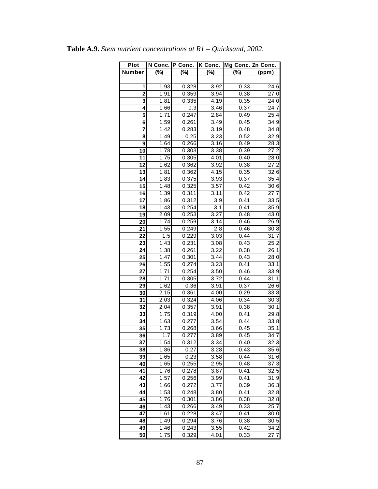| <b>Plot</b>             |                  | N Conc.   P Conc. | K Conc.          | Mg Conc. Zn Conc. |                   |
|-------------------------|------------------|-------------------|------------------|-------------------|-------------------|
| Number                  | $(\%)$           | $(\%)$            | $(\%)$           | $(\%)$            | (ppm)             |
|                         |                  |                   |                  |                   |                   |
| 1                       | 1.93             | 0.328             | 3.92             | 0.33              | 24.6              |
| $\overline{\mathbf{2}}$ | 1.91             | 0.359             | 3.94             | 0.38              | 27.0              |
| 3                       | 1.81             | 0.335             | 4.19             | 0.35              | 24.0              |
| 4                       | 1.66             | 0.3               | 3.46             | 0.37              | $\overline{24.7}$ |
| 5                       | 1.71             | 0.247             | 2.84             | 0.49              | $\overline{2}5.4$ |
| $\overline{\mathbf{6}}$ | 1.59             | 0.261             | 3.49             | 0.45              | 34.9              |
| 7                       | 1.42             | 0.283             | 3.19             | 0.48              | 34.8              |
| 8                       | 1.49             | 0.25              | 3.23             | 0.52              | 32.9              |
| 9                       | 1.64             | 0.266             | 3.16             | 0.49              | 28.3              |
| 10                      | 1.78             | 0.303             | 3.38             | 0.39              | 27.2              |
| 11                      | 1.75             | 0.305             | 4.01             | 0.40              | 28.0              |
| $\overline{1}2$         | 1.62             | 0.362             | 3.92             | 0.38              | 27.2              |
| 13                      | 1.81             | 0.362             | 4.15             | 0.35              | 32.6              |
| 14                      | 1.83             | 0.375             | 3.93             | 0.37              | 35.4              |
| 15                      | 1.48             | 0.325             | 3.57             | 0.42              | 30.6              |
| 16                      | 1.39             | 0.311             | 3.11             | 0.42              | 27.7              |
| 17                      | 1.86             | 0.312             | 3.9              | 0.41              | 33.5              |
| 18                      | 1.43             | 0.254             | $\overline{3.1}$ | 0.41              | $\overline{3}5.9$ |
| 19                      | 2.09             | 0.253             | 3.27             | 0.48              | 43.0              |
| 20                      | 1.74             | 0.259             | 3.14             | 0.46              | 26.9              |
| 21                      | 1.55             | 0.249             | 2.8              | 0.46              | 30.8              |
| 22                      | 1.5              | 0.229             | 3.03             | 0.44              | 31.7              |
| 23                      | 1.43             | 0.231             | 3.08             | 0.43              | 25.2              |
| 24                      | 1.38             | 0.261             | 3.22             | 0.38              | 26.1              |
| 25                      | 1.47             | 0.301             | 3.44             | 0.43              | 28.0              |
| 26                      | 1.55             | 0.274             | 3.23             | 0.41              | 33.1              |
| 27                      | 1.71             | 0.254             | 3.50             | 0.46              | 33.9              |
| 28                      | 1.71             | 0.305             | 3.72             | 0.44              | 31.1              |
| 29                      | 1.62             | 0.36              | 3.91             | 0.37              | 26.6              |
| 30                      | 2.15             | 0.361             | 4.00             | 0.29              | 33.8              |
| 31                      | 2.03             | 0.324             | 4.06             | 0.34              | 30.3              |
| 32                      | 2.04             | 0.357             | 3.91             | 0.38              | 30.1              |
| 33                      | 1.75             | 0.319             | 4.00             | 0.41              | 29.8              |
| 34                      | 1.63             | 0.277             | 3.54             | 0.44              | 33.8              |
| 35                      | 1.73             | 0.268             | 3.66             | 0.45              | 35.1              |
| $\overline{36}$         | $\overline{1.7}$ | 0.277             | 3.89             | 0.45              | 34.7              |
| 37                      | 1.54             | 0.312             | 3.34             | 0.40              | $32.\overline{3}$ |
| 38                      | 1.86             | 0.27              | 3.28             | 0.43              | 35.6              |
| 39                      | 1.65             | 0.23              | 3.58             | 0.44              | 31.6              |
| 40                      | 1.65             | 0.255             | 2.95             | 0.48              | 37.3              |
| 41                      | 1.76             | 0.278             | 3.87             | 0.41              | 32.5              |
| 42                      | 1.57             | 0.256             | 3.99             | 0.41              | 31.9              |
| 43                      | 1.66             | 0.272             | 3.77             | 0.39              | 36.3              |
| 44                      | 1.53             | 0.248             | 3.80             | 0.41              | 32.8              |
| 45                      | 1.76             | 0.301             | 3.86             | 0.38              | 32.8              |
| 46                      | 1.43             | 0.266             | 3.49             | 0.33              | 25.7              |
| 47                      | 1.61             | 0.228             | 3.47             | 0.41              | 30.0              |
| 48                      | 1.49             | 0.294             | 3.76             | 0.38              | 30.5              |
| 49                      | 1.46             | 0.243             | 3.55             | 0.42              | 34.2              |
| $\overline{50}$         | 1.75             | 0.329             | 4.01             | 0.33              | 27.7              |

**Table A.9.** *Stem nutrient concentrations at R1 – Quicksand, 2002.*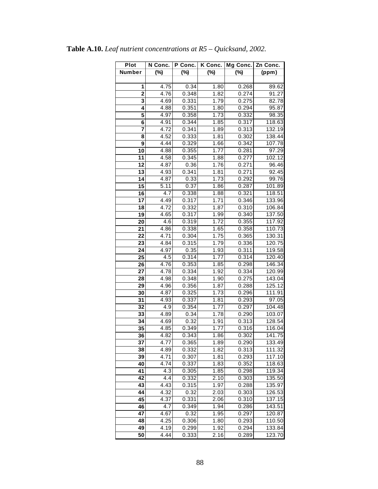| Plot            | N Conc. | P Conc. | K Conc. | Mg Conc. | Zn Conc. |
|-----------------|---------|---------|---------|----------|----------|
| Number          | $(\%)$  | $(\%)$  | $(\%)$  | $(\%)$   | (ppm)    |
|                 |         |         |         |          |          |
| 1               | 4.75    | 0.34    | 1.80    | 0.268    | 89.62    |
| $\overline{2}$  | 4.76    | 0.348   | 1.82    | 0.274    | 91.27    |
| 3               | 4.69    | 0.331   | 1.79    | 0.275    | 82.78    |
| 4               | 4.88    | 0.351   | 1.80    | 0.294    | 95.87    |
| 5               | 4.97    | 0.358   | 1.73    | 0.332    | 98.35    |
| 6               | 4.91    | 0.344   | 1.85    | 0.317    | 118.63   |
| 7               | 4.72    | 0.341   | 1.89    | 0.313    | 132.19   |
| 8               | 4.52    | 0.333   | 1.81    | 0.302    | 138.44   |
| 9               | 4.44    | 0.329   | 1.66    | 0.342    | 107.78   |
| $\overline{10}$ | 4.88    | 0.355   | 1.77    | 0.281    | 97.29    |
| 11              | 4.58    | 0.345   | 1.88    | 0.277    | 102.12   |
| 12              | 4.87    | 0.36    | 1.76    | 0.271    | 96.46    |
| $\overline{13}$ | 4.93    | 0.341   | 1.81    | 0.271    | 92.45    |
| 14              | 4.87    | 0.33    | 1.73    | 0.292    | 99.76    |
| 15              | 5.11    | 0.37    | 1.86    | 0.287    | 101.89   |
| 16              | 4.7     | 0.338   | 1.88    | 0.321    | 118.51   |
| 17              | 4.49    | 0.317   | 1.71    | 0.346    | 133.96   |
| 18              | 4.72    | 0.332   | 1.87    | 0.310    | 106.84   |
| 19              | 4.65    | 0.317   | 1.99    | 0.340    | 137.50   |
| 20              | 4.6     | 0.319   | 1.72    | 0.355    | 117.92   |
| 21              | 4.86    | 0.338   | 1.65    | 0.358    | 110.73   |
| 22              | 4.71    | 0.304   | 1.75    | 0.365    | 130.31   |
| 23              | 4.84    | 0.315   | 1.79    | 0.336    | 120.75   |
| 24              | 4.97    | 0.35    | 1.93    | 0.311    | 119.58   |
| 25              | 4.5     | 0.314   | 1.77    | 0.314    | 120.40   |
| 26              | 4.76    | 0.353   | 1.85    | 0.298    | 146.34   |
| 27              | 4.78    | 0.334   | 1.92    | 0.334    | 120.99   |
| 28              | 4.98    | 0.348   | 1.90    | 0.275    | 143.04   |
| 29              | 4.96    | 0.356   | 1.87    | 0.288    | 125.12   |
| $\overline{30}$ | 4.87    | 0.325   | 1.73    | 0.296    | 111.91   |
| $\overline{31}$ | 4.93    | 0.337   | 1.81    | 0.293    | 97.05    |
| 32              | 4.9     | 0.354   | 1.77    | 0.297    | 104.48   |
| 33              | 4.89    | 0.34    | 1.78    | 0.290    | 103.07   |
| 34              | 4.69    | 0.32    | 1.91    | 0.313    | 128.54   |
| 35              | 4.85    | 0.349   | 1.77    | 0.316    | 116.04   |
| 36              | 4.82    | 0.343   | 1.86    | 0.302    | 141.75   |
| 37              | 4.77    | 0.365   | 1.89    | 0.290    | 133.49   |
| 38              | 4.89    | 0.332   | 1.82    | 0.313    | 111.32   |
| 39              | 4.71    | 0.307   | 1.81    | 0.293    | 117.10   |
| 40              | 4.74    | 0.337   | 1.83    | 0.352    | 118.63   |
| 41              | 4.3     | 0.305   | 1.85    | 0.298    | 119.34   |
| 42              | 4.4     | 0.332   | 2.10    | 0.303    | 135.50   |
| 43              | 4.43    | 0.315   | 1.97    | 0.288    | 135.97   |
| 44              | 4.32    | 0.32    | 2.03    | 0.303    | 126.53   |
| 45              | 4.37    | 0.331   | 2.06    | 0.310    | 137.15   |
| 46              | 4.7     | 0.349   | 1.94    | 0.286    | 143.51   |
| 47              | 4.67    | 0.32    | 1.95    | 0.297    | 120.87   |
| 48              | 4.25    | 0.306   | 1.80    | 0.293    | 110.50   |
| 49              | 4.19    | 0.299   | 1.92    | 0.294    | 133.84   |
| 50              | 4.44    | 0.333   | 2.16    | 0.289    | 123.70   |

**Table A.10.** *Leaf nutrient concentrations at R5 – Quicksand, 2002.*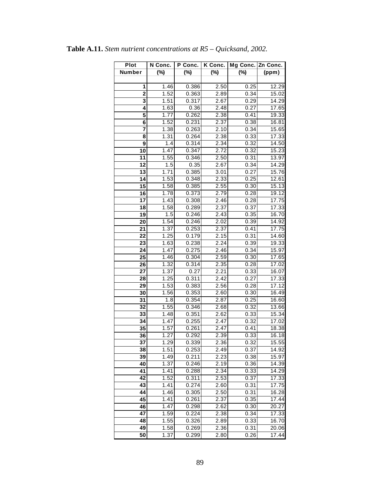| <b>Plot</b>     | N Conc.           | P Conc. | K Conc.           | Mg Conc. Zn Conc. |                    |
|-----------------|-------------------|---------|-------------------|-------------------|--------------------|
| Number          | (%)               | (%)     | $(\%)$            | $(\%)$            | (ppm)              |
|                 |                   |         |                   |                   |                    |
| 1               | 1.46              | 0.386   | 2.50              | 0.25              | 12.29              |
| $\overline{2}$  | 1.52              | 0.363   | 2.89              | 0.34              | 15.02              |
| 3               | 1.51              | 0.317   | 2.67              | 0.29              | 14.29              |
| 4               | 1.63              | 0.36    | 2.48              | 0.27              | 17.65              |
| 5               | 1.77              | 0.262   | 2.38              | 0.41              | 19.33              |
| 6               | 1.52              | 0.231   | 2.37              | 0.38              | 16.81              |
| 7               | 1.38              | 0.263   | 2.10              | 0.34              | 15.65              |
| 8               | 1.31              | 0.264   | 2.38              | 0.33              | 17.33              |
| 9               | 1.4               | 0.314   | 2.34              | 0.32              | 14.50              |
| 10              | 1.47              | 0.347   | 2.72              | 0.32              | 15.23              |
| 11              | 1.55              | 0.346   | $\overline{2.50}$ | $0.\overline{31}$ | 13.97              |
| 12              | 1.5               | 0.35    | 2.67              | 0.34              | 14.29              |
| 13              | 1.71              | 0.385   | 3.01              | 0.27              | 15.76              |
| 14              | 1.53              | 0.348   | 2.33              | 0.25              | 12.61              |
| 15              | 1.58              | 0.385   | 2.55              | 0.30              | 15.13              |
| 16              | $\overline{1.78}$ | 0.373   | 2.79              | 0.28              | 19.12              |
| 17              | 1.43              | 0.308   | 2.46              | 0.28              | 17.75              |
| 18              | 1.58              | 0.289   | 2.37              | 0.37              | 17.33              |
| 19              | 1.5               | 0.246   | 2.43              | 0.35              | 16.70              |
| 20              | 1.54              | 0.246   | 2.02              | 0.39              | 14.92              |
| 21              | 1.37              | 0.253   | 2.37              | 0.41              | 17.75              |
| 22              | 1.25              | 0.179   | 2.15              | 0.31              | 14.60              |
| 23              | 1.63              | 0.238   | $2.\overline{24}$ | 0.39              | 19.33              |
| 24              | 1.47              | 0.275   | 2.46              | 0.34              | 15.97              |
| 25              | 1.46              | 0.304   | 2.59              | 0.30              | 17.65              |
| 26              | 1.32              | 0.314   | 2.35              | 0.28              | 17.02              |
| 27              | 1.37              | 0.27    | 2.21              | 0.33              | 16.07              |
| 28              | 1.25              | 0.311   | 2.42              | 0.27              | 17.33              |
| 29              | 1.53              | 0.383   | 2.56              | 0.28              | 17.12              |
| $\overline{30}$ | 1.56              | 0.353   | 2.60              | 0.30              | 16.49              |
| $\overline{31}$ | 1.8               | 0.354   | 2.87              | 0.25              | 16.60              |
| 32              | 1.55              | 0.346   | 2.68              | 0.32              | 13.66              |
| 33              | 1.48              | 0.351   | 2.62              | 0.33              | 15.34              |
| 34              | 1.47              | 0.255   | 2.47              | 0.32              | 17.02              |
| 35              | 1.57              | 0.261   | 2.47              | 0.41              | 18.38              |
| 36              | 1.27              | 0.292   | 2.39              | 0.33              | 16.18              |
| 37              | 1.29              | 0.339   | 2.36              | 0.32              | 15.55              |
| 38              | 1.51              | 0.253   | 2.49              | 0.37              | 14.92              |
| 39              | 1.49              | 0.211   | 2.23              | 0.38              | 15.97              |
| 40              | 1.37              | 0.246   | 2.19              | 0.36              | 14.39              |
| 41              | 1.41              | 0.288   | 2.34              | 0.33              | 14.29              |
| 42              | 1.52              | 0.311   | 2.53              | 0.37              | 17.33              |
| 43              | 1.41              | 0.274   | 2.60              | 0.31              | 17.75              |
| 44              | 1.46              | 0.305   | 2.50              | 0.31              | 16.28              |
| 45              | 1.41              | 0.261   | 2.37              | 0.35              | 17.44              |
| 46              | 1.47              | 0.298   | 2.62              | 0.30              | 20.27              |
| 47              | 1.59              | 0.224   | 2.38              | 0.34              | 17.33              |
| 48              | 1.55              | 0.326   | 2.89              | 0.33              | 16.70              |
| 49              | 1.58              | 0.269   | 2.36              | 0.31              | 20.06              |
| 50              | 1.37              | 0.299   | 2.80              | 0.26              | $17.\overline{44}$ |

**Table A.11.** *Stem nutrient concentrations at R5 – Quicksand, 2002.*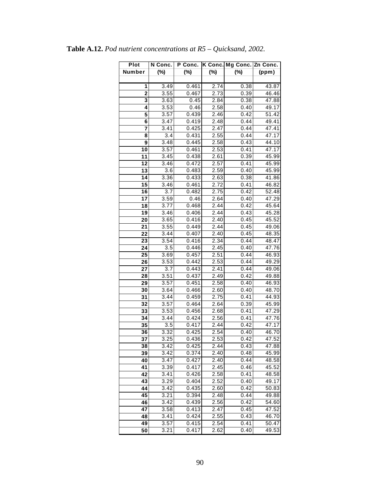| Plot                    | N Conc.           | P Conc. |                   | K Conc. Mg Conc. Zn Conc. |                    |
|-------------------------|-------------------|---------|-------------------|---------------------------|--------------------|
| Number                  | $(\%)$            | $(\%)$  | $(\%)$            | $(\%)$                    | (ppm)              |
|                         |                   |         |                   |                           |                    |
| 1                       | 3.49              | 0.461   | 2.74              | 0.38                      | 43.87              |
| $\overline{\mathbf{c}}$ | $\overline{3.55}$ | 0.467   | $\overline{2}.73$ | 0.39                      | 46.46              |
| 3                       | 3.63              | 0.45    | 2.84              | 0.38                      | 47.88              |
| 4                       | 3.53              | 0.46    | 2.58              | 0.40                      | 49.17              |
| 5                       | 3.57              | 0.439   | 2.46              | 0.42                      | $\overline{5}1.42$ |
| 6                       | 3.47              | 0.419   | 2.48              | 0.44                      | 49.41              |
| $\overline{7}$          | 3.41              | 0.425   | 2.47              | 0.44                      | 47.41              |
| 8                       | $3.\overline{4}$  | 0.431   | 2.55              | 0.44                      | 47.17              |
| 9                       | 3.48              | 0.445   | 2.58              | 0.43                      | 44.10              |
| 10                      | 3.57              | 0.461   | 2.53              | 0.41                      | 47.17              |
| 11                      | 3.45              | 0.438   | 2.61              | 0.39                      | 45.99              |
| $\overline{12}$         | 3.46              | 0.472   | 2.57              | 0.41                      | 45.99              |
| 13                      | 3.6               | 0.483   | 2.59              | 0.40                      | 45.99              |
| 14                      | 3.36              | 0.433   | 2.63              | 0.38                      | 41.86              |
| 15                      | 3.46              | 0.461   | 2.72              | 0.41                      | 46.82              |
| 16                      | 3.7               | 0.482   | 2.75              | 0.42                      | 52.48              |
| 17                      | 3.59              | 0.46    | 2.64              | 0.40                      | 47.29              |
| 18                      | 3.77              | 0.468   | 2.44              | 0.42                      | 45.64              |
| $\overline{19}$         | 3.46              | 0.406   | 2.44              | 0.43                      | 45.28              |
| 20                      | 3.65              | 0.416   | 2.40              | 0.45                      | 45.52              |
| 21                      | 3.55              | 0.449   | 2.44              | 0.45                      | 49.06              |
| 22                      | 3.44              | 0.407   | 2.40              | 0.45                      | 48.35              |
| 23                      | 3.54              | 0.416   | 2.34              | 0.44                      | 48.47              |
| 24                      | 3.5               | 0.446   | 2.45              | 0.40                      | 47.76              |
| 25                      | 3.69              | 0.457   | 2.51              | 0.44                      | 46.93              |
| 26                      | 3.53              | 0.442   | 2.53              | 0.44                      | 49.29              |
| 27                      | 3.7               | 0.443   | 2.41              | 0.44                      | 49.06              |
| 28                      | 3.51              | 0.437   | 2.49              | 0.42                      | 49.88              |
| 29                      | 3.57              | 0.451   | 2.58              | 0.40                      | 46.93              |
| 30                      | 3.64              | 0.466   | 2.60              | 0.40                      | 48.70              |
| 31                      | 3.44              | 0.459   | 2.75              | 0.41                      | 44.93              |
| 32                      | 3.57              | 0.464   | 2.64              | 0.39                      | 45.99              |
| 33                      | 3.53              | 0.456   | 2.68              | 0.41                      | 47.29              |
| 34                      | 3.44              | 0.424   | 2.56              | 0.41                      | 47.76              |
| 35                      | 3.5               | 0.417   | 2.44              | 0.42                      | 47.17              |
| $\overline{36}$         | 3.32              | 0.425   | 2.54              | 0.40                      | 46.70              |
| $\overline{37}$         | 3.25              | 0.436   | 2.53              | 0.42                      | 47.52              |
| 38                      | 3.42              | 0.425   | 2.44              | 0.43                      | 47.88              |
| 39                      | 3.42              | 0.374   | 2.40              | 0.48                      | 45.99              |
| 40                      | 3.47              | 0.427   | 2.40              | 0.44                      | 48.58              |
| 41                      | 3.39              | 0.417   | 2.45              | 0.46                      | 45.52              |
| 42                      | 3.41              | 0.426   | 2.58              | 0.41                      | 48.58              |
| 43                      | 3.29              | 0.404   | 2.52              | 0.40                      | 49.17              |
| 44                      | 3.42              | 0.435   | 2.60              | 0.42                      | 50.83              |
| 45                      | 3.21              | 0.394   | 2.48              | 0.44                      | 49.88              |
| 46                      | 3.42              | 0.439   | 2.56              | 0.42                      | 54.60              |
| $\overline{4}$          | 3.58              | 0.413   | 2.47              | 0.45                      | 47.52              |
| 48                      | 3.41              | 0.424   | 2.55              | 0.43                      | 46.70              |
| 49                      | 3.57              | 0.415   | 2.54              | 0.41                      | 50.47              |
| 50                      | 3.21              | 0.417   | 2.62              | 0.40                      | 49.53              |
|                         |                   |         |                   |                           |                    |

|  |  | <b>Table A.12.</b> Pod nutrient concentrations at $R5 - Q$ uicksand, 2002. |  |  |
|--|--|----------------------------------------------------------------------------|--|--|
|--|--|----------------------------------------------------------------------------|--|--|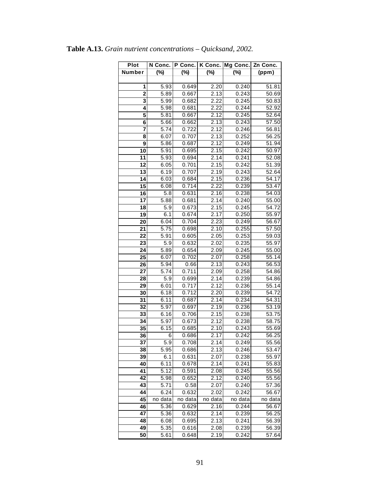| Plot            | N Conc.          | P Conc. | K Conc. | Mg Conc. | Zn Conc.           |
|-----------------|------------------|---------|---------|----------|--------------------|
| Number          | $(\%)$           | $(\%)$  | $(\%)$  | (%)      | (ppm)              |
|                 |                  |         |         |          |                    |
| 1               | 5.93             | 0.649   | 2.20    | 0.240    | 51.81              |
| $\overline{2}$  | 5.89             | 0.667   | 2.13    | 0.243    | 50.69              |
| 3               | 5.99             | 0.682   | 2.22    | 0.245    | 50.83              |
| 4               | 5.98             | 0.681   | 2.22    | 0.244    | 52.92              |
| 5               | 5.81             | 0.667   | 2.12    | 0.245    | 52.64              |
| 6               | 5.66             | 0.662   | 2.13    | 0.243    | 57.50              |
| 7               | 5.74             | 0.722   | 2.12    | 0.246    | 56.81              |
| 8               | 6.07             | 0.707   | 2.13    | 0.252    | 56.25              |
| 9               | 5.86             | 0.687   | 2.12    | 0.249    | 51.94              |
| 10              | 5.91             | 0.695   | 2.15    | 0.242    | 50.97              |
| 11              | 5.93             | 0.694   | 2.14    | 0.241    | 52.08              |
| 12              | 6.05             | 0.701   | 2.15    | 0.242    | 51.39              |
| $\overline{13}$ | 6.19             | 0.707   | 2.19    | 0.243    | 52.64              |
| 14              | 6.03             | 0.684   | 2.15    | 0.236    | 54.17              |
| 15              | 6.08             | 0.714   | 2.22    | 0.239    | 53.47              |
| 16              | $\overline{5.8}$ | 0.631   | 2.16    | 0.238    | 54.03              |
| 17              | 5.88             | 0.681   | 2.14    | 0.240    | 55.00              |
| 18              | 5.9              | 0.673   | 2.15    | 0.245    | 54.72              |
| 19              | 6.1              | 0.674   | 2.17    | 0.250    | 55.97              |
| 20              | 6.04             | 0.704   | 2.23    | 0.249    | 56.67              |
| 21              | 5.75             | 0.698   | 2.10    | 0.255    | 57.50              |
| 22              | 5.91             | 0.605   | 2.05    | 0.253    | 59.03              |
| $\overline{2}3$ | 5.9              | 0.632   | 2.02    | 0.235    | 55.97              |
| 24              | 5.89             | 0.654   | 2.09    | 0.245    | 55.00              |
| 25              | 6.07             | 0.702   | 2.07    | 0.258    | 55.14              |
| 26              | 5.94             | 0.66    | 2.13    | 0.243    | 56.53              |
| 27              | 5.74             | 0.711   | 2.09    | 0.258    | 54.86              |
| 28              | 5.9              | 0.699   | 2.14    | 0.239    | 54.86              |
| 29              | 6.01             | 0.717   | 2.12    | 0.236    | 55.14              |
| 30              | 6.18             | 0.712   | 2.20    | 0.239    | 54.72              |
| 31              | 6.11             | 0.687   | 2.14    | 0.234    | 54.31              |
| 32              | 5.97             | 0.697   | 2.19    | 0.236    | 53.19              |
| 33              | 6.16             | 0.706   | 2.15    | 0.238    | 53.75              |
| 34              | 5.97             | 0.673   | 2.12    | 0.238    | 58.75              |
| 35              | 6.15             | 0.685   | 2.10    | 0.243    | 55.69              |
| 36              | 6                | 0.686   | 2.17    | 0.242    | $\overline{56.25}$ |
| 37              | 5.9              | 0.708   | 2.14    | 0.249    | 55.56              |
| 38              | 5.95             | 0.686   | 2.13    | 0.246    | 53.47              |
| 39              | 6.1              | 0.631   | 2.07    | 0.238    | 55.97              |
| 40              | 6.11             | 0.678   | 2.14    | 0.241    | 55.83              |
| 41              | 5.12             | 0.591   | 2.08    | 0.245    | 55.56              |
| 42              | 5.98             | 0.652   | 2.12    | 0.240    | 55.56              |
| 43              | 5.71             | 0.58    | 2.07    | 0.240    | 57.36              |
| 44              | 6.24             | 0.632   | 2.02    | 0.242    | 56.67              |
| 45              | no data          | no data | no data | no data  | no data            |
| 46              | 5.36             | 0.629   | 2.16    | 0.244    | 56.67              |
| 47              | 5.36             | 0.632   | 2.14    | 0.239    | 56.25              |
| 48              | 6.08             | 0.695   | 2.13    | 0.241    | 56.39              |
| 49              | 5.35             | 0.616   | 2.08    | 0.239    | 56.39              |
| 50              | 5.61             | 0.648   | 2.19    | 0.242    | 57.64              |

**Table A.13.** *Grain nutrient concentrations – Quicksand, 2002.*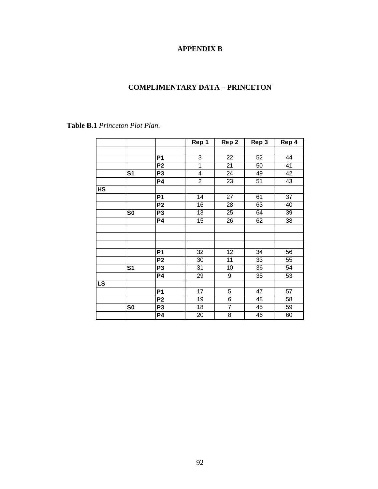# **APPENDIX B**

## **COMPLIMENTARY DATA – PRINCETON**

|           |                |                 | Rep 1          | Rep 2           | Rep 3           | Rep 4 |
|-----------|----------------|-----------------|----------------|-----------------|-----------------|-------|
|           |                |                 |                |                 |                 |       |
|           |                | P <sub>1</sub>  | 3              | 22              | 52              | 44    |
|           |                | P <sub>2</sub>  | 1              | 21              | 50              | 41    |
|           | S <sub>1</sub> | P <sub>3</sub>  | 4              | 24              | 49              | 42    |
|           |                | <b>P4</b>       | $\overline{2}$ | 23              | 51              | 43    |
| <b>HS</b> |                |                 |                |                 |                 |       |
|           |                | P <sub>1</sub>  | 14             | $\overline{27}$ | 61              | 37    |
|           |                | P <sub>2</sub>  | 16             | 28              | 63              | 40    |
|           | S <sub>0</sub> | P <sub>3</sub>  | 13             | 25              | 64              | 39    |
|           |                | <b>P4</b>       | 15             | 26              | 62              | 38    |
|           |                |                 |                |                 |                 |       |
|           |                |                 |                |                 |                 |       |
|           |                |                 |                |                 |                 |       |
|           |                | P <sub>1</sub>  | 32             | $\overline{12}$ | $\overline{34}$ | 56    |
|           |                | P <sub>2</sub>  | 30             | $\overline{11}$ | 33              | 55    |
|           | S <sub>1</sub> | $\overline{P3}$ | 31             | 10              | 36              | 54    |
|           |                | P4              | 29             | 9               | 35              | 53    |
| <b>LS</b> |                |                 |                |                 |                 |       |
|           |                | <b>P1</b>       | 17             | 5               | 47              | 57    |
|           |                | P <sub>2</sub>  | 19             | 6               | 48              | 58    |
|           | S <sub>0</sub> | P <sub>3</sub>  | 18             | $\overline{7}$  | 45              | 59    |
|           |                | <b>P4</b>       | 20             | $\overline{8}$  | 46              | 60    |

**Table B.1** *Princeton Plot Plan*.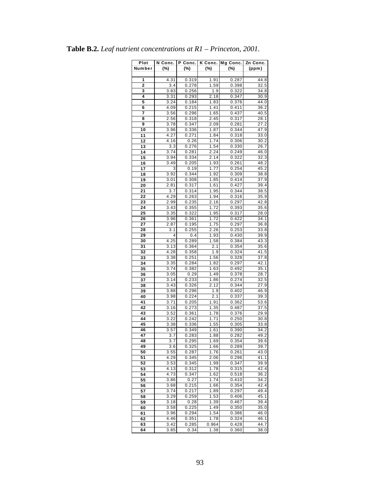| Plot<br>Number | N Conc.<br>$(\%)$ | P Conc.<br>$(\%)$ | $(\%)$       | K Conc. Mg Conc.<br>(%) | Zn Conc.<br>(ppm)         |
|----------------|-------------------|-------------------|--------------|-------------------------|---------------------------|
|                |                   |                   |              |                         |                           |
| 1              | 4.31              | 0.319             | 1.91         | 0.287                   | 44.8                      |
| 2              | 3.4               | 0.278             | 1.59         | 0.398                   | 32.5                      |
| 3<br>4         | 3.83              | 0.256             | 1.9<br>2.18  | 0.322                   | 34.8                      |
| 5              | 3.31<br>3.24      | 0.293<br>0.184    | 1.83         | 0.347<br>0.376          | 30.9<br>44.0              |
| 6              | 4.09              | 0.215             | 1.41         | 0.411                   | 36.2                      |
| 7              | 3.56              | 0.296             | 1.65         | 0.437                   | 40.5                      |
| 8              | 2.56              | 0.318             | 2.45         | 0.317                   | 28.1                      |
| 9              | 3.78              | 0.347             | 2.09         | 0.281                   | $\overline{2}7.2$         |
| 10             | 3.96              | 0.336             | 1.87         | 0.344                   | 47.9                      |
| 11             | 4.27              | 0.271             | 1.84         | 0.318                   | 33.0                      |
| 12             | 4.16              | 0.26              | 1.74         | 0.306                   | 30.2                      |
| 13             | 3.3               | 0.276             | 1.54         | 0.330                   | 26.7                      |
| 14             | 3.74              | 0.281             | 2.24         | 0.249                   | 46.0                      |
| 15             | 3.94              | 0.334             | 2.14         | 0.322                   | 32.3                      |
| 16             | 3.49              | 0.205             | 1.93         | 0.261                   | 48.2                      |
| 17             | 3                 | 0.19              | 1.77         | 0.254                   | 45.2                      |
| 18<br>19       | 3.92<br>3.01      | 0.344<br>0.308    | 1.92<br>1.85 | 0.309<br>0.414          | 38.8<br>37.9              |
| 20             | 2.81              | 0.317             | 1.61         | 0.427                   | 39.4                      |
| 21             | 3.7               | 0.314             | 1.95         | 0.344                   | 38.5                      |
| 22             | 4.29              | 0.263             | 1.94         | 0.316                   | 35.9                      |
| 23             | 2.99              | 0.235             | 2.16         | 0.297                   | $\overline{42.8}$         |
| 24             | 3.43              | 0.355             | 1.72         | 0.393                   | 35.6                      |
| 25             | 3.35              | 0.322             | 1.95         | 0.317                   | 28.0                      |
| 26             | 3.96              | 0.361             | 1.72         | 0.422                   | 34.1                      |
| 27             | 2.87              | 0.195             | 1.75         | 0.297                   | 36.8                      |
| 28             | 3.1               | 0.255             | 2.26         | 0.253                   | 33.8                      |
| 29             | 4                 | 0.4               | 1.93         | 0.430                   | 39.9                      |
| 30             | 4.25              | 0.289             | 1.58         | 0.384                   | 43.3                      |
| 31<br>32       | 3.13<br>4.28      | 0.364             | 2.1<br>1.9   | 0.354<br>0.324          | 35.6<br>$\overline{4}1.5$ |
| 33             | 3.38              | 0.358<br>0.251    | 1.56         | 0.328                   | 37.8                      |
| 34             | 3.35              | 0.284             | 1.82         | 0.297                   | 42.1                      |
| 35             | 3.74              | 0.382             | 1.63         | 0.492                   | 35.1                      |
| 36             | 3.05              | 0.29              | 1.49         | 0.378                   | 28.7                      |
| 37             | 3.14              | 0.233             | 1.86         | 0.274                   | 32.5                      |
| 38             | 3.43              | 0.326             | 2.12         | 0.344                   | 27.9                      |
| 39             | 3.88              | 0.296             | 1.9          | 0.402                   | 46.9                      |
| 40             | 3.98              | 0.224             | 2.1          | 0.337                   | 39.3                      |
| 41             | 3.71              | 0.205             | 1.91         | 0.362                   | 53.6                      |
| 42             | 3.16              | 0.273             | 1.35         | 0.487                   | 37.5                      |
| 43             | 3.52              | 0.361             | 1.78         | 0.376                   | 29.9                      |
| 44<br>45       | 3.22<br>3.38      | 0.242<br>0.336    | 1.71<br>1.55 | 0.250<br>0.305          | 30.8<br>33.8              |
| 46             | 3.57              | 0.349             | 1.61         | 0.390                   | 34.2                      |
| 47             | 3.7               | 0.283             | 1.88         | 0.282                   | 49.2                      |
| 48             | 3.7               | 0.295             | 1.69         | 0.354                   | 39.6                      |
| 49             | 3.6               | 0.325             | 1.66         | 0.289                   | 39.7                      |
| 50             | 3.55              | 0.287             | 1.76         | 0.261                   | 43.0                      |
| 51             | 4.29              | 0.345             | 2.06         | 0.296                   | 41.1                      |
| 52             | 3.53              | 0.345             | 1.99         | 0.347                   | 39.9                      |
| 53             | 4.13              | 0.312             | 1.78         | 0.315                   | 42.4                      |
| 54             | 4.73              | 0.347             | 1.62         | 0.518                   | 36.2                      |
| 55             | 3.86              | 0.27              | 1.74         | 0.410                   | 34.2                      |
| 56             | 3.68              | 0.215             | 1.66         | 0.354                   | 42.4                      |
| 57             | 3.74              | 0.217             | 1.89         | 0.297                   | 49.4                      |
| 58             | 3.29              | 0.259             | 1.53         | 0.406                   | 45.1                      |
| 59             | 3.18<br>3.58      | 0.28<br>0.225     | 1.39<br>1.49 | 0.467<br>0.350          | 39.4<br>35.0              |
| 60<br>61       | 3.96              | 0.294             | 1.54         | 0.386                   | 46.0                      |
| 62             | 4.46              | 0.351             | 1.78         | 0.324                   | 46.1                      |
| 63             | 3.42              | 0.285             | 0.964        | 0.428                   | 44.7                      |
| 64             | 3.85              | 0.34              | 1.38         | 0.360                   | 38.0                      |

**Table B.2.** *Leaf nutrient concentrations at R1 – Princeton, 2001.*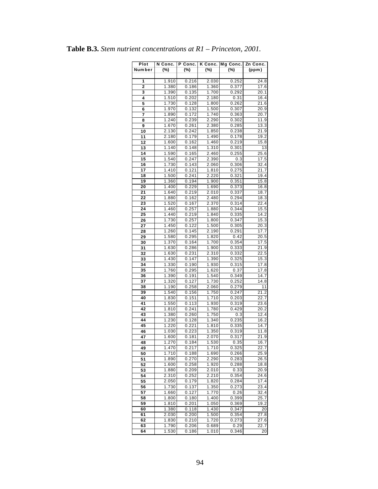| Plot   | N Conc. | P Conc.        | K Conc. | Mg Conc. | Zn Conc.                   |
|--------|---------|----------------|---------|----------|----------------------------|
| Number | (%)     | (%)            | $(\%)$  | (%)      | (ppm)                      |
|        |         |                |         |          |                            |
| 1      | 1.910   | 0.216          | 2.030   | 0.252    | 24.8                       |
| 2      | 1.380   | 0.186          | 1.360   | 0.377    | 17.6                       |
| 3      | 1.390   | 0.135          | 1.700   | 0.292    | 20.1                       |
| 4      | 1.510   | 0.202          | 2.180   | 0.31     | 16.4                       |
| 5      | 1.730   | 0.128          | 1.800   | 0.262    | 21.6                       |
| 6      | 1.970   | 0.132          | 1.500   | 0.307    | 20.9                       |
| 7      | 1.890   | 0.172          | 1.740   | 0.363    | 20.7                       |
| 8      | 1.240   | 0.239          | 2.290   | 0.302    | 11.9                       |
| 9      | 1.670   | 0.261          | 2.380   | 0.285    | 13.3                       |
| 10     | 2.130   | 0.242          | 1.850   | 0.238    | $\overline{2}1.9$          |
| 11     | 2.180   | 0.179          | 1.490   | 0.178    | 19.2                       |
| 12     | 1.600   | 0.162          | 1.460   | 0.219    | 15.8                       |
| 13     | 1.140   | 0.148          | 1.310   | 0.301    | 13                         |
| 14     | 1.590   | 0.165          | 2.460   | 0.255    | 25.6                       |
| 15     | 1.540   | 0.247          | 2.390   | 0.3      | 17.5                       |
| 16     | 1.730   | 0.143          | 2.060   | 0.306    | 32.4                       |
| 17     | 1.410   | 0.121          | 1.810   | 0.275    | $\overline{21}.7$          |
| 18     | 1.500   | 0.241          | 2.220   | 0.321    | 19.4                       |
| 19     | 1.360   | 0.194          | 1.900   | 0.351    | 15.8                       |
| 20     | 1.400   | 0.229          | 1.690   | 0.373    | 16.8                       |
| 21     | 1.640   | 0.219          | 2.010   | 0.337    | 18.7                       |
| 22     | 1.880   | 0.162          | 2.480   | 0.294    | 18.3                       |
| 23     | 1.520   | 0.167          | 2.370   | 0.314    | 22.4                       |
| 24     | 1.460   | 0.257          | 1.880   | 0.344    | 15.5                       |
| 25     | 1.440   | 0.219          | 1.840   | 0.335    | 14.2                       |
| 26     | 1.730   | 0.257          | 1.800   | 0.347    | 15.3                       |
| 27     | 1.450   | 0.122          | 1.500   | 0.305    | 20.3                       |
| 28     | 1.260   | 0.145          |         | 0.291    |                            |
| 29     | 1.580   | 0.295          | 2.190   | 0.42     | 17.7<br>20.5               |
|        |         |                | 1.820   |          |                            |
| 30     | 1.370   | 0.164          | 1.700   | 0.354    | 17.5<br>21.9               |
| 31     | 1.630   | 0.286          | 1.900   | 0.333    |                            |
| 32     | 1.630   | 0.231          | 2.310   | 0.332    | $\overline{2}$ 2.5<br>15.3 |
| 33     | 1.430   | 0.147          | 1.390   | 0.325    |                            |
| 34     | 1.330   | 0.190          | 1.930   | 0.315    | 17.8                       |
| 35     | 1.760   | 0.295          | 1.620   | 0.37     | 17.8                       |
| 36     | 1.390   | 0.191          | 1.540   | 0.349    | 14.7<br>14.8               |
| 37     | 1.320   | 0.127          | 1.730   | 0.252    |                            |
| 38     | 1.190   | 0.258<br>0.156 | 2.060   | 0.279    | 11                         |
| 39     | 1.540   |                | 1.750   | 0.247    | 21.2                       |
| 40     | 1.830   | 0.151          | 1.710   | 0.203    | 22.7<br>23.6               |
| 41     | 1.550   | 0.113          | 1.930   | 0.319    |                            |
| 42     | 1.810   | 0.241          | 1.780   | 0.429    | 20.2                       |
| 43     | 1.380   | 0.260          | 1.750   | 0.3      | 12.4                       |
| 44     | 1.230   | 0.128          | 1.340   | 0.235    | 16.2                       |
| 45     | 1.220   | 0.221          | 1.810   | 0.335    | 14.7                       |
| 46     | 1.030   | 0.223          | 1.350   | 0.319    | 11.8                       |
| 47     | 1.600   | 0.181          | 2.070   | 0.317    | 21.9                       |
| 48     | 1.270   | 0.184          | 1.530   | 0.35     | 16.7                       |
| 49     | 1.470   | 0.217          | 1.710   | 0.325    | 22.7                       |
| 50     | 1.710   | 0.188          | 1.690   | 0.266    | 25.9                       |
| 51     | 1.890   | 0.270          | 2.290   | 0.283    | $\overline{2}6.5$          |
| 52     | 1.600   | 0.258          | 1.920   | 0.288    | 18.8                       |
| 53     | 1.880   | 0.209          | 2.010   | 0.33     | 20.9                       |
| 54     | 2.310   | 0.252          | 2.210   | 0.354    | 24.6                       |
| 55     | 2.050   | 0.179          | 1.820   | 0.284    | 17.4                       |
| 56     | 1.730   | 0.137          | 1.350   | 0.273    | $\overline{2}3.4$          |
| 57     | 1.660   | 0.127          | 1.770   | 0.26     | 32.4                       |
| 58     | 1.800   | 0.180          | 1.400   | 0.399    | 25.7                       |
| 59     | 1.810   | 0.201          | 1.050   | 0.369    | 19.2                       |
| 60     | 1.380   | 0.118          | 1.430   | 0.347    | 20                         |
| 61     | 2.030   | 0.200          | 1.500   | 0.354    | $\overline{27.8}$          |
| 62     | 1.830   | 0.210          | 1.720   | 0.273    | 27.6                       |
| 63     | 1.790   | 0.206          | 0.689   | 0.29     | 22.7                       |
| 64     | 1.530   | 0.186          | 1.010   | 0.346    | 20                         |

|  |  |  | <b>Table B.3.</b> Stem nutrient concentrations at $RI$ – Princeton, 2001. |  |  |  |
|--|--|--|---------------------------------------------------------------------------|--|--|--|
|--|--|--|---------------------------------------------------------------------------|--|--|--|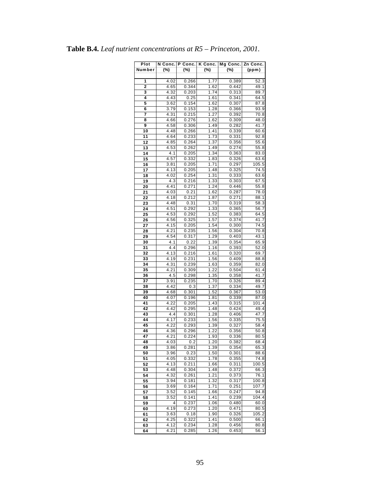| Plot     | N Conc.      | P Conc.        |              | K Conc.   Mg Conc. | Zn Conc.          |
|----------|--------------|----------------|--------------|--------------------|-------------------|
| Number   | (%)          | (%)            | (%)          | $(\%)$             | (ppm)             |
|          |              |                |              |                    |                   |
| 1        | 4.02         | 0.266          | 1.77         | 0.389              | 52.3              |
| 2        | 4.65         | 0.344          | 1.62         | 0.442              | 49.1              |
| 3        | 4.32         | 0.203          | 1.74         | 0.313              | 89.7              |
| 4        | 4.43         | 0.25           | 1.61         | 0.341              | 64.5              |
| 5        | 3.62         | 0.154          | 1.62         | 0.307              | 87.8              |
| 6        | 3.79         | 0.153          | 1.28         | 0.366              | 93.9              |
| 7        | 4.31         | 0.215          | 1.27         | 0.392              | 70.8              |
| 8        | 4.66         | 0.276          | 1.62         | 0.309              | 48.0              |
| 9        | 4.58         | 0.306          | 1.49         | 0.282              | $\overline{4}1.7$ |
| 10<br>11 | 4.48<br>4.64 | 0.266<br>0.233 | 1.41<br>1.73 | 0.339<br>0.331     | 60.6<br>92.8      |
| 12       | 4.85         | 0.264          | 1.37         | 0.356              | 55.6              |
| 13       | 4.53         | 0.262          | 1.49         | 0.274              | 55.8              |
| 14       | 4.1          | 0.205          | 1.34         | 0.363              | 83.0              |
| 15       | 4.57         | 0.332          | 1.83         | 0.326              | 63.6              |
| 16       | 3.81         | 0.205          | 1.71         | 0.297              | 105.5             |
| 17       | 4.13         | 0.205          | 1.48         | 0.325              | 74.5              |
| 18       | 4.02         | 0.254          | 1.31         | 0.333              | 63.6              |
| 19       | 4.3          | 0.216          | 1.33         | 0.303              | 67.5              |
| 20       | 4.41         | 0.271          | 1.24         | 0.446              | 55.8              |
| 21       | 4.03         | 0.21           | 1.62         | 0.287              | 78.0              |
| 22       | 4.18         | 0.212          | 1.87         | 0.271              | 88.1              |
| 23       | 4.48         | 0.31           | 1.70         | 0.319              | 58.3              |
| 24       | 4.51         | 0.292          | 1.33         | 0.365              | 56.7              |
| 25       | 4.53         | 0.292          | 1.52         | 0.383              | 64.5              |
| 26       | 4.56         | 0.325          | 1.57         | 0.374              | 41.7              |
| 27       | 4.15         | 0.205          | 1.54         | 0.300              | 74.5              |
| 28       | 4.21         | 0.235          | 1.56         | 0.304              | 70.8              |
| 29       | 4.54         | 0.317          | 1.29         | 0.403              | 43.1              |
| 30<br>31 | 4.1<br>4.4   | 0.22<br>0.296  | 1.39<br>1.16 | 0.354<br>0.393     | 65.9<br>52.0      |
| 32       | 4.13         | 0.216          | 1.61         | 0.320              | 69.7              |
| 33       | 4.19         | 0.231          | 1.56         | 0.409              | 88.8              |
| 34       | 4.31         | 0.239          | 1.63         | 0.359              | 82.0              |
| 35       | 4.21         | 0.309          | 1.22         | 0.504              | 61.4              |
| 36       | 4.5          | 0.298          | 1.35         | 0.358              | 41.7              |
| 37       | 3.91         | 0.235          | 1.70         | 0.326              | 89.4              |
| 38       | 4.42         | 0.3            | 1.37         | 0.334              | 49.7              |
| 39       | 4.68         | 0.301          | 1.52         | 0.367              | 53.0              |
| 40       | 4.07         | 0.196          | 1.81         | 0.339              | 87.0              |
| 41       | 4.22         | 0.205          | 1.43         | 0.315              | 101.4             |
| 42       | 4.42         | 0.295          | 1.48         | 0.424              | 49.4              |
| 43       | 4.4          | 0.301          | 1.28         | 0.406              | 47.7              |
| 44       | 4.17         | 0.233          | 1.56<br>1.39 | 0.335              | 75.5              |
| 45       | 4.22<br>4.36 | 0.293<br>0.296 | 1.22         | 0.327              | 58.4<br>50.8      |
| 46<br>47 | 4.21         | 0.224          | 1.93         | 0.356<br>0.336     | 80.5              |
| 48       | 4.03         | 0.2            | 1.20         | 0.382              | 68.4              |
| 49       | 3.86         | 0.281          | 1.39         | 0.354              | 65.3              |
| 50       | 3.96         | 0.23           | 1.50         | 0.301              | 88.6              |
| 51       | 4.05         | 0.332          | 1.78         | 0.355              | 74.8              |
| 52       | 4.13         | 0.211          | 1.66         | 0.311              | 100.5             |
| 53       | 4.48         | 0.304          | 1.48         | 0.372              | 66.3              |
| 54       | 4.32         | 0.261          | 1.21         | 0.373              | 76.1              |
| 55       | 3.94         | 0.181          | 1.32         | 0.317              | 100.8             |
| 56       | 3.69         | 0.164          | 1.71         | 0.251              | 107.7             |
| 57       | 3.52         | 0.145          | 1.66         | 0.247              | 94.8              |
| 58       | 3.52         | 0.141          | 1.41         | 0.239              | 104.4             |
| 59       | 4            | 0.237          | 1.06         | 0.480              | 60.0              |
| 60       | 4.19         | 0.273          | 1.20         | 0.471              | 80.5              |
| 61       | 3.63         | 0.18           | 1.90         | 0.326              | 105.2             |
| 62       | 4.25<br>4.12 | 0.322          | 1.41         | 0.500              | 66.1              |
| 63<br>64 | 4.21         | 0.234<br>0.285 | 1.28<br>1.26 | 0.456<br>0.453     | 80.8<br>56.1      |
|          |              |                |              |                    |                   |

**Table B.4.** *Leaf nutrient concentrations at R5 – Princeton, 2001.*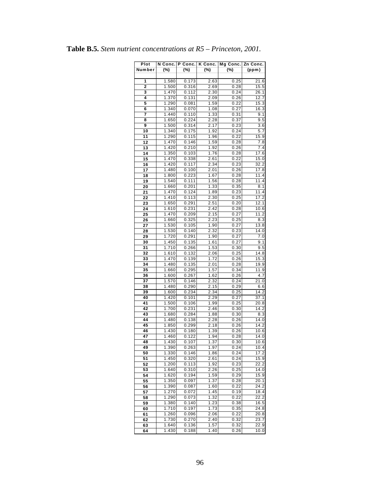| Plot     | N Conc. | P Conc.        | K Conc.      | Mg Conc.     | Zn Conc.           |
|----------|---------|----------------|--------------|--------------|--------------------|
| Number   | (%)     | (%)            | $(\%)$       | $(\%)$       | (ppm)              |
|          |         |                |              |              |                    |
| 1        | 1.580   | 0.173          | 2.63         | 0.25         | 21.6               |
| 2        | 1.500   | 0.316          | 2.69         | 0.28         | 15.5               |
| 3        | 1.470   | 0.112          | 2.30         | 0.24         | 26.1               |
| 4        | 1.370   | 0.131          | 2.09         | 0.26         | 12.7               |
| 5        | 1.290   | 0.081          | 1.59         | 0.22         | 15.3               |
| 6        | 1.340   | 0.070          | 1.08         | 0.27         | 16.3               |
| 7        | 1.440   | 0.110          | 1.33         | 0.31         | 9.1                |
| 8        | 1.650   | 0.224          | 2.28         | 0.37         | 9.5                |
| 9        | 1.500   | 0.314          | 2.17         | 0.23         | 3.6                |
| 10       | 1.340   | 0.175          | 1.92         | 0.24         | 5.7                |
| 11       | 1.290   | 0.115          | 1.96         | 0.22         | 15.9               |
| 12       | 1.470   | 0.146          | 1.59         | 0.28         | 7.8                |
| 13       | 1.420   | 0.210          | 1.92         | 0.26         | 7.4                |
| 14       | 1.350   | 0.103          | 1.76         | 0.28         | 17.6               |
| 15       | 1.470   | 0.338          | 2.61         | 0.22         | 15.0               |
| 16       | 1.420   | 0.117          | 2.34         | 0.23         | 32.2               |
| 17       | 1.480   | 0.100          | 2.01         | 0.26         | $\overline{17}$ .8 |
| 18       | 1.800   | 0.223          | 1.67         | 0.28         | 11.4               |
| 19       | 1.540   | 0.111          | 1.56         | 0.28         | 11.4               |
| 20       | 1.660   | 0.201          | 1.33         | 0.35         | 8.1                |
| 21       | 1.470   | 0.124          | 1.89         | 0.23         | 11.4               |
| 22       | 1.410   | 0.113          | 2.30         | 0.25         | 17.2               |
| 23       | 1.650   | 0.291          | 2.51         | 0.20         | 12.1               |
| 24       | 1.610   | 0.231          | 2.42         | 0.28         | 10.6               |
| 25       | 1.470   | 0.209          | 2.15         | 0.27         | 11.2               |
| 26       | 1.660   | 0.325          | 2.23         | 0.25         | 8.3                |
| 27       | 1.530   | 0.105          | 1.90         | 0.27         | 13.8               |
| 28       | 1.530   | 0.140          | 2.32         | 0.23         | 14.0               |
| 29       | 1.720   | 0.291          | 1.90         | 0.27         | 7.0                |
| 30       |         |                |              |              |                    |
|          | 1.450   | 0.135<br>0.266 | 1.61         | 0.27         | 9.1<br>9.5         |
| 31       | 1.710   |                | 1.53         | 0.30         |                    |
| 32       | 1.610   | 0.132          | 2.06         | 0.25         | 14.8               |
| 33       | 1.470   | 0.139          | 1.72         | 0.26         | 15.3               |
| 34       | 1.480   | 0.135          | 2.01         | 0.28         | 19.9               |
| 35       | 1.660   | 0.295          | 1.57         | 0.34         | 11.9               |
| 36<br>37 | 1.600   | 0.267<br>0.146 | 1.62<br>2.32 | 0.26<br>0.24 | 4.7                |
| 38       | 1.570   |                |              |              | 21.0               |
|          | 1.480   | 0.290          | 2.15<br>2.34 | 0.29         | 6.6                |
| 39       | 1.600   | 0.234          |              | 0.25         | 14.2               |
| 40       | 1.420   | 0.101          | 2.29         | 0.27         | 37.1               |
| 41       | 1.500   | 0.106          | 1.99         | 0.25         | 20.8               |
| 42       | 1.700   | 0.231          | 2.46         | 0.30         | 14.2               |
| 43       | 1.680   | 0.284          | 1.88         | 0.30         | 8.3                |
| 44       | 1.480   | 0.138          | 2.28         | 0.26         | 14.0<br>14.2       |
| 45       | 1.850   | 0.299          | 2.18         | 0.26         |                    |
| 46       | 1.430   | 0.180          | 1.39         | 0.26         | 10.6<br>14.0       |
| 47       | 1.460   | 0.122          | 1.94         | 0.28         |                    |
| 48       | 1.430   | 0.107          | 1.37         | 0.30         | 10.6               |
| 49       | 1.390   | 0.263          | 1.97         | 0.24         | 10.4               |
| 50       | 1.330   | 0.146          | 1.86         | 0.24         | 17.2               |
| 51       | 1.450   | 0.320          | 2.61         | 0.24         | 15.9               |
| 52       | 1.200   | 0.113          | 1.92         | 0.23         | 22.2               |
| 53       | 1.640   | 0.310          | 2.26         | 0.25         | 14.0               |
| 54       | 1.620   | 0.194          | 1.59         | 0.29         | 15.9               |
| 55       | 1.350   | 0.097          | 1.37         | 0.28         | 20.1               |
| 56       | 1.390   | 0.087          | 1.60         | 0.22         | 24.2               |
| 57       | 1.270   | 0.072          | 1.45         | 0.19         | 18.4               |
| 58       | 1.290   | 0.073          | 1.32         | 0.22         | 22.2               |
| 59       | 1.380   | 0.140          | 1.23         | 0.38         | 16.5               |
| 60       | 1.710   | 0.197          | 1.73         | 0.35         | 24.8               |
| 61       | 1.260   | 0.096          | 2.06         | 0.22         | 20.8               |
| 62       | 1.730   | 0.270          | 2.40         | 0.32         | 23.7               |
| 63       | 1.640   | 0.136          | 1.57         | 0.32         | 22.9               |
| 64       | 1.430   | 0.188          | 1.40         | 0.26         | 10.0               |

**Table B.5.** *Stem nutrient concentrations at R5 – Princeton, 2001.*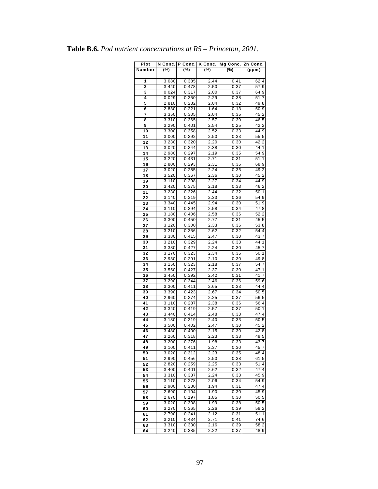| Plot          | N Conc.        | P Conc.        |              | K Conc.   Mg Conc. | Zn Conc.                   |
|---------------|----------------|----------------|--------------|--------------------|----------------------------|
| <b>Number</b> | (%)            | (%)            | (%)          | $(\%)$             | (ppm)                      |
|               |                |                |              |                    |                            |
| 1             | 3.080          | 0.385          | 2.44         | 0.41               | 62.4                       |
| 2             | 3.440          | 0.478          | 2.50         | 0.37               | 57.9                       |
| 3             | 0.024          | 0.317          | 2.00         | 0.37               | 64.9                       |
| 4             | 0.029          | 0.350          | 2.29         | 0.38               | 51.7                       |
| 5             | 2.810          | 0.232          | 2.04         | 0.32               | 49.8                       |
| 6<br>7        | 2.830<br>3.350 | 0.221<br>0.305 | 1.64<br>2.04 | 0.13<br>0.35       | 50.9<br>45.2               |
| 8             | 3.310          | 0.365          | 2.57         | 0.30               | $\overline{46.5}$          |
| 9             | 3.290          | 0.401          | 2.54         | 0.25               | 42.2                       |
| 10            | 3.300          | 0.358          | 2.52         | 0.33               | 44.9                       |
| 11            | 3.000          | 0.292          | 2.50         | 0.33               | 55.5                       |
| 12            | 3.230          | 0.320          | 2.20         | 0.30               | 42.2                       |
| 13            | 3.020          | 0.344          | 2.38         | 0.30               | 44.1                       |
| 14            | 2.980          | 0.297          | 2.19         | 0.35               | 54.9                       |
| 15            | 3.220          | 0.431          | 2.71         | 0.31               | 51.1                       |
| 16            | 2.800          | 0.293          | 2.31         | 0.36               | 68.9                       |
| 17            | 3.020          | 0.285          | 2.24         | 0.35               | 49.2                       |
| 18            | 3.520          | 0.367          | 2.36         | 0.30               | 45.2                       |
| 19            | 3.110          | 0.298          | 2.27         | 0.34               | 44.9                       |
| 20            | 3.420          | 0.375          | 2.18         | 0.33               | 46.2                       |
| 21            | 3.230          | 0.326          | 2.44         | 0.32               | 50.1<br>$\overline{5}$ 4.9 |
| 22<br>23      | 3.140<br>3.340 | 0.319<br>0.445 | 2.33<br>2.94 | 0.36<br>0.30       | $\overline{51.9}$          |
| 24            | 3.110          | 0.394          | 2.58         | 0.34               | 47.8                       |
| 25            | 3.180          | 0.406          | 2.58         | 0.36               | 52.2                       |
| 26            | 3.300          | 0.450          | 2.77         | 0.31               | 45.5                       |
| 27            | 3.120          | 0.300          | 2.33         | 0.36               | 53.8                       |
| 28            | 3.210          | 0.356          | 2.62         | 0.32               | 54.4                       |
| 29            | 3.380          | 0.415          | 2.47         | 0.30               | 43.7                       |
| 30            | 3.210          | 0.329          | 2.24         | 0.33               | 44.1                       |
| 31            | 3.380          | 0.427          | 2.24         | 0.30               | 45.7                       |
| 32            | 3.170          | 0.323          | 2.34         | 0.36               | 50.1                       |
| 33            | 2.930          | 0.291          | 2.10         | 0.30               | 49.8                       |
| 34            | 3.150          | 0.323          | 2.18         | 0.37               | 54.7                       |
| 35            | 3.550          | 0.427          | 2.37         | 0.30               | 47.1                       |
| 36<br>37      | 3.450<br>3.290 | 0.392<br>0.344 | 2.42<br>2.46 | 0.31<br>0.36       | 41.7<br>59.6               |
| 38            | 3.300          | 0.411          | 2.65         | 0.33               | 44.4                       |
| 39            | 3.390          | 0.423          | 2.67         | 0.34               | 50.5                       |
| 40            | 2.960          | 0.274          | 2.25         | 0.37               | 56.5                       |
| 41            | 3.110          | 0.287          | 2.38         | 0.36               | 56.4                       |
| 42            | 3.340          | 0.419          | 2.57         | 0.37               | 50.1                       |
| 43            | 3.440          | 0.414          | 2.48         | 0.33               | 47.4                       |
| 44            | 3.180          | 0.319          | 2.40         | 0.33               | $\overline{50.5}$          |
| 45            | 3.500          | 0.402          | 2.47         | 0.30               | 45.2                       |
| 46            | 3.480          | 0.400          | 2.15         | 0.30               | 42.8                       |
| 47            | 3.260          | 0.318          | 2.23         | 0.33               | 49.5                       |
| 48            | 3.200          | 0.276          | 1.98         | 0.33               | 43.7                       |
| 49            | 3.100          | 0.411          | 2.37         | 0.30               | 45.7                       |
| 50            | 3.020          | 0.312<br>0.456 | 2.23<br>2.50 | 0.35<br>0.38       | 48.4<br>61.5               |
| 51<br>52      | 2.990<br>2.820 | 0.259          | 2.25         | 0.33               | 51.4                       |
| 53            | 3.400          | 0.401          | 2.62         | 0.32               | 47.4                       |
| 54            | 3.310          | 0.337          | 2.24         | 0.33               | 45.9                       |
| 55            | 3.110          | 0.278          | 2.06         | 0.34               | 54.9                       |
| 56            | 2.900          | 0.230          | 1.94         | 0.31               | 47.4                       |
| 57            | 2.690          | 0.194          | 1.90         | 0.30               | 45.9                       |
| 58            | 2.670          | 0.197          | 1.85         | 0.30               | 50.5                       |
| 59            | 3.020          | 0.308          | 1.99         | 0.38               | 50.5                       |
| 60            | 3.270          | 0.365          | 2.26         | 0.39               | 58.2                       |
| 61            | 2.790          | 0.241          | 2.12         | 0.31               | 51.1                       |
| 62            | 3.210          | 0.434          | 2.71         | 0.41               | 74.6                       |
| 63            | 3.310          | 0.330          | 2.16         | 0.39               | 58.2                       |
| 64            | 3.240          | 0.385          | 2.22         | 0.37               | 48.9                       |

**Table B.6.** *Pod nutrient concentrations at R5 – Princeton, 2001.*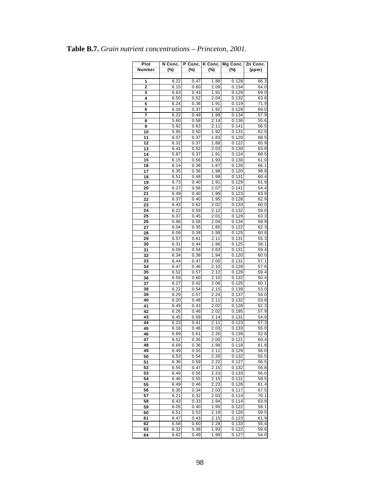| Plot     | N Conc.      | P Conc.      | K Conc.      | Mg Conc.       | Zn Conc.     |
|----------|--------------|--------------|--------------|----------------|--------------|
| Number   | (%)          | (%)          | (%)          | (%)            | (ppm)        |
|          |              |              |              |                |              |
| 1        | 6.22         | 0.47         | 1.88         | 0.128          | 66.3         |
| 2        | 6.15         | 0.60         | 2.09         | 0.134          | 64.0         |
| 3        | 6.63         | 0.43         | 1.91         | 0.129          | 69.0         |
| 4        | 6.50         | 0.52         | 2.04         | 0.132          | 63.8         |
| 5        | 6.24         | 0.36         | 1.91         | 0.119          | 71.9         |
| 6        | 6.16         | 0.37         | 1.92         | 0.129          | 69.0         |
| 7<br>8   | 6.22<br>5.60 | 0.49<br>0.58 | 1.99<br>2.14 | 0.134<br>0.136 | 57.9<br>55.6 |
| 9        | 5.92         | 0.63         | 2.11         | 0.141          | 56.5         |
| 10       | 5.95         | 0.50         | 1.92         | 0.131          | 62.0         |
| 11       | 6.07         | 0.37         | 1.83         | 0.120          | 68.5         |
| 12       | 6.32         | 0.37         | 1.88         | 0.122          | 65.9         |
| 13       | 6.41         | 0.52         | 2.03         | 0.130          | 63.8         |
| 14       | 5.87         | 0.37         | 1.91         | 0.124          | 68.5         |
| 15       | 6.15         | 0.56         | 1.93         | 0.130          | 61.0         |
| 16       | 6.14         | 0.38         | 1.87         | 0.126          | 66.1         |
| 17       | 6.35         | 0.36         | 1.98         | 0.120          | 98.8         |
| 18       | 6.51         | 0.48         | 1.99         | 0.131          | 60.4         |
| 19       | 6.73         | 0.40         | 1.91         | 0.129          | 61.9         |
| 20       | 6.27         | 0.56         | 2.07         | 0.141          | 54.4         |
| 21       | 6.49         | 0.40         | 1.99         | 0.123          | 63.9         |
| 22       | 6.37         | 0.40         | 1.95         | 0.128          | 62.9         |
| 23       | 6.43         | 0.62         | 2.02         | 0.133          | 60.0         |
| 24       | 6.22         | 0.59         | 2.12         | 0.132          | 59.0         |
| 25       | 6.07         | 0.45         | 2.01         | 0.129<br>0.134 | 63.3         |
| 26<br>27 | 5.96<br>6.04 | 0.56<br>0.35 | 2.04<br>1.85 | 0.122          | 58.9<br>62.3 |
| 28       | 6.09         | 0.38         | 1.99         | 0.125          | 60.8         |
| 29       | 6.57         | 0.61         | 2.11         | 0.131          | 55.3         |
| 30       | 6.31         | 0.44         | 1.96         | 0.125          | 58.1         |
| 31       | 6.09         | 0.54         | 2.63         | 0.131          | 59.4         |
| 32       | 6.34         | 0.38         | 1.94         | 0.120          | 60.0         |
| 33       | 6.44         | 0.47         | 2.00         | 0.131          | 57.1         |
| 34       | 6.47         | 0.46         | 2.10         | 0.128          | 57.6         |
| 35       | 6.52         | 0.57         | 2.12         | 0.129          | 59.4         |
| 36       | 6.59         | 0.60         | 2.10         | 0.132          | 50.4         |
| 37       | 6.27         | 0.42         | 2.06         | 0.125          | 60.1         |
| 38       | 6.22         | 0.54         | 2.15         | 0.139          | 53.0         |
| 39       | 6.29         | 0.57         | 2.24         | 0.137          | 54.0         |
| 40       | 6.20         | 0.48         | 2.11         | 0.132          | 53.8         |
| 41<br>42 | 6.49<br>6.26 | 0.43<br>0.48 | 2.02<br>2.02 | 0.128<br>0.195 | 62.3<br>57.9 |
| 43       | 6.45         | 0.59         | 2.14         | 0.131          | 54.9         |
| 44       | 6.23         | 0.41         | 2.11         | 0.123          | 57.3         |
| 45       | 6.16         | 0.46         | 2.03         | 0.133          | 55.0         |
| 46       | 6.69         | 0.61         | 2.26         | 0.139          | 52.8         |
| 47       | 6.52         | 0.35         | 2.00         | 0.121          | 60.4         |
| 48       | 6.69         | 0.36         | 1.98         | 0.118          | 61.8         |
| 49       | 6.49         | 0.55         | 2.11         | 0.129          | 56.0         |
| 50       | 6.53         | 0.54         | 2.20         | 0.132          | 55.5         |
| 51       | 6.36         | 0.59         | 2.22         | 0.127          | 56.5         |
| 52       | 6.55         | 0.47         | 2.15         | 0.132          | 56.8         |
| 53       | 6.49         | 0.56         | 2.23         | 0.133          | 56.0         |
| 54       | 6.46         | 0.55         | 2.15         | 0.131          | 59.5         |
| 55       | 6.49         | 0.46         | 2.23         | 0.126          | 61.4         |
| 56       | 6.35         | 0.34         | 2.03         | 0.117          | 67.5         |
| 57       | 6.21         | 0.32         | 2.03         | 0.114          | 70.1         |
| 58       | 6.43         | 0.33         | 1.94         | 0.114          | 63.9         |
| 59       | 6.05         | 0.40         | 1.95         | 0.122          | 58.1         |
| 60       | 6.51<br>6.47 | 0.53<br>0.43 | 2.19<br>2.15 | 0.126          | 59.5<br>61.9 |
| 61<br>62 | 6.58         | 0.60         | 2.28         | 0.123<br>0.133 | 55.4         |
| 63       | 6.32         | 0.38         | 1.93         | 0.122          | 59.6         |
| 64       | 6.62         | 0.49         | 1.99         | 0.127          | 54.0         |
|          |              |              |              |                |              |

|  |  |  | <b>Table B.7.</b> Grain nutrient concentrations – Princeton, 2001. |  |  |
|--|--|--|--------------------------------------------------------------------|--|--|
|--|--|--|--------------------------------------------------------------------|--|--|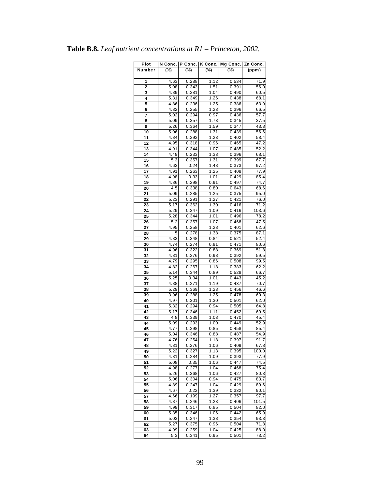| Plot           | N Conc.      | P Conc.        | K Conc.      | Mg Conc.       | Zn Conc.           |
|----------------|--------------|----------------|--------------|----------------|--------------------|
| Number         | (%)          | $(\%)$         | (%)          | (%)            | (ppm)              |
|                |              |                |              |                |                    |
| 1              | 4.63         | 0.288          | 1.12         | 0.534          | 71.9               |
| $\overline{2}$ | 5.08         | 0.343          | 1.51         | 0.391          | 56.0               |
| 3              | 4.89         | 0.281          | 1.04         | 0.490          | 60.5               |
| 4              | 5.31         | 0.349          | 1.26         | 0.438          | 68.1               |
| 5              | 4.86         | 0.236          | 1.25         | 0.386          | 63.9               |
| 6              | 4.82         | 0.255          | 1.23         | 0.396          | 66.5               |
| 7              | 5.02         | 0.294          | 0.97         | 0.436          | 57.7               |
| 8              | 5.09         | 0.357          | 1.73         | 0.345          | 37.5               |
| 9              | 5.26         | 0.364          | 1.59         | 0.347          | 43.3               |
| 10             | 5.06         | 0.288          | 1.31         | 0.439          | 56.6               |
| 11             | 4.84         | 0.292          | 1.23         | 0.402          | 58.4               |
| 12             | 4.95         | 0.318          | 0.96         | 0.465          | 47.2               |
| 13             | 4.91         | 0.344          | 1.07         | 0.485          | 52.2               |
| 14             | 4.49         | 0.233          | 1.33         | 0.396          | 68.1               |
| 15             | 5.3          | 0.357          | 1.31         | 0.399          | 67.7               |
| 16             | 4.63         | 0.24           | 1.48         | 0.373          | 97.2               |
| 17             | 4.91         | 0.263          | 1.25         | 0.408          | 77.9               |
| 18             | 4.98         | 0.33           | 1.01         | 0.429          | 85.4               |
| 19             | 4.86         | 0.298          | 0.91         | 0.497          | 74.7               |
| 20             | 4.5          | 0.338          | 0.80         | 0.643          | 68.6               |
| 21             | 5.09         | 0.285          | 1.25         | 0.375          | 95.0               |
| 22             | 5.23         | 0.291          | 1.27         | 0.421          | 76.0               |
| 23             | 5.17         | 0.362          | 1.30         | 0.416          | 71.2               |
| 24             | 5.29         | 0.347          | 1.09         | 0.416          | 103.6              |
| 25             | 5.28         | 0.344          | 1.01         | 0.496          | 78.2               |
| 26             | 5.2          | 0.357          | 1.07         | 0.468          | 47.5               |
| 27             | 4.95         | 0.258          | 1.28         | 0.401          | 62.6               |
| 28             | 5            | 0.278          | 1.38         | 0.375          | 87.1               |
| 29             | 4.83         | 0.348          | 0.84         | 0.521          | 52.4               |
| 30             | 4.74         | 0.274          | 0.91         | 0.471          | 80.6               |
| 31             | 4.96         | 0.322          | 0.88         | 0.369          | 51.8               |
| 32             | 4.81         | 0.276          | 0.98         | 0.392          | 59.5               |
| 33<br>34       | 4.79<br>4.82 | 0.295<br>0.267 | 0.86         | 0.508<br>0.383 | 99.5               |
| 35             | 5.14         | 0.344          | 1.18<br>0.89 | 0.528          | 62.2<br>66.7       |
| 36             | 5.25         | 0.34           | 1.01         | 0.443          | 45.2               |
| 37             | 4.88         | 0.271          | 1.19         | 0.437          | 70.7               |
| 38             | 5.29         | 0.369          | 1.23         | 0.456          | 46.6               |
| 39             | 3.96         | 0.288          | 1.25         | 0.478          | 60.3               |
| 40             | 4.97         | 0.301          | 1.30         | 0.501          | 62.0               |
| 41             | 5.32         | 0.294          | 0.94         | 0.505          | $\overline{6}$ 4.8 |
| 42             | 5.17         | 0.346          | 1.11         | 0.452          | 69.5               |
| 43             | 4.8          | 0.339          | 1.03         | 0.470          | 45.4               |
| 44             | 5.09         | 0.293          | 1.00         | 0.449          | 52.9               |
| 45             | 4.77         | 0.298          | 0.85         | 0.458          | 85.4               |
| 46             | 5.04         | 0.346          | 0.88         | 0.487          | 54.9               |
| 47             | 4.76         | 0.254          | 1.18         | 0.397          | 91.7               |
| 48             | 4.81         | 0.276          | 1.06         | 0.409          | 67.8               |
| 49             | 5.22         | 0.327          | 1.13         | 0.395          | 100.0              |
| 50             | 4.81         | 0.284          | 1.09         | 0.393          | 77.9               |
| 51             | 5.08         | 0.35           | 1.06         | 0.447          | 74.5               |
| 52             | 4.98         | 0.277          | 1.04         | 0.468          | 75.4               |
| 53             | 5.26         | 0.368          | 1.06         | 0.427          | 80.3               |
| 54             | 5.06         | 0.304          | 0.94         | 0.475          | 83.7               |
| 55             | 4.89         | 0.247          | 1.04         | 0.429          | 89.6               |
| 56             | 4.67         | 0.22           | 1.39         | 0.332          | 90.1               |
| 57             | 4.66         | 0.199          | 1.27         | 0.357          | 97.7               |
| 58             | 4.87         | 0.246          | 1.23         | 0.406          | 101.5              |
| 59             | 4.99         | 0.317          | 0.85         | 0.504          | 82.0               |
| 60             | 5.35         | 0.346          | 1.06         | 0.442          | 65.9               |
| 61             | 5.03         | 0.247          | 1.38         | 0.354          | 93.3               |
| 62             | 5.27         | 0.375          | 0.96         | 0.504          | 71.8               |
| 63             | 4.99         | 0.259          | 1.04         | 0.425          | 88.0               |
| 64             | 5.3          | 0.341          | 0.95         | 0.501          | 73.2               |

|  | <b>Table B.8.</b> Leaf nutrient concentrations at $RI$ – Princeton, 2002. |  |
|--|---------------------------------------------------------------------------|--|
|  |                                                                           |  |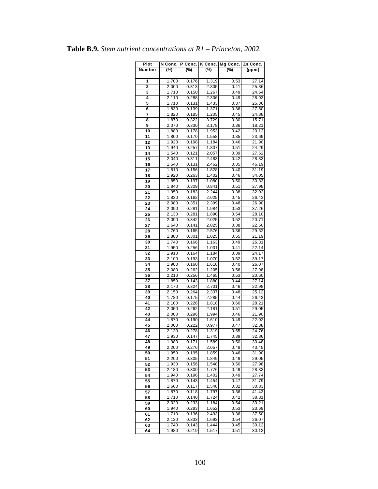| Plot     | N Conc.        | P Conc.        |                | K Conc.   Mg Conc. | Zn Conc.       |
|----------|----------------|----------------|----------------|--------------------|----------------|
| Number   | $(\%)$         | $(\%)$         | (%)            | (%)                | (ppm)          |
|          |                |                |                |                    |                |
| 1        | 1.700          | 0.176          | 1.319          | 0.53               | 27.14          |
| 2        | 2.000          | 0.313          | 2.805          | 0.41               | 25.36          |
| 3        | 1.710          | 0.150          | 1.267          | 0.49               | 24.64          |
| 4        | 2.110          | 0.288          | 2.306          | 0.49               | 28.93          |
| 5        | 1.710          | 0.131          | 1.433          | 0.37               | 25.36          |
| 6        | 1.830          | 0.139          | 1.371          | 0.36               | 27.50          |
| 7        | 1.820          | 0.185          | 1.205          | 0.45               | 24.88          |
| 8        | 1.870          | 0.322          | 3.729          | 0.30               | 15.71          |
| 9        | 2.070          | 0.330          | 3.178          | 0.36               | 18.21          |
| 10       | 1.880          | 0.178          | 1.953          | 0.42               | 20.12          |
| 11       | 1.800          | 0.170          | 1.558          | 0.35               | 23.69          |
| 12       | 1.920          | 0.198          | 1.184          | 0.46               | 21.90          |
| 13       | 1.940          | 0.257          | 1.807          | 0.51               | 24.29          |
| 14       | 1.540          | 0.121          | 2.057          | 0.39               | 27.62          |
| 15       | 2.040          | 0.311          | 2.483          | 0.42               | 28.33          |
| 16       | 1.540          | 0.131          | 2.462          | 0.35               | 46.19          |
| 17       | 1.810          | 0.156          | 1.828          | 0.40               | 31.19          |
| 18       | 1.920          | 0.263          | 1.402          | 0.46               | 34.05          |
| 19       | 1.850          | 0.197          | 1.080          | 0.50               | 30.83          |
| 20       | 1.840          | 0.309          | 0.841<br>2.244 | 0.51<br>0.38       | 27.98<br>32.02 |
| 21       | 1.950          | 0.183          |                |                    |                |
| 22       | 1.830<br>2.080 | 0.162<br>0.351 | 2.025<br>2.399 | 0.45<br>0.48       | 26.43<br>26.90 |
| 23       |                | 0.281          | 1.984          | 0.53               | 37.26          |
| 24<br>25 | 2.090<br>2.130 | 0.281          | 1.890          | 0.54               | 28.10          |
| 26       | 2.090          | 0.342          | 2.025          | 0.52               | 20.71          |
| 27       | 1.640          | 0.141          | 2.025          | 0.38               | 22.50          |
| 28       | 1.760          | 0.165          | 2.576          | 0.36               | 29.52          |
| 29       | 1.880          | 0.301          | 1.025          | 0.55               | 21.19          |
| 30       | 1.740          | 0.166          | 1.163          | 0.49               | 26.31          |
| 31       | 1.950          | 0.256          | 1.031          | 0.41               | 22.14          |
| 32       | 1.910          | 0.164          | 1.184          | 0.39               | 24.17          |
| 33       | 2.100          | 0.193          | 1.070          | 0.52               | 39.17          |
| 34       | 1.900          | 0.160          | 1.610          | 0.40               | 26.07          |
| 35       | 2.080          | 0.262          | 1.205          | 0.56               | 27.98          |
| 36       | 2.210          | 0.256          | 1.465          | 0.53               | 20.60          |
| 37       | 1.850          | 0.143          | 1.880          | 0.44               | 27.14          |
| 38       | 2.170          | 0.324          | 2.701          | 0.46               | 22.98          |
| 39       | 2.150          | 0.264          | 2.337          | 0.48               | 25.12          |
| 40       | 1.780          | 0.175          | 2.285          | 0.44               | 26.43          |
| 41       | 2.100          | 0.226          | 1.818          | 0.60               | 28.21          |
| 42       | 2.050          | 0.262          | 2.181          | 0.51               | 29.05          |
| 43       | 2.000          | 0.296          | 1.994          | 0.46               | 21.90          |
| 44       | 1.870          | 0.190          | 1.610          | 0.49               | 22.02          |
| 45       | 2.000          | 0.222          | 0.977          | 0.47               | 32.38          |
| 46       | 2.120          | 0.278          | 1.319          | 0.55               | 24.76          |
| 47       | 1.930          | 0.147          | 1.745          | 0.39               | 32.86          |
| 48       | 1.980          | 0.171          | 1.589<br>2.057 | 0.50<br>0.48       | 30.48<br>43.45 |
| 49       | 2.200          | 0.276          |                |                    |                |
| 50<br>51 | 1.950<br>2.200 | 0.195<br>0.305 | 1.859<br>1.849 | 0.46<br>0.49       | 31.90<br>29.05 |
| 52       | 1.930          | 0.156          | 1.548          | 0.50               | 27.98          |
| 53       | 2.180          | 0.300          | 1.776          | 0.49               | 28.33          |
| 54       | 1.940          | 0.196          | 1.402          | 0.49               | 27.74          |
| 55       | 1.870          | 0.143          | 1.454          | 0.47               | 31.79          |
| 56       | 1.660          | 0.117          | 1.548          | 0.32               | 30.83          |
| 57       | 1.870          | 0.118          | 1.797          | 0.36               | 41.43          |
| 58       | 1.710          | 0.140          | 1.724          | 0.42               | 38.81          |
| 59       | 2.020          | 0.233          | 1.184          | 0.54               | 33.21          |
| 60       | 1.940          | 0.283          | 1.652          | 0.53               | 23.69          |
| 61       | 1.710          | 0.136          | 2.493          | 0.36               | 37.50          |
| 62       | 2.130          | 0.333          | 1.693          | 0.54               | 26.07          |
| 63       | 1.740          | 0.143          | 1.444          | 0.45               | 30.12          |
| 64       | 1.980          | 0.219          | 1.517          | 0.51               | 30.12          |

**Table B.9.** *Stem nutrient concentrations at R1 – Princeton, 2002.*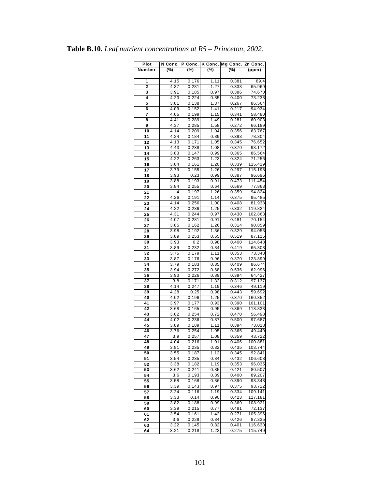| Plot     | N Conc.      | P Conc.        |              | K Conc. Mg Conc. | Zn Conc.         |
|----------|--------------|----------------|--------------|------------------|------------------|
| Number   | (%)          | (%)            | (%)          | $(\%)$           | (ppm)            |
|          |              |                |              |                  |                  |
| 1        | 4.15         | 0.176          | 1.11         | 0.381            | 89.4             |
| 2        | 4.37         | 0.281          | 1.27         | 0.333            | 65.969           |
| 3        | 3.91         | 0.185          | 0.97         | 0.386            | 74.670           |
| 4        | 4.23         | 0.224          | 0.85         | 0.400            | 73.238           |
| 5        | 3.81         | 0.138          | 1.37         | 0.267            | 86.564           |
| 6        | 4.09         | 0.152          | 1.41         | 0.217            | 94.934           |
| 7        | 4.05         | 0.199          | 1.15         | 0.341            | 58.480           |
| 8        | 4.41         | 0.289          | 1.49         | 0.281            | 60.903           |
| 9        | 4.37         | 0.285          | 1.58         | 0.272            | 66.189           |
| 10       | 4.14         | 0.209          | 1.04         | 0.356            | 63.767           |
| 11       | 4.24         | 0.184          | 0.89         | 0.393            | 78.304           |
| 12       | 4.13         | 0.171          | 1.05         | 0.345            | 76.652           |
| 13       | 4.43         | 0.238          | 1.08         | 0.370            | 93.172           |
| 14       | 3.83         | 0.147          | 0.99         | 0.365            | 86.564           |
| 15       | 4.22         | 0.263          | 1.23         | 0.324            | 71.256           |
| 16       | 3.84         | 0.161          | 1.20         | 0.339            | 115.419          |
| 17       | 3.79         | 0.155          | 1.26         | 0.297            | 115.198          |
| 18       | 3.93         | 0.23           | 0.99         | 0.387            | 96.696           |
| 19       | 3.88         | 0.193          | 0.91         | 0.473            | 111.454          |
| 20       | 3.84         | 0.255          | 0.64         | 0.569            | 77.863           |
| 21       | 4            | 0.197          | 1.26         | 0.359            | 94.824           |
| 22       | 4.26         | 0.191          | 1.14         | 0.375            | 95.485           |
| 23       | 4.14         | 0.256          | 1.00         | 0.408            | 81.938           |
| 24       | 4.22         | 0.236          | 1.25         | 0.332            | 119.824          |
| 25       | 4.31         | 0.244          | 0.97         | 0.430            | 102.863          |
| 26       | 4.07         | 0.281          | 0.91         | 0.481            | 70.154           |
| 27       | 3.85         | 0.162          | 1.26         | 0.314            | 90.859           |
| 28       | 3.98         | 0.192          | 1.36         | 0.329            | 94.053           |
| 29       | 3.89         | 0.253          | 0.65         | 0.519            | 87.115           |
| 30       | 3.93         | 0.2            | 0.98         | 0.400            | 114.648          |
| 31       | 3.89         | 0.232          | 0.84         | 0.419            | 65.308           |
| 32<br>33 | 3.75         | 0.179          | 1.11         | 0.353            | 73.348           |
| 34       | 3.87         | 0.176          | 0.96         | 0.370            | 123.899          |
| 35       | 3.79<br>3.94 | 0.183<br>0.272 | 0.85         | 0.409<br>0.536   | 86.674<br>62.996 |
| 36       | 3.93         | 0.226          | 0.68         |                  | 64.427           |
| 37       | 3.8          | 0.171          | 0.89<br>1.32 | 0.394<br>0.312   | 97.137           |
| 38       | 4.14         | 0.247          | 1.19         | 0.346            | 49.119           |
| 39       | 4.28         | 0.25           | 0.98         | 0.443            | 59.692           |
| 40       | 4.02         | 0.196          | 1.25         | 0.370            | 160.352          |
| 41       | 3.97         | 0.177          | 0.93         | 0.390            | 101.101          |
| 42       | 3.68         | 0.165          | 0.95         | 0.369            | 118.833          |
| 43       | 3.82         | 0.254          | 0.72         | 0.470            | 56.498           |
| 44       | 4.02         | 0.236          | 0.87         | 0.500            | 97.687           |
| 45       | 3.89         | 0.189          | 1.11         | 0.394            | 73.018           |
| 46       | 3.76         | 0.254          | 1.05         | 0.365            | 49.449           |
| 47       | 3.9          | 0.257          | 1.08         | 0.359            | 43.722           |
| 48       | 4.04         | 0.216          | 1.01         | 0.406            | 100.881          |
| 49       | 3.81         | 0.235          | 0.82         | 0.435            | 103.744          |
| 50       | 3.55         | 0.187          | 1.12         | 0.345            | 92.841           |
| 51       | 3.54         | 0.235          | 0.84         | 0.432            | 106.608          |
| 52       | 3.38         | 0.182          | 1.19         | 0.353            | 96.035           |
| 53       | 3.62         | 0.241          | 0.85         | 0.421            | 80.507           |
| 54       | 3.6          | 0.193          | 0.89         | 0.400            | 89.207           |
| 55       | 3.58         | 0.168          | 0.86         | 0.390            | 98.348           |
| 56       | 3.39         | 0.143          | 0.97         | 0.375            | 93.722           |
| 57       | 3.24         | 0.116          | 1.19         | 0.334            | 109.141          |
| 58       | 3.33         | 0.14           | 0.90         | 0.423            | 117.181          |
| 59       | 3.82         | 0.188          | 0.99         | 0.369            | 108.921          |
| 60       | 3.39         | 0.215          | 0.77         | 0.481            | 72.137           |
| 61       | 3.54         | 0.161          | 1.42         | 0.271            | 105.396          |
| 62       | 3.6          | 0.229          | 0.84         | 0.426            | 87.335           |
| 63       | 3.22         | 0.145          | 0.82         | 0.401            | 116.630          |
| 64       | 3.21         | 0.218          | 1.22         | 0.275            | 115.749          |

**Table B.10.** *Leaf nutrient concentrations at R5 – Princeton, 2002.*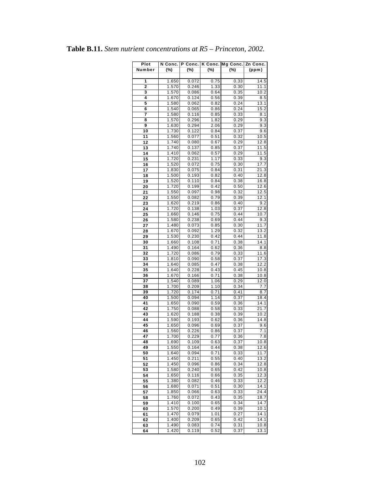| Plot   | N Conc. | P Conc. | K Conc.           | Mg Conc. | Zn Conc.          |
|--------|---------|---------|-------------------|----------|-------------------|
| Number | (%)     | (%)     | (%)               | (%)      | (ppm)             |
|        |         |         |                   |          |                   |
| 1      | 1.650   | 0.072   | 0.75              | 0.33     | 14.5              |
| 2      | 1.570   | 0.246   | 1.33              | 0.30     | 11.1              |
| 3      | 1.570   | 0.086   | 0.64              | 0.35     | 10.2              |
| 4      | 1.670   | 0.124   | 0.56              | 0.39     | 8.5               |
| 5      | 1.580   | 0.062   | 0.82              | 0.24     | 13.1              |
| 6      | 1.540   | 0.065   | 0.86              | 0.24     | 15.2              |
| 7      | 1.580   | 0.116   | 0.85              | 0.33     | 8.1               |
| 8      | 1.570   | 0.296   | 1.82              | 0.29     | 9.3               |
| 9      | 1.630   | 0.294   | 2.06              | 0.29     | 9.3               |
| 10     | 1.730   | 0.122   | 0.84              | 0.37     | 9.6               |
| 11     | 1.560   | 0.077   | 0.51              | 0.32     | 10.5              |
| 12     | 1.740   | 0.080   | 0.67              | 0.29     | 12.8              |
| 13     | 1.740   | 0.137   | 0.85              | 0.37     | 11.5              |
| 14     | 1.410   | 0.062   | 0.57              | 0.29     | 11.5              |
| 15     | 1.720   | 0.231   | 1.17              | 0.33     | 9.3               |
| 16     | 1.520   | 0.072   | 0.75              | 0.30     | 17.7              |
| 17     | 1.830   | 0.075   | 0.84              | 0.31     | $21.\overline{3}$ |
| 18     | 1.500   | 0.193   | 0.82              | 0.40     | 12.8              |
| 19     | 1.520   | 0.110   | 0.84              | 0.38     | 16.8              |
| 20     | 1.720   | 0.199   | 0.42              | 0.50     | 12.6              |
| 21     | 1.550   | 0.097   | 0.98              | 0.32     | 12.5              |
| 22     | 1.550   | 0.082   | 0.79              | 0.39     | 12.1              |
| 23     | 1.620   | 0.219   | 0.86              | 0.40     | 9.2               |
| 24     | 1.720   | 0.138   | 1.03              | 0.37     | 12.8              |
| 25     | 1.660   | 0.146   | 0.75              | 0.44     | 10.7              |
| 26     | 1.580   | 0.238   | 0.69              | 0.44     | 9.3               |
| 27     | 1.480   | 0.073   | 0.85              | 0.30     | 11.7              |
| 28     | 1.670   | 0.092   | 1.29              | 0.32     | 13.2              |
| 29     | 1.530   | 0.230   | 0.42              | 0.44     | 11.8              |
| 30     | 1.660   | 0.108   | 0.71              | 0.38     | 14.1              |
| 31     | 1.490   | 0.164   | 0.62              | 0.36     | 8.8               |
| 32     | 1.720   | 0.086   | 0.79              | 0.33     | 11.6              |
| 33     | 1.810   | 0.090   | 0.58              | 0.37     | 17.3              |
| 34     | 1.640   | 0.085   | 0.47              | 0.38     | 12.2              |
| 35     | 1.640   | 0.228   | 0.43              | 0.45     | 10.8              |
| 36     | 1.670   | 0.166   | 0.71              | 0.38     | 10.8              |
| 37     | 1.540   | 0.089   | 1.06              | 0.29     | 12.0              |
| 38     | 1.700   | 0.209   | 1.10              | 0.34     | 7.7               |
| 39     | 1.720   | 0.174   | 0.71              | 0.41     | 8.7               |
| 40     | 1.500   | 0.094   | 1.14              | 0.37     | 18.4              |
| 41     | 1.650   | 0.090   | 0.59              | 0.36     | 14.1              |
| 42     | 1.750   | 0.088   | 0.58              | 0.33     | 21.7              |
| 43     | 1.620   | 0.188   | 0.38              | 0.39     | 10.2              |
| 44     | 1.590   | 0.193   | 0.62              | 0.36     | 14.8              |
| 45     | 1.650   | 0.096   | 0.69              | 0.37     | 9.6               |
| 46     | 1.560   | 0.226   | 0.86              | 0.37     | 7.1               |
| 47     | 1.700   | 0.229   | 0.77              | 0.36     | $\overline{7.8}$  |
| 48     | 1.690   | 0.109   | 0.63              | 0.37     | 10.8              |
| 49     | 1.550   | 0.164   | 0.44              | 0.38     | 12.6              |
| 50     | 1.640   | 0.094   | 0.71              | 0.33     | 11.7              |
| 51     | 1.450   | 0.211   | 0.55              | 0.40     | 13.2              |
| 52     | 1.450   | 0.096   | 0.86              | 0.34     | 12.8              |
| 53     | 1.580   | 0.240   | 0.65              | 0.42     | 10.8              |
| 54     | 1.650   | 0.116   | 0.66              | 0.35     | 12.3              |
| 55     | 1.380   | 0.082   | 0.46              | 0.33     | 12.2              |
| 56     | 1.680   | 0.071   | 0.51              | 0.30     | 14.1              |
| 57     | 1.850   | 0.066   | 0.63              | 0.33     | 24.4              |
| 58     | 1.760   | 0.072   | 0.43              | 0.35     | 18.7              |
| 59     | 1.410   | 0.100   | 0.65              | 0.34     | 14.7              |
| 60     | 1.570   | 0.200   | 0.49              | 0.39     | 10.1              |
| 61     | 1.470   | 0.079   | $\overline{1}.01$ | 0.27     | 14.1              |
| 62     | 1.400   | 0.209   | 0.65              | 0.42     | 14.1              |
| 63     | 1.490   | 0.083   | 0.74              | 0.31     | 10.8              |
| 64     | 1.420   | 0.119   | 0.52              | 0.37     | 13.1              |

|  |  |  | <b>Table B.11.</b> Stem nutrient concentrations at $R5$ – Princeton, 2002. |  |  |  |
|--|--|--|----------------------------------------------------------------------------|--|--|--|
|--|--|--|----------------------------------------------------------------------------|--|--|--|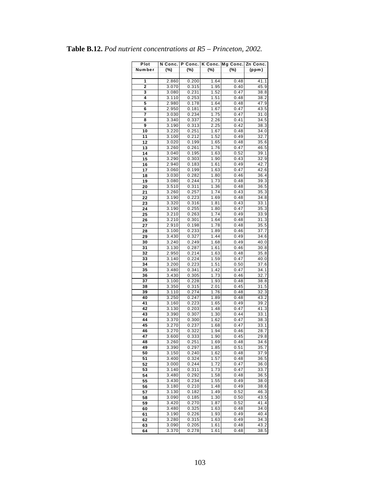| Plot   | N Conc. | P Conc. | K Conc.      | Mg Conc. | Zn Conc. |
|--------|---------|---------|--------------|----------|----------|
| Number | (%)     | (%)     | (%)          | (%)      | (ppm)    |
|        |         |         |              |          |          |
| 1      | 2.860   | 0.200   | 1.64         | 0.48     | 41.1     |
| 2      | 3.070   | 0.315   | 1.95         | 0.40     | 45.9     |
| 3      | 3.080   | 0.231   | 1.52         | 0.47     | 38.8     |
| 4      | 3.110   | 0.253   | 1.51         | 0.48     | 38.2     |
| 5      | 2.980   | 0.178   | 1.64         | 0.48     | 47.9     |
| 6      | 2.950   | 0.181   | 1.67         | 0.47     | 43.5     |
| 7      | 3.030   | 0.234   | 1.75         | 0.47     | 31.0     |
| 8      | 3.340   | 0.337   | 2.26         | 0.41     | 34.5     |
| 9      | 3.190   | 0.313   | 2.25         | 0.42     | 38.3     |
| 10     | 3.220   | 0.251   | 1.67         | 0.48     | 34.0     |
| 11     | 3.100   | 0.212   | 1.52         | 0.49     | 32.7     |
| 12     | 3.020   | 0.199   | 1.65         | 0.48     | 35.6     |
| 13     | 3.260   | 0.261   | 1.76         | 0.47     | 46.5     |
| 14     | 3.040   | 0.195   | 1.63         | 0.52     | 39.1     |
| 15     | 3.290   | 0.303   | 1.90         | 0.43     | 32.9     |
| 16     | 2.940   | 0.183   | 1.61         | 0.49     | 42.7     |
| 17     | 3.060   | 0.199   | 1.63         | 0.47     | 42.6     |
| 18     | 3.030   | 0.282   | 1.80         | 0.46     | 36.4     |
| 19     | 3.080   | 0.244   | 1.73         | 0.48     | 39.3     |
| 20     | 3.510   | 0.311   | 1.36         | 0.48     | 36.5     |
| 21     | 3.260   | 0.257   | 1.74         | 0.43     | 35.3     |
| 22     | 3.190   | 0.223   | 1.69         | 0.48     | 34.8     |
| 23     | 3.320   | 0.316   | 1.81         | 0.43     | 33.1     |
| 24     | 3.190   | 0.255   | 1.80         | 0.47     | 35.3     |
| 25     | 3.210   | 0.263   | 1.74         | 0.49     | 33.9     |
| 26     | 3.210   | 0.301   | 1.64         | 0.48     | 31.3     |
| 27     | 2.910   | 0.198   | 1.78         | 0.48     | 35.5     |
| 28     | 3.100   | 0.233   | 1.89         | 0.46     | 37.7     |
| 29     | 3.430   | 0.327   | 1.44         | 0.49     | 34.6     |
| 30     | 3.240   | 0.249   | 1.68         | 0.49     | 40.0     |
| 31     | 3.130   | 0.287   | 1.61         | 0.46     | 30.8     |
| 32     | 2.950   | 0.214   | 1.63         | 0.48     | 35.8     |
| 33     | 3.140   | 0.224   | 1.59         | 0.47     | 40.0     |
| 34     | 3.200   | 0.223   | 1.51         | 0.50     | 37.6     |
| 35     | 3.480   | 0.341   | 1.42         | 0.47     | 34.1     |
| 36     | 3.430   | 0.305   | 1.73         | 0.46     | 32.7     |
| 37     | 3.100   | 0.228   | 1.93         | 0.48     | 38.8     |
| 38     | 3.350   | 0.315   | 2.01         | 0.45     | 31.5     |
| 39     | 3.110   | 0.274   | 1.76         | 0.48     | 32.3     |
| 40     | 3.250   | 0.247   | 1.89         | 0.48     | 43.2     |
| 41     | 3.160   | 0.223   | 1.65         | 0.49     | 39.2     |
| 42     | 3.130   | 0.203   | 1.48         | 0.47     | 41.3     |
| 43     | 3.390   | 0.307   | 1.30         | 0.44     | 33.1     |
| 44     | 3.370   | 0.300   | 1.62         | 0.47     | 38.3     |
| 45     | 3.270   | 0.237   | 1.68         | 0.47     | 33.1     |
| 46     | 3.270   | 0.322   | 1.94         | 0.46     | 28.7     |
| 47     | 3.600   | 0.333   | 1.90         | 0.45     | 29.8     |
| 48     | 3.260   | 0.251   | 1.69         | 0.48     | 34.6     |
| 49     | 3.390   | 0.297   | 1.85         | 0.51     | 35.7     |
| 50     | 3.150   | 0.240   | 1.62         | 0.48     | 37.9     |
| 51     | 3.400   | 0.324   | 1.57         | 0.48     | 36.5     |
| 52     | 3.000   | 0.244   | 1.72         | 0.47     | 36.0     |
| 53     | 3.140   | 0.311   | 1.73         | 0.47     | 33.7     |
| 54     | 3.480   | 0.292   | 1.58         | 0.48     | 36.5     |
| 55     | 3.430   | 0.234   | 1.55         | 0.49     | 38.0     |
| 56     | 3.180   | 0.210   | 1.48         | 0.49     | 38.6     |
| 57     | 3.130   | 0.182   | 1.49         | 0.52     | 46.3     |
| 58     | 3.090   | 0.185   | 1.30         | 0.50     | 43.5     |
|        | 3.420   | 0.270   | 1.87         | 0.52     | 41.4     |
| 59     | 3.480   | 0.325   |              | 0.48     | 34.0     |
| 60     |         |         | 1.63<br>1.93 | 0.49     |          |
| 61     | 3.190   | 0.226   |              |          | 40.4     |
| 62     | 3.280   | 0.315   | 1.63         | 0.49     | 34.3     |
| 63     | 3.090   | 0.205   | 1.61         | 0.48     | 43.2     |
| 64     | 3.370   | 0.278   | 1.61         | 0.48     | 38.5     |

|  |  |  | <b>Table B.12.</b> Pod nutrient concentrations at $R5$ – Princeton, 2002. |  |  |  |
|--|--|--|---------------------------------------------------------------------------|--|--|--|
|--|--|--|---------------------------------------------------------------------------|--|--|--|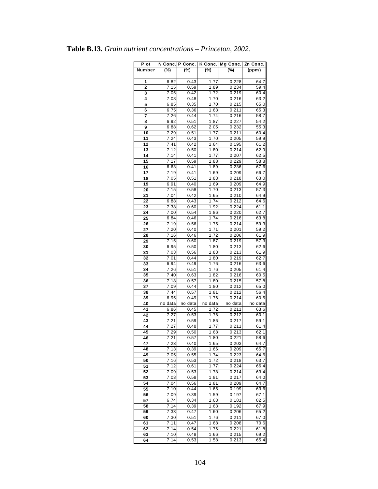| Plot   |         | N Conc. P Conc. |         | K Conc. Mg Conc. | Zn Conc. |
|--------|---------|-----------------|---------|------------------|----------|
| Number | $(\%)$  | $(\%)$          | (%)     | (%)              | (ppm)    |
|        |         |                 |         |                  |          |
|        | 6.82    | 0.43            | 1.77    | 0.228            | 64.7     |
| 1      |         |                 |         |                  |          |
| 2      | 7.15    | 0.59            | 1.89    | 0.234            | 59.4     |
| 3      | 7.05    | 0.42            | 1.72    | 0.219            | 60.4     |
| 4      | 7.08    | 0.48            | 1.70    | 0.216            | 63.2     |
| 5      | 6.85    | 0.35            | 1.70    | 0.215            | 65.0     |
| 6      | 6.75    | 0.36            | 1.63    | 0.211            | 65.3     |
| 7      | 7.26    | 0.44            | 1.74    | 0.216            | 58.7     |
|        | 6.92    | 0.51            | 1.87    | 0.227            | 54.2     |
| 8      |         |                 |         |                  |          |
| 9      | 6.88    | 0.62            | 2.05    | 0.232            | 55.3     |
| 10     | 7.29    | 0.51            | 1.77    | 0.211            | 60.4     |
| 11     | 7.24    | 0.43            | 1.70    | 0.205            | 59.9     |
| 12     | 7.41    | 0.42            | 1.64    | 0.195            | 61.2     |
| 13     | 7.12    | 0.50            | 1.80    | 0.214            | 62.9     |
| 14     | 7.14    | 0.41            | 1.77    | 0.207            | 62.5     |
| 15     | 7.17    | 0.59            | 1.88    | 0.229            | 58.8     |
|        |         |                 |         |                  |          |
| 16     | 6.63    | 0.41            | 1.89    | 0.236            | 67.6     |
| 17     | 7.19    | 0.41            | 1.69    | 0.209            | 66.7     |
| 18     | 7.05    | 0.51            | 1.83    | 0.218            | 63.0     |
| 19     | 6.91    | 0.40            | 1.69    | 0.209            | 64.9     |
| 20     | 7.15    | 0.58            | 1.70    | 0.213            | 57.3     |
| 21     | 7.04    | 0.42            | 1.65    | 0.210            | 64.9     |
| 22     | 6.88    | 0.43            | 1.74    | 0.212            | 64.6     |
|        |         |                 |         |                  |          |
| 23     | 7.38    | 0.60            | 1.92    | 0.224            | 61.1     |
| 24     | 7.00    | 0.54            | 1.86    | 0.220            | 62.7     |
| 25     | 6.84    | 0.46            | 1.74    | 0.216            | 63.8     |
| 26     | 7.19    | 0.56            | 1.75    | 0.214            | 59.3     |
| 27     | 7.20    | 0.40            | 1.71    | 0.201            | 59.2     |
| 28     | 7.16    | 0.46            | 1.72    | 0.206            | 61.9     |
| 29     | 7.15    | 0.60            | 1.87    | 0.219            | 57.3     |
| 30     | 6.95    | 0.50            | 1.80    | 0.213            | 62.6     |
|        |         |                 |         |                  |          |
| 31     | 7.03    | 0.56            | 1.83    | 0.213            | 61.9     |
| 32     | 7.01    | 0.44            | 1.80    | 0.219            | 62.7     |
| 33     | 6.94    | 0.49            | 1.76    | 0.216            | 63.6     |
| 34     | 7.26    | 0.51            | 1.76    | 0.205            | 61.4     |
| 35     | 7.40    | 0.63            | 1.82    | 0.216            | 60.5     |
| 36     | 7.18    | 0.57            | 1.80    | 0.215            | 57.8     |
| 37     | 7.09    | 0.44            | 1.80    | 0.212            | 65.0     |
| 38     | 7.44    | 0.57            | 1.81    | 0.212            | 56.4     |
| 39     | 6.95    | 0.49            | 1.76    | 0.214            | 60.5     |
|        |         |                 |         |                  |          |
| 40     | no data | no data         | no data | no data          | no data  |
| 41     | 6.86    | 0.45            | 1.72    | 0.211            | 63.6     |
| 42     | 7.27    | 0.53            | 1.76    | 0.212            | 60.1     |
| 43     | 7.21    | 0.59            | 1.86    | 0.217            | 59.1     |
| 44     | 7.27    | 0.48            | 1.77    | 0.211            | 61.4     |
| 45     | 7.29    | 0.50            | 1.68    | 0.213            | 62.1     |
| 46     | 7.21    | 0.57            | 1.80    | 0.221            | 58.6     |
| 47     | 7.23    | 0.40            | 1.65    | 0.203            | 64.7     |
| 48     | 7.13    | 0.39            | 1.66    | 0.209            | 65.7     |
|        |         |                 |         |                  |          |
| 49     | 7.05    | 0.55            | 1.74    | 0.223            | 64.6     |
| 50     | 7.16    | 0.53            | 1.72    | 0.218            | 63.7     |
| 51     | 7.12    | 0.61            | 1.77    | 0.224            | 66.4     |
| 52     | 7.09    | 0.53            | 1.78    | 0.214            | 63.4     |
| 53     | 7.03    | 0.58            | 1.81    | 0.217            | 64.0     |
| 54     | 7.04    | 0.56            | 1.81    | 0.209            | 64.7     |
| 55     | 7.10    | 0.44            | 1.65    | 0.199            | 63.6     |
| 56     | 7.09    | 0.39            | 1.59    | 0.197            | 67.1     |
| 57     |         |                 |         |                  |          |
|        | 6.74    | 0.34            | 1.63    | 0.181            | 82.5     |
| 58     | 7.14    | 0.39            | 1.63    | 0.192            | 67.9     |
| 59     | 7.33    | 0.47            | 1.60    | 0.206            | 65.2     |
| 60     | 7.30    | 0.51            | 1.76    | 0.211            | 67.0     |
| 61     | 7.11    | 0.47            | 1.68    | 0.208            | 70.6     |
| 62     | 7.14    | 0.54            | 1.76    | 0.221            | 61.8     |
| 63     | 7.10    | 0.48            | 1.66    | 0.215            | 69.2     |
| 64     | 7.14    | 0.53            | 1.58    | 0.213            | 65.4     |

# **Table B.13.** *Grain nutrient concentrations – Princeton, 2002.*